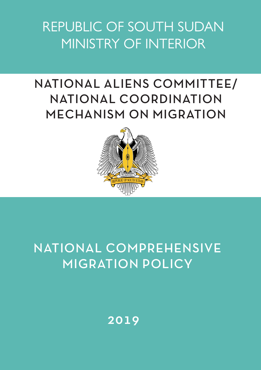REPUBLIC OF SOUTH SUDAN MINISTRY OF INTERIOR

# NATIONAL ALIENS COMMITTEE/ NATIONAL COORDINATION MECHANISM ON MIGRATION



## NATIONAL COMPREHENSIVE MIGRATION POLICY

## 2019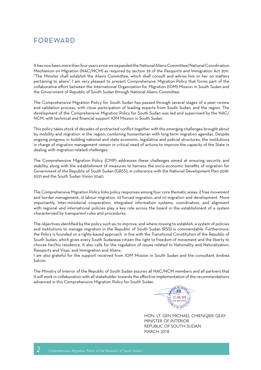### FOREWARD

It has now been more than four years since we expanded the National Aliens Committee/National Coordination Mechanism on Migration (NAC/NCM) as required by section 29 of the Passports and Immigration Act 2011. "The Minister shall establish the Aliens Committee, which shall consult and advise him or her on matters pertaining to aliens" I am very pleased to present Comprehensive Migration Policy that forms part of the collaborative effort between the International Organization for Migration (IOM) Mission in South Sudan and the Government of Republic of South Sudan through National Aliens Committee.

The Comprehensive Migration Policy for South Sudan has passed through several stages of a peer review and validation process, with close participation of leading experts from South Sudan, and the region. The development of the Comprehensive Migration Policy for South Sudan was led and supervised by the NAC/ NCM, with technical and financial support IOM Mission in South Sudan.

This policy takes stock of decades of protracted conflict together with the emerging challenges brought about by mobility and migration in the region, combining humanitarian with long-term migration agendas. Despite ongoing progress in building national and state economic, legislative and judicial structures, the institutions in charge of migration management remain in critical need of actions to improve the capacity of the State in dealing with migration-related challenges.

The Comprehensive Migration Policy (CMP) addresses these challenges aimed at ensuring security and stability, along with the establishment of measures to harness the socio-economic benefits of migration for Government of the Republic of South Sudan (GRSS), in coherence with the National Development Plan 2018- 2021 and the South Sudan Vision 2040.

The Comprehensive Migration Policy links policy responses among four core thematic areas: i) free movement and border management, ii) labour migration, iii) forced migration, and iv) migration and development. More importantly, Inter-ministerial cooperation, integrated information systems, coordination, and alignment with regional and international policies play a key role across the board in the establishment of a system characterized by transparent rules and procedures.

The objectives identified by the policy such as; to improve, and where missing to establish, a system of policies and institutions to manage migration in the Republic of South Sudan (RSS) is commendable. Furthermore, the Policy is founded on a rights-based approach in line with the Transitional Constitution of the Republic of South Sudan, which gives every South Sudanese citizen the right to freedom of movement and the liberty to choose her/his residence. It also calls for the regulation of issues related to Nationality and Naturalization, Passports and Visas, and Immigration and Aliens.

I am also grateful for the support received from IOM Mission in South Sudan and the consultant Andrea Salvini.

The Ministry of Interior of the Republic of South Sudan assures all NAC/NCM members and all partners that it will work in collaboration with all stakeholder towards the effective implementation of the recommendations advanced in this Comprehensive Migration Policy for South Sudan.



HON. LT. GEN MICHAEL CHIENGJIEK GEAY MINISTER OF INTERIOR REPUBLIC OF SOUTH SUDAN MARCH 2018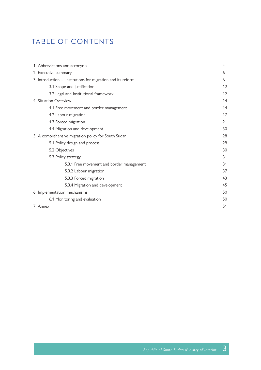### TABLE OF CONTENTS

| 1 Abbreviations and acronyms                               | 4  |
|------------------------------------------------------------|----|
| 2 Executive summary                                        | 6  |
| 3 Introduction - Institutions for migration and its reform | 6  |
| 3.1 Scope and justification                                | 12 |
| 3.2 Legal and Institutional framework                      | 12 |
| 4 Situation Overview                                       | 14 |
| 4.1 Free movement and border management                    | 14 |
| 4.2 Labour migration                                       | 17 |
| 4.3 Forced migration                                       | 21 |
| 4.4 Migration and development                              | 30 |
| 5 A comprehensive migration policy for South Sudan         | 28 |
| 5.1 Policy design and process                              | 29 |
| 5.2 Objectives                                             | 30 |
| 5.3 Policy strategy                                        | 31 |
| 5.3.1 Free movement and border management                  | 31 |
| 5.3.2 Labour migration                                     | 37 |
| 5.3.3 Forced migration                                     | 43 |
| 5.3.4 Migration and development                            | 45 |
| 6 Implementation mechanisms                                | 50 |
| 6.1 Monitoring and evaluation                              | 50 |
| 7 Annex                                                    | 51 |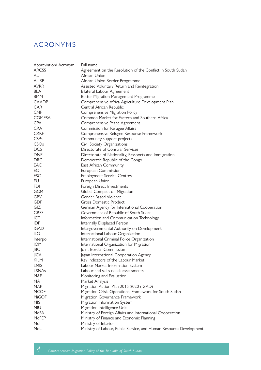### ACRONYMS

| Abbreviation/ Acronym | Full name                                                          |
|-----------------------|--------------------------------------------------------------------|
| ARCSS                 | Agreement on the Resolution of the Conflict in South Sudan         |
| AU                    | African Union                                                      |
| AUBP                  | African Union Border Programme                                     |
| <b>AVRR</b>           | Assisted Voluntary Return and Reintegration                        |
| <b>BLA</b>            | Bilateral Labour Agreement                                         |
| <b>BMM</b>            | Better Migration Management Programme                              |
| <b>CAADP</b>          | Comprehensive Africa Agriculture Development Plan                  |
| <b>CAR</b>            | Central African Republic                                           |
| <b>CMP</b>            | Comprehensive Migration Policy                                     |
| <b>COMESA</b>         | Common Market for Eastern and Southern Africa                      |
| <b>CPA</b>            | Comprehensive Peace Agreement                                      |
| <b>CRA</b>            | Commission for Refugee Affairs                                     |
| <b>CRRF</b>           | Comprehensive Refugee Response Framework                           |
| <b>CSPs</b>           | Community support projects                                         |
| CSOs                  | Civil Society Organizations                                        |
| <b>DCS</b>            | Directorate of Consular Services                                   |
| <b>DNPI</b>           | Directorate of Nationality, Passports and Immigration              |
| <b>DRC</b>            | Democratic Republic of the Congo                                   |
| EAC                   | East African Community                                             |
| EC                    | European Commission                                                |
| <b>ESC</b>            | <b>Employment Service Centres</b>                                  |
| EU                    | European Union                                                     |
| <b>FDI</b>            | Foreign Direct Investments                                         |
| <b>GCM</b>            |                                                                    |
| GBV                   | Global Compact on Migration<br>Gender Based Violence               |
|                       |                                                                    |
| <b>GDP</b>            | Gross Domestic Product                                             |
| GIZ                   | German Agency for International Cooperation                        |
| <b>GRSS</b>           | Government of Republic of South Sudan                              |
| <b>ICT</b>            | Information and Communication Technology                           |
| <b>IDP</b>            | Internally Displaced Person                                        |
| IGAD                  | Intergovernmental Authority on Development                         |
| <b>ILO</b>            | International Labour Organization                                  |
| Interpol              | International Criminal Police Organization                         |
| <b>IOM</b>            | International Organization for Migration                           |
| JBC                   | Joint Border Commission                                            |
| <b>JICA</b>           | Japan International Cooperation Agency                             |
| <b>KILM</b>           | Key Indicators of the Labour Market                                |
| <b>LMIS</b>           | Labour Market Information System                                   |
| <b>LSNAs</b>          | Labour and skills needs assessments                                |
| M&E                   | Monitoring and Evaluation                                          |
| MA.                   | Market Analysis                                                    |
| <b>MAP</b>            | Migration Action Plan 2015-2020 (IGAD)                             |
| <b>MCOF</b>           | Migration Crisis Operational Framework for South Sudan             |
| <b>MiGOF</b>          | Migration Governance Framework                                     |
| <b>MIS</b>            | Migration Information System                                       |
| MIU                   | Migration Intelligence Unit                                        |
| <b>MoFA</b>           | Ministry of Foreign Affairs and International Cooperation          |
| MoFEP                 | Ministry of Finance and Economic Planning                          |
| Mol                   | Ministry of Interior                                               |
| MoL                   | Ministry of Labour, Public Service, and Human Resource Development |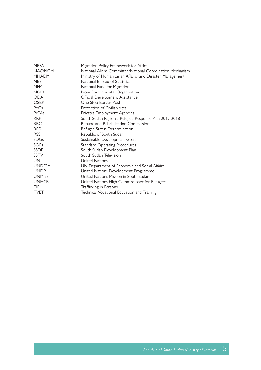| <b>MPFA</b>   | Migration Policy Framework for Africa                     |
|---------------|-----------------------------------------------------------|
| NAC/NCM       | National Aliens Committee/National Coordination Mechanism |
| <b>MHADM</b>  | Ministry of Humanitarian Affairs and Disaster Management  |
| <b>NBS</b>    | National Bureau of Statistics                             |
| <b>NFM</b>    | National Fund for Migration                               |
| <b>NGO</b>    | Non-Governmental Organization                             |
| <b>ODA</b>    | Official Development Assistance                           |
| <b>OSBP</b>   | One Stop Border Post                                      |
| PoCs          | Protection of Civilian sites                              |
| PrEAs         | Privates Employment Agencies                              |
| <b>RRP</b>    | South Sudan Regional Refugee Response Plan 2017-2018      |
| <b>RRC</b>    | Return and Rehabilitation Commission                      |
| <b>RSD</b>    | Refugee Status Determination                              |
| <b>RSS</b>    | Republic of South Sudan                                   |
| <b>SDGs</b>   | Sustainable Development Goals                             |
| <b>SOPs</b>   | <b>Standard Operating Procedures</b>                      |
| <b>SSDP</b>   | South Sudan Development Plan                              |
| <b>SSTV</b>   | South Sudan Television                                    |
| UN            | United Nations                                            |
| <b>UNDESA</b> | UN Department of Economic and Social Affairs              |
| <b>UNDP</b>   | United Nations Development Programme                      |
| <b>UNMISS</b> | United Nations Mission in South Sudan                     |
| <b>UNHCR</b>  | United Nations High Commissioner for Refugees             |
| <b>TIP</b>    | Trafficking in Persons                                    |
| <b>TVET</b>   | Technical Vocational Education and Training               |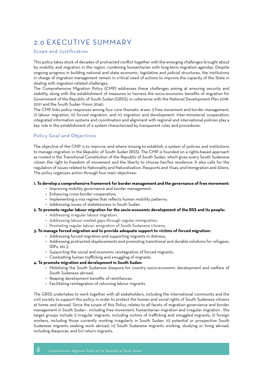### 2.0 EXECUTIVE SUMMARY

#### Scope and Justification

This policy takes stock of decades of protracted conflict together with the emerging challenges brought about by mobility and migration in the region, combining humanitarian with long-term migration agendas. Despite ongoing progress in building national and state economic, legislative and judicial structures, the institutions in charge of migration management remain in critical need of actions to improve the capacity of the State in dealing with migration-related challenges.

The Comprehensive Migration Policy (CMP) addresses these challenges aiming at ensuring security and stability, along with the establishment of measures to harness the socio-economic benefits of migration for Government of the Republic of South Sudan (GRSS), in coherence with the National Development Plan 2018- 2021 and the South Sudan Vision 2040.

The CMP links policy responses among four core thematic areas: i) free movement and border management, ii) labour migration, iii) forced migration, and iv) migration and development. Inter-ministerial cooperation, integrated information systems and coordination and alignment with regional and international policies play a key role in the establishment of a system characterized by transparent rules and procedures.

#### Policy Goal and Objectives

The objective of the CMP is to improve, and where missing to establish, a system of policies and institutions to manage migration in the Republic of South Sudan (RSS). The CMP is founded on a rights-based approach as rooted in the Transitional Constitution of the Republic of South Sudan, which gives every South Sudanese citizen the right to freedom of movement and the liberty to choose her/his residence. It also calls for the regulation of issues related to Nationality and Naturalization, Passports and Visas, and Immigration and Aliens. The policy organizes action through four main objectives:

#### **1. To develop a comprehensive framework for border management and the governance of free movement:**

- Improving mobility governance and border management;
- Enhancing cross-border cooperation;
- Implementing a visa regime that reflects human mobility patterns;
- Addressing issues of statelessness in South Sudan.

#### **2. To promote regular labour migration for the socio-economic development of the RSS and its people:**

- Addressing irregular labour migration;
- Addressing labour market gaps through regular immigration;
- Promoting regular labour emigration of South Sudanese citizens;

#### **3. To manage forced migration and to provide adequate support to victims of forced migration:**

- Addressing forced migration and supporting migrants in distress;
	- Addressing protracted displacements and promoting transitional and durable solutions for refugees, IDPs, etc.);
	- Supporting the social and economic reintegration of forced migrants;
	- Combatting human trafficking and smuggling of migrants.

#### **4. To promote migration and development in South Sudan:**

- Mobilizing the South Sudanese diaspora for country socio-economic development and welfare of South Sudanese abroad;
- Reaping development benefits of remittances.
- Facilitating reintegration of returning labour migrants.

The GRSS undertakes to work together with all stakeholders, including the international community and the civil society to support this policy, in order to protect the human and social rights of South Sudanese citizens at home and abroad. Since the scope of this Policy relates to all facets of migration governance and border management in South Sudan - including free movement, humanitarian migration and irregular migration - the target groups include i) irregular migrants, including victims of trafficking and smuggled migrants; ii) foreign workers, including those currently working irregularly in South Sudan; iii) potential or prospective South Sudanese migrants seeking work abroad; iv) South Sudanese migrants working, studying or living abroad, including diasporas; and (iv) return migrants.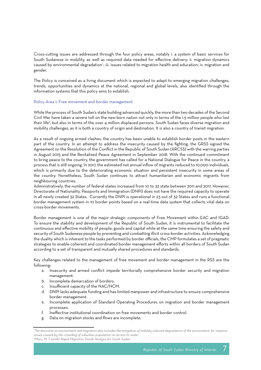Cross-cutting issues are addressed through the four policy areas, notably i. a system of basic services for South Sudanese in mobility, as well as required data needed for effective delivery; ii. migration dynamics caused by environmental degradation<sup>1</sup>; iii. issues related to migration health and education; iv. migration and gender.

The Policy is conceived as a living document which is expected to adapt to emerging migration challenges, trends, opportunities and dynamics at the national, regional and global levels, also identified through the information systems that this policy aims to establish.

#### Policy Area 1: Free movement and border management

While the process of South Sudan's state building advanced quickly, the more than two decades of the Second Civil War have taken a severe toll on the new-born nation not only in terms of the 1.5 million people who lost their life?, but also in terms of the over 4 million displaced persons. South Sudan faces diverse migration and mobility challenges, as it is both a country of origin and destination. It is also a country of transit migration.

As a result of ongoing armed clashes, the country has been unable to establish border posts in the eastern part of the country. In an attempt to address the insecurity caused by the fighting, the GRSS signed the Agreement on the Resolution of the Conflict in the Republic of South Sudan (ARCSS) with the warring parties in August 2015 and the Revitalized Peace Agreement in September 2018. With the continued commitment to bring peace to the country, the government has called for a National Dialogue for Peace in the country, a process that is still ongoing. In 2017, the estimated net annual inflow of migrants reduced to 10,000 individuals, which is primarily due to the deteriorating economic situation and persistent insecurity in some areas of the country. Nonetheless, South Sudan continues to attract humanitarian and economic migrants from neighbouring countries.

Administratively, the number of federal states increased from 10 to 32 state between 2011 and 2017. However, Directorate of Nationality, Passports and Immigration (DNPI) does not have the required capacity to operate in all newly created 32 States. Currently the DNPI is operational in 23 out of 32 States and runs a functional border management system in 10 border points based on a real-time data system that collects vital data on cross-border movements.

Border management is one of the major strategic components of Free Movement within EAC and IGAD. To ensure the stability and development of the Republic of South Sudan, it is instrumental to facilitate the continuous and effective mobility of people, goods and capital while at the same time ensuring the safety and security of South Sudanese people by preventing and combatting illicit cross-border activities. Acknowledging the duality which is inherent to the tasks performed by border officials, the CMP formulates a set of pragmatic strategies to enable coherent and coordinated border management efforts within all borders of South Sudan according to a set of transparent and mutually shared procedures and standards.

Key challenges related to the management of free movement and border management in the RSS are the following:

- a. Insecurity and armed conflict impede territorially comprehensive border security and migration management.
- b. Incomplete demarcation of borders.
- c. Insufficient capacity of the NAC/NCM.
- d. DNPI lacks adequate funding and has limited manpower and infrastructure to ensure comprehensive border management.
- e. Incomplete application of Standard Operating Procedures on migration and border management processes.
- f. Ineffective institutional coordination on free movements and border control.
- g. Data on migration stocks and flows are incomplete.

*<sup>1</sup> The discourse on environment and migration also includes the mitigation of mobility-induced degradation of the environment, for instance issues caused by the crowding of suburban population on access to water. 2 Maru, M. T. (2018). Rapid Migration Trends Analysis for South Sudan*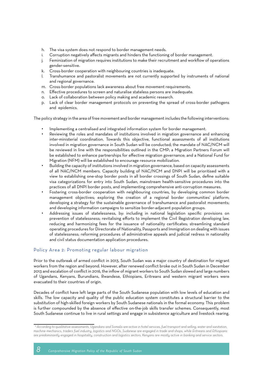- h. The visa system does not respond to border management needs.
- i. Corruption negatively affects migrants and hinders the functioning of border management.
- j. Feminization of migration requires institutions to make their recruitment and workflow of operations gender-sensitive.
- k. Cross-border cooperation with neighbouring countries is inadequate.
- l. Transhumance and pastoralist movements are not currently supported by instruments of national and regional governance.
- m. Cross-border populations lack awareness about free movement requirements.
- n. Effective procedures to screen and naturalise stateless persons are inadequate.
- o. Lack of collaboration between policy making and academic research.
- p. Lack of clear border management protocols on preventing the spread of cross-border pathogens and epidemics.

The policy strategy in the area of free movement and border management includes the following interventions:

- Implementing a centralised and integrated information system for border management.
- Reviewing the roles and mandates of institutions involved in migration governance and enhancing inter-ministerial coordination. Towards this objective, functional assessments of all institutions involved in migration governance in South Sudan will be conducted; the mandate of NAC/NCM will be reviewed in line with the responsibilities outlined in the CMP; a Migration Partners Forum will be established to enhance partnerships for effective migration governance; and a National Fund for Migration (NFM) will be established to encourage resource mobilization.
- Building the capacity of institutions involved in migration governance, based on capacity assessments of all NAC/NCM members. Capacity building of NAC/NCM and DNPI will be prioritised with a view to establishing one-stop border posts in all border crossings of South Sudan, define suitable visa categorizations for entry into South Sudan, mainstream health-sensitive procedures into the practices of all DNPI border posts, and implementing comprehensive anti-corruption measures.
- Fostering cross-border cooperation with neighbouring countries, by developing common border management objectives; exploring the creation of a regional border communities' platform; developing a strategy for the sustainable governance of transhumance and pastoralist movements; and developing information campaigns to sensitize border-adjacent population groups.
- Addressing issues of statelessness, by: including in national legislation specific provisions on prevention of statelessness; revitalising efforts to implement the Civil Registration developing law, reducing and harmonizing fees for the issuance of nationality certificates; streamlining standard operating procedures for Directorate of Nationality, Passports and Immigration on dealing with issues of statelessness; reforming procedures of administrative appeals and judicial redress in nationality and civil status documentation application procedures.

#### Policy Area 2: Promoting regular labour migration

Prior to the outbreak of armed conflict in 2013, South Sudan was a major country of destination for migrant workers from the region and beyond. However, after renewed conflict broke out in South Sudan in December 2013 and escalation of conflict in 2016, the inflow of migrant workers to South Sudan slowed and large numbers of Ugandans, Kenyans, Burundians, Rwandese, Ethiopians, Eritreans and western migrant workers were evacuated to their countries of origin.

Decades of conflict have left large parts of the South Sudanese population with low levels of education and skills. The low capacity and quality of the public education system constitutes a structural barrier to the substitution of high-skilled foreign workers by South Sudanese nationals in the formal economy. This problem is further compounded by the absence of effective on-the-job skills transfer schemes. Consequently, most South Sudanese continue to live in rural settings and engage in subsistence agriculture and livestock rearing.

 *<sup>3</sup> According to qualitative assessments, Ugandans and Somalis are active in hotel services, fuel transport and selling, water and sanitation, machine mechanics, traders fuel industry, logistics and NGOs. Sudanese are engaged in trade and shops, while Eritreans and Ethiopians are predominantly engaged in hospitality, construction and logistics sectors. Kenyans are mostly active in banking and service sectors.*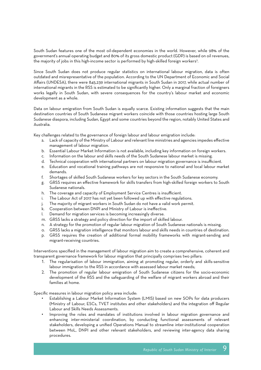South Sudan features one of the most oil-dependent economies in the world. However, while 98% of the government's annual operating budget and 80% of its gross domestic product (GDP) is based on oil revenues, the majority of jobs in this high-income sector is performed by high-skilled foreign workers<sup>3</sup>.

Since South Sudan does not produce regular statistics on international labour migration, data is often outdated and misrepresentative of the population. According to the UN Department of Economic and Social Affairs (UNDESA), there were 845,239 international migrants in South Sudan in 2017, while actual number of international migrants in the RSS is estimated to be significantly higher. Only a marginal fraction of foreigners works legally in South Sudan, with severe consequences for the country's labour market and economic development as a whole.

Data on labour emigration from South Sudan is equally scarce. Existing information suggests that the main destination countries of South Sudanese migrant workers coincide with those countries hosting large South Sudanese diaspora, including Sudan, Egypt and some countries beyond the region, notably United States and Australia.

Key challenges related to the governance of foreign labour and labour emigration include:

- a. Lack of capacity of the Ministry of Labour and relevant line ministries and agencies impedes effective management of labour migration.
- b. Essential Labour Market Information is not available, including key information on foreign workers.
- c. Information on the labour and skills needs of the South Sudanese labour market is missing.
- d. Technical cooperation with international partners on labour migration governance is insufficient.
- e. Education and vocational training pathways are not responsive to national and local labour market demands.
- f. Shortages of skilled South Sudanese workers for key sectors in the South Sudanese economy.
- g. GRSS requires an effective framework for skills transfers from high-skilled foreign workers to South Sudanese nationals.
- h. The coverage and capacity of Employment Service Centres is insufficient.
- i. The Labour Act of 2017 has not yet been followed up with effective regulations.
- j. The majority of migrant workers in South Sudan do not have a valid work permit.
- k. Cooperation between DNPI and Ministry of Labour is ineffective.
- l. Demand for migration services is becoming increasingly diverse.
- m. GRSS lacks a strategy and policy direction for the import of skilled labour.
- n. A strategy for the promotion of regular labour migration of South Sudanese nationals is missing.
- o. GRSS lacks a migration intelligence that monitors labour and skills needs in countries of destination.
- p. GRSS requires the creation of additional formal mobility frameworks with migrant-sending and migrant-receiving countries.

Interventions specified in the management of labour migration aim to create a comprehensive, coherent and transparent governance framework for labour migration that principally comprises two pillars:

- 1. The regularisation of labour immigration, aiming at promoting regular, orderly and skills-sensitive labour immigration to the RSS in accordance with assessed labour market needs;
- 2. The promotion of regular labour emigration of South Sudanese citizens for the socio-economic development of the RSS and the safeguarding of the welfare of migrant workers abroad and their families at home.

Specific measures in labour migration policy area include:

- Establishing a Labour Market Information System (LMIS) based on new SOPs for data producers (Ministry of Labour, ESCs, TVET institutes and other stakeholders) and the integration off Regular Labour and Skills Needs Assessments.
- Improving the roles and mandates of institutions involved in labour migration governance and enhancing inter-ministerial coordination, by conducting functional assessments of relevant stakeholders, developing a unified Operations Manual to streamline inter-institutional cooperation between MoL, DNPI and other relevant stakeholders, and reviewing inter-agency data sharing procedures.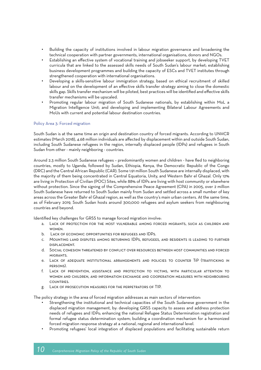- Building the capacity of institutions involved in labour migration governance and broadening the technical cooperation with partner governments, international organisations, donors and NGOs.
- Establishing an effective system of vocational training and jobseeker support, by developing TVET curricula that are linked to the assessed skills needs of South Sudan's labour market; establishing business development programmes and building the capacity of ESCs and TVET institutes through strengthened cooperation with international organisations.
- Developing a skills-sensitive labour immigration strategy, based on ethical recruitment of skilled labour and on the development of an effective skills transfer strategy aiming to close the domestic skills gap. Skills transfer mechanism will be piloted, best practices will be identified and effective skills transfer mechanisms will be upscaled.
- Promoting regular labour migration of South Sudanese nationals, by establishing within MoL a Migration Intelligence Unit; and developing and implementing Bilateral Labour Agreements and MoUs with current and potential labour destination countries.

#### Policy Area 3: Forced migration

South Sudan is at the same time an origin and destination country of forced migrants. According to UNHCR estimates (March 2018), 4.68 million individuals are affected by displacement within and outside South Sudan, including South Sudanese refugees in the region, internally displaced people (IDPs) and refugees in South Sudan from other - mainly neighboring - countries.

Around 2.3 million South Sudanese refugees – predominantly women and children - have fled to neighboring countries, mostly to Uganda, followed by Sudan, Ethiopia, Kenya, the Democratic Republic of the Congo (DRC) and the Central African Republic (CAR). Some 1.91 million South Sudanese are internally displaced, with the majority of them being concentrated in Central Equatoria, Unity, and Western Bahr el Ghazal. Only 12% are living in Protection of Civilian (POC) Sites, while 88% of IDPs are living with host community or elsewhere without protection. Since the signing of the Comprehensive Peace Agreement (CPA) in 2005, over 2 million South Sudanese have returned to South Sudan mainly from Sudan and settled across a small number of key areas across the Greater Bahr el Ghazal region, as well as the country's main urban centers. At the same time, as of February 2019, South Sudan hosts around 300,000 refugees and asylum seekers from neighbouring countries and beyond.

Identified key challenges for GRSS to manage forced migration involve:

- a. Lack of protection for the most vulnerable among forced migrants, such as children and **WOMEN**
- b. Lack of economic opportunities for refugees and IDPs.
- c. Mounting land disputes among returning IDPs, refugees, and residents is leading to further displacement.
- d. Social cohesion threatened by conflict over resources between host communities and forced **MIGRANTS**
- e. Lack of adequate institutional arrangements and policies to counter TiP (trafficking in persons).
- f. Lack of prevention, assistance and protection to victims, with particular attention to women and children, and information exchange and cooperation measures with neighbouring **COUNTRIES.**
- g. Lack of prosecution measures for the perpetrators of TIP.

The policy strategy in the area of forced migration addresses as main sectors of intervention:

- Strengthening the institutional and technical capacities of the South Sudanese government in the displaced migration management, by: developing GRSS capacity to assess and address protection needs of refugees and IDPs; enhancing the national Refugee Status Determination registration and formal refugee status determination system; building a coordination mechanism for a harmonized forced migration response strategy at a national, regional and international level.
- Promoting refugees' local integration of displaced populations and facilitating sustainable return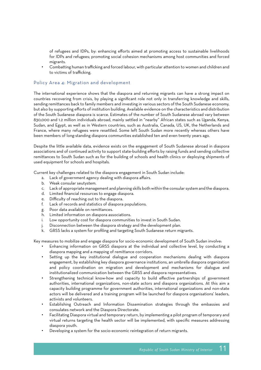of refugees and IDPs, by: enhancing efforts aimed at promoting access to sustainable livelihoods for IDPs and refugees; promoting social cohesion mechanisms among host communities and forced migrants.

• Combatting human trafficking and forced labour, with particular attention to women and children and to victims of trafficking.

#### Policy Area 4: Migration and development

The international experience shows that the diaspora and returning migrants can have a strong impact on countries recovering from crisis, by playing a significant role not only in transferring knowledge and skills, sending remittances back to family members and investing in various sectors of the South Sudanese economy, but also by supporting efforts of institution building. Available evidence on the characteristics and distribution of the South Sudanese diaspora is scarce. Estimates of the number of South Sudanese abroad vary between 830,000 and 1.2 million individuals abroad, mainly settled in "nearby" African states such as Uganda, Kenya, Sudan, and Egypt, as well as in Western countries, such as Australia, Canada, US, UK, the Netherlands and France, where many refugees were resettled. Some left South Sudan more recently whereas others have been members of long-standing diaspora communities established ten and even twenty years ago.

Despite the little available data, evidence exists on the engagement of South Sudanese abroad in diaspora associations and of continued activity to support state-building efforts by raising funds and sending collective remittances to South Sudan such as for the building of schools and health clinics or deploying shipments of used equipment for schools and hospitals.

Current key challenges related to the diaspora engagement in South Sudan include:

- a. Lack of government agency dealing with diaspora affairs.
- b. Weak consular seutystem.
- c. Lack of appropriate management and planning skills both within the consular system and the diaspora.
- d. Limited financial resources to engage diaspora.
- e. Difficulty of reaching out to the diaspora.
- f. Lack of records and statistics of diaspora populations.
- g. Poor data available on remittances.
- h. Limited information on diaspora associations.
- i. Low opportunity cost for diaspora communities to invest in South Sudan.
- j. Disconnection between the diaspora strategy and the development plan.
- k. GRSS lacks a system for profiling and targeting South Sudanese return migrants.

Key measures to mobilize and engage diaspora for socio-economic development of South Sudan involve:

- Enhancing information on GRSS diaspora at the individual and collective level, by conducting a diaspora mapping and a mapping of remittance corridors.
- Setting up the key institutional dialogue and cooperation mechanisms dealing with diaspora engagement, by establishing key diaspora governance institutions, an umbrella diaspora organization and policy coordination on migration and development and mechanisms for dialogue and institutionalized communication between the GRSS and diaspora representatives.
- Strengthening technical know-how and capacity to build effective partnerships of government authorities, international organizations, non-state actors and diaspora organizations. At this aim a capacity building programme for government authorities, international organizations and non-state actors will be delivered and a training program will be launched for diaspora organisations' leaders, activists and volunteers.
- Establishing Outreach and Information Dissemination strategies through the embassies and consulates network and the Diaspora Directorate.
- Facilitating Diaspora virtual and temporary return, by implementing a pilot program of temporary and virtual returns targeting the health sector will be implemented, with specific measures addressing diaspora youth.
- Developing a system for the socio-economic reintegration of return migrants.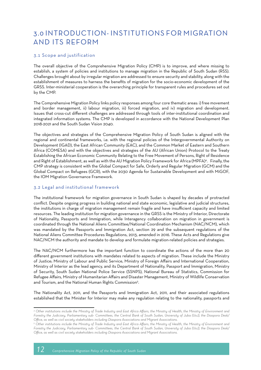### 3.0 INTRODUCTION- INSTITUTIONS FOR MIGRATION AND ITS REFORM

#### 3.1 Scope and justification

The overall objective of the Comprehensive Migration Policy (CMP) is to improve, and where missing to establish, a system of policies and institutions to manage migration in the Republic of South Sudan (RSS). Challenges brought about by irregular migration are addressed to ensure security and stability, along with the establishment of measures to harness the benefits of migration for the socio-economic development of the GRSS. Inter-ministerial cooperation is the overarching principle for transparent rules and procedures set out by the CMP.

The Comprehensive Migration Policy links policy responses among four core thematic areas: i) free movement and border management, ii) labour migration, iii) forced migration, and iv) migration and development. Issues that cross-cut different challenges are addressed through tools of inter-institutional coordination and integrated information systems. The CMP is developed in accordance with the National Development Plan 2018-2021 and the South Sudan Vision 2040.

The objectives and strategies of the Comprehensive Migration Policy of South Sudan is aligned with the regional and continental frameworks, i.e. with the regional policies of the Intergovernmental Authority on Development (IGAD), the East African Community (EAC), and the Common Market of Eastern and Southern Africa (COMESA) and with the objectives and strategies of the AU (African Union) Protocol to the Treaty Establishing the African Economic Community Relating to the Free Movement of Persons, Right of Residence and Right of Establishment, as well as with the AU Migration Policy Framework for Africa (MPFA)4 . Finally, the CMP strategy is consistent with the Global Compact for Safe, Orderly and Regular Migration (GCM) and the Global Compact on Refugees (GCR), with the 2030 Agenda for Sustainable Development and with MiGOF, the IOM Migration Governance Framework.

#### 3.2 Legal and institutional framework

The institutional framework for migration governance in South Sudan is shaped by decades of protracted conflict. Despite ongoing progress in building national and state economic, legislative and judicial structures, the institutions in charge of migration management remain fragile and have insufficient capacity and limited resources. The leading institution for migration governance in the GRSS is the Ministry of Interior, Directorate of Nationality, Passports and Immigration, while Interagency collaboration on migration in government is coordinated through the National Aliens Committee/National Coordination Mechanism (NAC/NCM), which was mandated by the Passports and Immigration Act, section 29 and the subsequent regulations of the National Aliens Committee Procedures Regulations, 2013, amended in 2016. These Acts and Regulations give NAC/NCM the authority and mandate to develop and formulate migration-related policies and strategies.

The NAC/NCM furthermore has the important function to coordinate the actions of the more than 20 different government institutions with mandates related to aspects of migration. These include the Ministry of Justice; Ministry of Labour and Public Service, Ministry of Foreign Affairs and International Cooperation, Ministry of Interior as the lead agency, and its Department of Nationality, Passport and Immigration, Ministry of Security, South Sudan National Police Service (SSNPS), National Bureau of Statistics, Commission for Refugee Affairs, Ministry of Humanitarian Affairs and Disaster Management, Ministry of Wildlife Conservation and Tourism, and the National Human Rights Commission<sup>5</sup>.

The Nationality Act, 2011, and the Passports and Immigration Act, 2011, and their associated regulations established that the Minister for Interior may make any regulation relating to the nationality, passports and

*<sup>4</sup> Other institutions include the Ministry of Trade Industry and East Africa Affairs, the Ministry of Health, the Ministry of Environment and Forestry the Judiciary, Parliamentary sub- Committees, the Central Bank of South Sudan, University of Juba (UoJ), the Diaspora Desk/ Office, as well as civil society stakeholders including Diaspora Associations and Migrant Associations.* 

*<sup>5</sup> Other institutions include the Ministry of Trade Industry and East Africa Affairs, the Ministry of Health, the Ministry of Environment and Forestry the Judiciary, Parliamentary sub- Committees, the Central Bank of South Sudan, University of Juba (UoJ), the Diaspora Desk/ Office, as well as civil society stakeholders including Diaspora Associations and Migrant Associations.*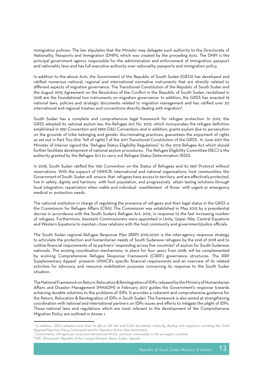immigration policies. The law stipulates that the Minister may delegate such authority to the Directorate of Nationality, Passports and Immigration (DNPI), which was created by the preceding Acts. The DNPI is the principal government agency responsible for the administration and enforcement of immigration, passport and nationality laws and has full executive authority over nationality, passports and immigration policy.

In addition to the above Acts, the Government of the Republic of South Sudan (GRSS) has developed and ratified numerous national, regional and international normative instruments that are directly related to different aspects of migration governance. The Transitional Constitution of the Republic of South Sudan and the August 2015 Agreement on the Resolution of the Conflict in the Republic of South Sudan, revitalized in 2018 are the foundational two instruments on migration governance. In addition, the GRSS has enacted 19 national laws, policies and strategic documents related to migration management and has ratified over 20 international and regional treaties and conventions directly dealing with migration<sup>6</sup>.

South Sudan has a complete and comprehensive legal framework for refugee protection. In 2012, the GRSS adopted its national asylum law, the Refugee Act No. 2012, which incorporates the refugee definition established in 1951 Convention and 1969 OAU Convention, and in addition, grants asylum due to persecution on the grounds of tribe belonging and gender discriminating practices; guarantees the enjoyment of rights as set out in Part Two (the "bill of rights") of the 2011 Transitional Constitution of the GRSS. In June 2017 the Minister of Interior signed the "Refugee Status Eligibility Regulations" to the 2012 Refugee Act which should further facilitate development of national asylum procedures. The Refugee Eligibility Committee (REC) is the authority granted by the Refugee Act to carry out Refugee Status Determination (RSD).

In 2018, South Sudan ratified the 1951 Convention on the Status of Refugees and its 1967 Protocol without reservations. With the support of UNHCR, international and national organisations, host communities, the Government of South Sudan will ensure that refugees have access to territory and are effectively protected, live in safety, dignity and harmony with host population, and progressively attain lasting solutions through local integration, repatriation when viable and individual resettlement of those with urgent or emergency medical or protection needs.

The national institution in charge of regulating the presence of refugees and their legal status in the GRSS is the Commission for Refugee Affairs (CRA). The Commission was established in May 2013 by a presidential decree in accordance with the South Sudan's Refugee Act, 2012, in response to the fast increasing number of refugees. Furthermore, Assistant Commissioners were appointed in Unity, Upper Nile, Central Equatoria and Western Equatoria to maintain close relations with the host community and government/police officials.

The South Sudan regional Refugee Response Plan (RRP) 2019-2020 is the inter-agency response strategy to articulate the protection and humanitarian needs of South Sudanese refugees by the end of 2018 and to outline financial requirements of 74 partners<sup>7</sup> responding across five countries<sup>8</sup> of asylum for South Sudanese nationals. The existing coordination mechanisms, in place for four years from 2018, will be complemented by evolving Comprehensive Refugee Response Framework (CRRF) governance structures. The RRP Supplementary Appeal presents UNHCR's specific financial requirements and an overview of its related activities for advocacy and resource mobilization purposes concerning its response to the South Sudan situation.

The National Framework on Return, Relocation & Reintegration of IDPs, released by the Ministry of Humanitarian Affairs and Disaster Management (MHADM) in February 2017 guides the Government's response towards achieving durable solutions to the problems of IDPs. It provides a coherent and comprehensive guidance for the Return, Relocation & Reintegration of IDPs in South Sudan. The framework is also aimed at strengthening coordination with national and international partners on IDPs issues and efforts to mitigate the plight of IDPs. Those national laws and regulations which are most relevant to the development of the Comprehensive Migration Policy are outlined in Annex 1.

*<sup>6</sup> In addition, GRSS adopted more than 10 official UN, AU and IGAD documents indirectly dealing with migration, including the IGAD RegionalMigration Policy Framework and the Migration Action Plan (2015-2020).*

 *<sup>7</sup> Governments, UN agencies, local and international NGOs, and host communities in the six asylum countries.*

*<sup>8</sup> DRC (Democratic Republic of the Congo), Ethiopia, Kenia, Sudan, Uganda.*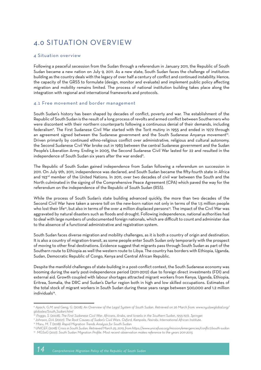### 4.0 SITUATION OVERVIEW

#### 4 Situation overview

Following a peaceful secession from the Sudan through a referendum in January 2011, the Republic of South Sudan became a new nation on July 9, 2011. As a new state, South Sudan faces the challenge of institution building as the country deals with the legacy of over half a century of conflict and continued instability. Hence, the capacity of the GRSS to formulate (design, monitor and evaluate) and implement public policy affecting migration and mobility remains limited. The process of national institution building takes place along the integration with regional and international frameworks and protocols.

#### 4.1 Free movement and border management

South Sudan's history has been shaped by decades of conflict, poverty and war. The establishment of the Republic of South Sudan is the result of a long process of revolts and armed conflict between Southerners who were discontent with their northern counterparts following a continuous denial of their demands, including federalism9 . The First Sudanese Civil War started with the Torit mutiny in 1955 and ended in 1972 through an agreement signed between the Sudanese government and the South Sudanese Anyanya movement<sup>10</sup>. Driven primarily by continued ethno-religious conflict over administrative, religious and cultural autonomy, the Second Sudanese Civil War broke out in 1983 between the central Sudanese government and the Sudan People's Liberation Army. Ending in 2005, the Second Sudanese Civil War lasted for 22 and resulted in the independence of South Sudan six years after the war ended".

The Republic of South Sudan gained independence from Sudan following a referendum on succession in 2011. On July 9th, 2011, independence was declared, and South Sudan became the fifty-fourth state in Africa and 193rd member of the United Nations. In 2011, over two decades of civil war between the South and the North culminated in the signing of the Comprehensive Peace Agreement (CPA) which paved the way for the referendum on the independence of the Republic of South Sudan (RSS).

While the process of South Sudan's state building advanced quickly, the more than two decades of the Second Civil War have taken a severe toll on the new-born nation not only in terms of the 1.5 million people who lost their life<sup>12</sup>, but also in terms of the over 4 million displaced persons<sup>13</sup>. The impact of the Civil War was aggravated by natural disasters such as floods and drought. Following independence, national authorities had to deal with large numbers of undocumented foreign nationals, which are difficult to count and administer due to the absence of a functional administrative and registration system.

South Sudan faces diverse migration and mobility challenges, as it is both a country of origin and destination. It is also a country of migration-transit, as some people enter South Sudan only temporarily with the prospect of moving to other final destinations. Evidence suggest that migrants pass through South Sudan as part of the Southern route to Ethiopia as well the western route to Libya. The country has borders with Ethiopia, Uganda, Sudan, Democratic Republic of Congo, Kenya and Central African Republic.

Despite the manifold challenges of state-building in a post-conflict context, the South Sudanese economy was booming during the early post-independence period (2011-2012) due to foreign direct investments (FDI) and external aid. Growth coupled with labour shortages attracted migrant workers from Kenya, Uganda, Ethiopia, Eritrea, Somalia, the DRC and Sudan's Darfur region both in high and low skilled occupations. Estimates of the total stock of migrant workers in South Sudan during these years range between 500,000 and 1.2 million individuals<sup>14</sup>.

*11 Johnson, D.H. (2007). The Root Causes of Sudan's Civil Wars. Oxford, Kampala, Nairobi: International African Institute.*

*<sup>9</sup> Apach, G.M. and Geng, G. (2018). An Overview of the Legal System of South Sudan. Retrieved on 26 March from: www.nyulawglobal.org/ globalex/South\_Sudan1.html*

*<sup>10</sup> Poggo, S. (2008). The First Sudanese Civil War: Africans, Arabs, and Israelis in the Southern Sudan, 1955-1972. Springer.*

*<sup>12</sup> Maru, M. T. (2018). Rapid Migration Trends Analysis for South Sudan* 

*<sup>13</sup> UNICEF. (2018). Crisis in South Sudan. Retrieved March 25, 2019, from https://www.unicefusa.org/mission/emergencies/conflict/south-sudan*

*<sup>14</sup> MGSoG (2017). South Sudan Migration Profile. Most recent observation makes reference to the years 2011-2013.*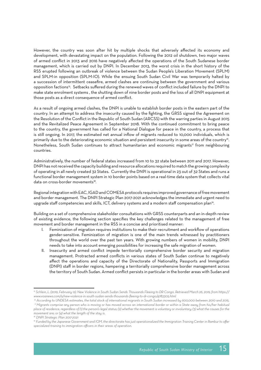However, the country was soon after hit by multiple shocks that adversely affected its economy and development, with devastating impact on the population. Following the 2012 oil shutdown, two major waves of armed conflict in 2013 and 2016 have negatively affected the operations of the South Sudanese border management, which is carried out by DNPI. In December 2013, the worst crisis in the short history of the RSS erupted following an outbreak of violence between the Sudan People's Liberation Movement (SPLM) and SPLM-in opposition (SPLM-IO). While the ensuing South Sudan Civil War was temporarily halted by a succession of intermittent ceasefire, armed clashes are continuing between the government and various opposition factions<sup>15</sup>. Setbacks suffered during the renewed waves of conflict included failure by the DNPI to make state enrolment systems , the shutting down of nine border posts and the loss of all DNPI equipment at those posts as a direct consequence of armed conflict.

As a result of ongoing armed clashes, the DNPI is unable to establish border posts in the eastern part of the country. In an attempt to address the insecurity caused by the fighting, the GRSS signed the Agreement on the Resolution of the Conflict in the Republic of South Sudan (ARCSS) with the warring parties in August 2015 and the Revitalized Peace Agreement in September 2018. With the continued commitment to bring peace to the country, the government has called for a National Dialogue for peace in the country, a process that is still ongoing. In 2017, the estimated net annual inflow of migrants reduced to 10,000 individuals, which is primarily due to the deteriorating economic situation and persistent insecurity in some areas of the country<sup>16</sup>. Nonetheless, South Sudan continues to attract humanitarian and economic migrants<sup>17</sup> from neighbouring countries.

Administratively, the number of federal states increased from 10 to 32 state between 2011 and 2017. However, DNPI has not received the capacity building and resource allocations required to match the growing complexity of operating in all newly created 32 States. Currently the DNPI is operational in 23 out of 32 States and runs a functional border management system in 10 border points based on a real-time data system that collects vital data on cross-border movements<sup>18</sup>.

Regional integration with EAC, IGAD and COMESA protocols requires improved governance of free movement and border management. The DNPI Strategic Plan 2017-2021 acknowledges the immediate and urgent need to upgrade staff competencies and skills, ICT, delivery systems and a modern staff compensation plan<sup>19</sup>.

Building on a set of comprehensive stakeholder consultations with GRSS counterparts and an in-depth review of existing evidence, the following section specifies the key challenges related to the management of free movement and border management in the RSS in a concise and prioritised manner:

- I. Feminization of migration requires institutions to make their recruitment and workflow of operations gender-sensitive. Feminization of migration is one of the main trends witnessed by practitioners throughout the world over the past ten years. With growing numbers of women in mobility, DNPI needs to take into account emerging possibilities for increasing the safe migration of women.
- II. Insecurity and armed conflict impede territorially comprehensive border security and migration management. Protracted armed conflicts in various states of South Sudan continue to negatively affect the operations and capacity of the Directorate of Nationality, Passports and Immigration (DNPI) staff in border regions, hampering a territorially comprehensive border management across the territory of South Sudan. Armed conflict persists in particular in the border areas with Sudan and

*<sup>15</sup> Schlein, L. (2019, February 12). New Violence in South Sudan Sends Thousands Fleeing to DR Congo. Retrieved March 26, 2019, from https:// www.voanews.com/a/new-violence-in-south-sudan-sends-thousands-fleeing-to-dr-congo/4783305.html*

 *<sup>16</sup> According to UNDESA estimates, the total stock of international migrants in South Sudan increased by 600,000 between 2010 and 2015. 17 Migrants comprise any person who is moving or has moved across an international border or within a State away from his/her habitual place of residence, regardless of (1) the person's legal status; (2) whether the movement is voluntary or involuntary; (3) what the causes for the movement are; or (4) what the length of the stay is.*

*<sup>18</sup> DNPI Strategic Plan 2017-2021*

*<sup>19</sup> Funded by the Japanese Government and IOM, the directorate has just operationalized the Immigration Training Center in Rambur to offer specialized training to immigration officers in their areas of operation.*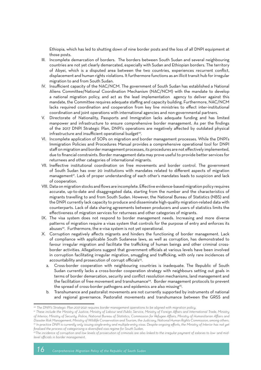Ethiopia, which has led to shutting down of nine border posts and the loss of all DNPI equipment at those posts.

- III. Incomplete demarcation of borders. The borders between South Sudan and several neighbouring countries are not yet clearly demarcated, especially with Sudan and Ethiopian borders. The territory of Abyei, which is a disputed area between the two countries, experiences recurrent conflict, displacement and human rights violations. It furthermore functions as an illicit transit hub for irregular migration to and from South Sudan.
- IV. Insufficient capacity of the NAC/NCM. The government of South Sudan has established a National Aliens Committee/National Coordination Mechanism (NAC/NCM) with the mandate to develop a national migration policy, and act as the lead implementation agency to deliver against this mandate, the Committee requires adequate staffing and capacity building. Furthermore, NAC/NCM lacks required coordination and cooperation from key line ministries to effect inter-institutional coordination and joint operations with international agencies and non-governmental partners.
- V. Directorate of Nationality, Passports and Immigration lacks adequate funding and has limited manpower and infrastructure to ensure comprehensive border management. As per the findings of the 2017 DNPI Strategic Plan, DNPI's operations are negatively affected by outdated physical infrastructure and insufficient operational budget<sup>20</sup>.
- VI. Incomplete application of SOPs on migration and border management processes. While the DNPI's Immigration Policies and Procedures Manual provides a comprehensive operational tool for DNPI staff on migration and border management processes, its procedures are not effectively implemented, due to financial constraints. Border management data may prove useful to provide better services for returnees and other categories of international migrants.
- VII. Ineffective institutional coordination on free movements and border control. The government of South Sudan has over 20 institutions with mandates related to different aspects of migration management<sup>21</sup>. Lack of proper understanding of each other's mandates leads to suspicion and lack of cooperation.
- VIII. Data on migration stocks and flows are incomplete. Effective evidence-based migration policy requires accurate, up-to-date and disaggregated data, starting from the number and the characteristics of migrants travelling to and from South Sudan. However, the National Bureau of Statistics (NBS) and the DNPI currently lack capacity to produce and disseminate high-quality migration-related data with counterparts. Lack of data sharing agreements between producers and users of statistics limits the effectiveness of migration services for returnees and other categories of migrants.
- IX. The visa system does not respond to border management needs. Increasing and more diverse patterns of migration require a visas system that controls for the purpose of entry and enforces its abuses<sup>22</sup>. Furthermore, the e-visa system is not yet operational.
- X. Corruption negatively affects migrants and hinders the functioning of border management. Lack of compliance with applicable South Sudanese laws, as well as corruption, has demonstrated to favour irregular migration and facilitate the trafficking of human beings and other criminal crossborder activities. Allegations suggest that government officials at various levels have been involved in corruption facilitating irregular migration, smuggling and trafficking, with only rare incidences of accountability and prosecution of corrupt officials<sup>23</sup>.
	- a. Cross-border cooperation with neighbouring countries is inadequate. The Republic of South Sudan currently lacks a cross-border cooperation strategy with neighbours setting out goals in terms of border demarcation, security and conflict resolution mechanisms, land management and the facilitation of free movement and transhumance<sup>24</sup>. Border management protocols to prevent the spread of cross-border pathogens and epidemics are also missing<sup>25</sup>.
	- b. Transhumance and pastoralist movements are not currently supported by instruments of national and regional governance. Pastoralist movements and transhumance between the GRSS and

*<sup>20</sup> The DNPI's Strategic Plan 2017-2021 requires border management operations to be aligned with migration policy.* 

*<sup>21</sup> These include the Ministry of Justice; Ministry of Labour and Public Service, Ministry of Foreign Affairs and International Trade, Ministry of Interior, Ministry of Security, Police, National Bureau of Statistics, Commission for Refugee Affairs, Ministry of Humanitarian Affairs and Disaster Risk Management, Ministry of Wildlife Conservation and Tourism, the Judiciary, National Human Rights Commission, among others.* <sup>22</sup> In practice DNPI is currently only issuing single-entry and multiple-entry visas. Despite ongoing efforts, the Ministry of Interior has not yet *finalised the process of categorising a diversified visa regime for South Sudan.*

*<sup>23</sup>The incidence of corruption and low levels of prosecution of criminals are also linked to the irregular payment of salaries to low- and midlevel officials in border management.*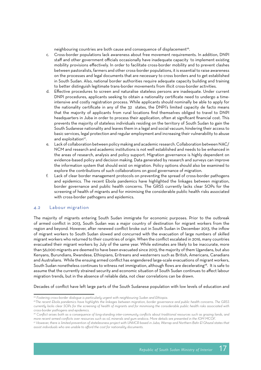neighbouring countries are both cause and consequence of displacement<sup>26</sup>.

- c. Cross-border populations lack awareness about free movement requirements. In addition, DNPI staff and other government officials occasionally have inadequate capacity to implement existing mobility provisions effectively. In order to facilitate cross-border mobility and to prevent clashes between pastoralists, farmers and other cross-border populations, it is essential to raise awareness on the processes and legal documents that are necessary to cross borders and to get established in South Sudan. Also, national border authorities require adequate capacity building and training to better distinguish legitimate trans-border movements from illicit cross-border activities.
- d. Effective procedures to screen and naturalise stateless persons are inadequate. Under current DNPI procedures, applicants seeking to obtain a nationality certificate need to undergo a timeintensive and costly registration process. While applicants should nominally be able to apply for the nationality certificate in any of the 32 states, the DNPI's limited capacity de facto means that the majority of applicants from rural locations find themselves obliged to travel to DNPI headquarters in Juba in order to process their application, often at significant financial cost. This prevents the majority of stateless individuals residing on the territory of South Sudan to gain the South Sudanese nationality and leaves them in a legal and social vacuum, hindering their access to basic services, legal protection and regular employment and increasing their vulnerability to abuse and exploitation<sup>27</sup>.
- e. Lack of collaboration between policy making and academic research. Collaboration between NAC/ NCM and research and academic institutions is not well established and needs to be enhanced in the areas of research, analysis and policy support. Migration governance is highly dependent on evidence-based policy and decision making. Data generated by research and surveys can improve the information system that should exist on migration. Policy options should also be examined to explore the contributions of such collaborations on good governance of migration.
- f. Lack of clear border management protocols on preventing the spread of cross-border pathogens and epidemics. The recent Ebola pandemics have highlighted the linkages between migration, border governance and public health concerns. The GRSS currently lacks clear SOPs for the screening of health of migrants and for minimising the considerable public health risks associated with cross-border pathogens and epidemics.

#### 4.2 Labour migration

The majority of migrants entering South Sudan immigrate for economic purposes. Prior to the outbreak of armed conflict in 2013, South Sudan was a major country of destination for migrant workers from the region and beyond. However, after renewed conflict broke out in South Sudan in December 2013, the inflow of migrant workers to South Sudan slowed and concurred with the evacuation of large numbers of skilled migrant workers who returned to their countries of origin. When the conflict escalated in 2016, many countries evacuated their migrant workers by July of the same year. While estimates are likely to be inaccurate, more than 56,000 migrants are deemed to have been evacuated since 2013, the majority of them Ugandans, but also Kenyans, Burundians, Rwandese, Ethiopians, Eritreans and westerners such as British, Americans, Canadians and Australians. While the ensuing armed conflict has engendered large-scale evacuations of migrant workers, South Sudan nonetheless continues to witness net immigration, although flows are decelerating<sup>28</sup>. It is safe to assume that the currently strained security and economic situation of South Sudan continues to affect labour migration trends, but in the absence of reliable data, not clear correlations can be drawn.

Decades of conflict have left large parts of the South Sudanese population with low levels of education and

*<sup>24</sup> Fostering cross-border dialogue is particularly urgent with neighbouring Sudan and Ethiopia.* 

*<sup>25</sup>The recent Ebola pandemics have highlights the linkages between migration, border governance and public health concerns. The GRSS currently lacks clear SOPs for the screening of health of migrants and for minimising the considerable public health risks associated with cross-border pathogens and epidemics.*

*<sup>26</sup> Conflict arises both as a consequence of long-standing inter-community conflicts about traditional resources such as grazing lands, and more recent armed conflicts over resources such as oil, minerals and gum arabica. More details are presented in the IOM MCOF.* 

*<sup>27</sup> However, there is limited prevention of statelessness project with UNHCR based in Juba, Warrap and Northern Bahr El Ghazal states that assist individuals who are unable to afford the cost for nationality documents.*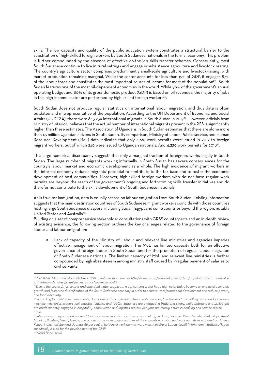skills. The low capacity and quality of the public education system constitutes a structural barrier to the substitution of high-skilled foreign workers by South Sudanese nationals in the formal economy. This problem is further compounded by the absence of effective on-the-job skills transfer schemes. Consequently, most South Sudanese continue to live in rural settings and engage in subsistence agriculture and livestock rearing. The country's agriculture sector comprises predominantly small-scale agriculture and livestock-raising, with market production remaining marginal. While the sector accounts for less than 15% of GDP, it engages 87% of the labour force and constitutes the most important source of income for most of the population<sup>29</sup>. South Sudan features one of the most oil-dependent economies in the world. While 98% of the government's annual operating budget and 80% of its gross domestic product (GDP) is based on oil revenues, the majority of jobs in this high-income sector are performed by high-skilled foreign workers<sup>30</sup>.

South Sudan does not produce regular statistics on international labour migration, and thus data is often outdated and misrepresentative of the population. According to the UN Department of Economic and Social Affairs (UNDESA), there were 845,239 international migrants in South Sudan in 2017<sup>31</sup>. However, officials from Ministry of Interior, believes that the actual number of international migrants present in the RSS is significantly higher than these estimates. The Association of Ugandans in South Sudan estimates that there are alone more than 1.5 million Ugandan citizens in South Sudan. By comparison, Ministry of Labor, Public Service, and Human Resource Development (MoL) data indicates that only 4,661 work permits were issued in 2017 to foreign migrant workers, out of which 249 were issued to Ugandan nationals. And 4,339 work permits for 201832.

This large numerical discrepancy suggests that only a marginal fraction of foreigners works legally in South Sudan. The large number of migrants working informally in South Sudan has severe consequences for the country's labour market and economic development as a whole. The high incidence of migrant workers in the informal economy reduces migrants' potential to contribute to the tax base and to foster the economic development of host communities. Moreover, high-skilled foreign workers who do not have regular work permits are beyond the reach of the government's ongoing and forthcoming skills transfer initiatives and do therefor not contribute to the skills development of South Sudanese nationals.

As is true for immigration, data is equally scarce on labour emigration from South Sudan. Existing information suggests that the main destination countries of South Sudanese migrant workers coincide with those countries hosting large South Sudanese diaspora, including Sudan, Egypt and some countries beyond the region, notably United States and Australia<sup>33</sup>.

Building on a set of comprehensive stakeholder consultations with GRSS counterparts and an in-depth review of existing evidence, the following section outlines the key challenges related to the governance of foreign labour and labour emigration:

a. Lack of capacity of the Ministry of Labour and relevant line ministries and agencies impedes effective management of labour migration. The MoL has limited capacity both for an effective governance of foreign labour in South Sudan and for the promotion of regular labour migration of South Sudanese nationals. The limited capacity of MoL and relevant line ministries is further compounded by high absenteeism among ministry staff caused by irregular payment of salaries to civil servants.

*<sup>28</sup> UNDESA, Migration Stock Mid-Year 2017, available from source: http://www.un.org/en/development/desa/population/migration/data/ estimates2/estimates17.shtml (accessed 20 November 2018).*

*<sup>29</sup> Due to the country's fertile soils and abundant water supplies, the agricultural sector has a high potential to become an engine of economic growth and foster the diversification of the South Sudanese economy in order to achieve transformational development and reduce poverty and food insecurity.*

*<sup>30</sup> According to qualitative assessments, Ugandans and Somalis are active in hotel services, fuel transport and selling, water and sanitation, machine mechanics, traders fuel industry, logistics and NGOs. Sudanese are engaged in trade and shops, while Eritreans and Ethiopians are predominantly engaged in hospitality, construction and logistics sectors. Kenyans are mostly active in banking and service sectors. 31 Ibid.*

*<sup>32</sup> International migrant workers tend to concentrate in cities and towns, particularly in Juba, Yambio, Wau, Nimule, Renk, Raja, Aweil, Malakal, Rumbek, Nassir, kuajok, and palouch. The main origin countries of the migrants who obtained work permits in 2017 are from China, Kenya, India, Pakistan and Uganda. 86 per cent of holders of work permits were men. Ministry of Labour (2018). Work Permit Statistics Report specifically issued for the development of the CMP.*

*<sup>33</sup> World Bank (2016).*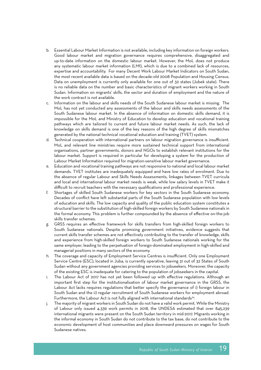- b. Essential Labour Market Information is not available, including key information on foreign workers. Good labour market and migration governance requires comprehensive, disaggregated and up-to-date information on the domestic labour market. However, the MoL does not produce any systematic labour market information (LMI), which is due to a combined lack of resources, expertise and accountability. For many Decent Work Labour Market Indicators on South Sudan, the most recent available data is based on the decade-old 2008 Population and Housing Census. Data on unemployment is currently only available for one out of 32 states (Jubek state). There is no reliable data on the number and basic characteristics of migrant workers working in South Sudan. Information on migrants' skills, the sector and duration of employment and the nature of the work contract is not available.
- c. Information on the labour and skills needs of the South Sudanese labour market is missing. The MoL has not yet conducted any assessments of the labour and skills needs assessments of the South Sudanese labour market. In the absence of information on domestic skills demand, it is impossible for the MoL and Ministry of Education to develop education and vocational training pathways which are tailored to current and future labour market needs. As such, the lack of knowledge on skills demand is one of the key reasons of the high degree of skills mismatches generated by the national technical vocational education and training (TVET) system.
- d. Technical cooperation with international partners on labour migration governance is insufficient. MoL and relevant line ministries require more sustained technical support from international organisations, partner governments, donors and NGOs to establish relevant institutions for the labour market. Support is required in particular for developing a system for the production of Labour Market Information required for migration-sensitive labour market governance.
- e. Education and vocational training pathways are not responsive to national and local labour market demands. TVET institutes are inadequately equipped and have low rates of enrolment. Due to the absence of regular Labour and Skills Needs Assessments, linkages between TVET curricula and local and international labour market needs is weak, while low salary levels in TVET make it difficult to recruit teachers with the necessary qualifications and professional experience.
- f. Shortages of skilled South Sudanese workers for key sectors in the South Sudanese economy. Decades of conflict have left substantial parts of the South Sudanese population with low levels of education and skills. The low capacity and quality of the public education system constitutes a structural barrier to the substitution of high-skilled foreign workers by South Sudanese nationals in the formal economy. This problem is further compounded by the absence of effective on-the-job skills transfer schemes.
- g. GRSS requires an effective framework for skills transfers from high-skilled foreign workers to South Sudanese nationals. Despite promising government initiatives, evidence suggests that current skills transfer schemes are not effectively contributing to the transfer of knowledge, skills and experience from high-skilled foreign workers to South Sudanese nationals working for the same employer, leading to the perpetuation of foreign-dominated employment in high-skilled and managerial positions in many sectors of the economy.
- h. The coverage and capacity of Employment Service Centres is insufficient. Only one Employment Service Centre (ESC), located in Juba, is currently operative, leaving 31 out of 32 States of South Sudan without any government agencies providing services to jobseekers. Moreover, the capacity of the existing ESC is inadequate for catering to the population of jobseekers in the capital.
- i. The Labour Act of 2017 has not yet been followed up with effective regulations. Although an important first step for the institutionalisation of labour market governance in the GRSS, the Labour Act lacks requires regulations that better specify the governance of i) foreign labour in South Sudan and the ii) regular recruitment of South Sudanese workers for employment abroad. Furthermore, the Labour Act is not fully aligned with international standards<sup>34</sup>.
- j. The majority of migrant workers in South Sudan do not have a valid work permit. While the Ministry of Labour only issued 4,339 work permits in 2018, the UNDESA estimated that over 845,239 international migrants were present on the South Sudan territory in mid-2017. Migrants working in the informal economy in South Sudan do not contribute to the tax base, do not contribute to the economic development of host communities and place downward pressures on wages for South Sudanese natives.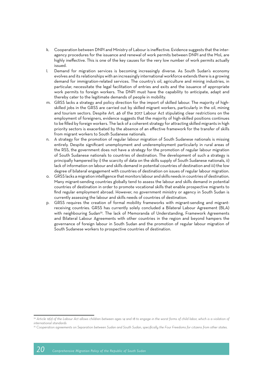- k. Cooperation between DNPI and Ministry of Labour is ineffective. Evidence suggests that the interagency procedures for the issuance and renewal of work permits between DNPI and the MoL are highly ineffective. This is one of the key causes for the very low number of work permits actually issued.
- l. Demand for migration services is becoming increasingly diverse. As South Sudan's economy evolves and its relationships with an increasingly international workforce extends there is a growing demand for immigration-related services. The country's oil, agriculture and mining industries, in particular, necessitate the legal facilitation of entries and exits and the issuance of appropriate work permits to foreign workers. The DNPI must have the capability to anticipate, adapt and thereby cater to the legitimate demands of people in mobility.
- m. GRSS lacks a strategy and policy direction for the import of skilled labour. The majority of highskilled jobs in the GRSS are carried out by skilled migrant workers, particularly in the oil, mining and tourism sectors. Despite Art. 46 of the 2017 Labour Act stipulating clear restrictions on the employment of foreigners, evidence suggests that the majority of high-skilled positions continues to be filled by foreign workers. The lack of a coherent strategy for attracting skilled migrants in high priority sectors is exacerbated by the absence of an effective framework for the transfer of skills from migrant workers to South Sudanese nationals.
- n. A strategy for the promotion of regular labour migration of South Sudanese nationals is missing entirely. Despite significant unemployment and underemployment particularly in rural areas of the RSS, the government does not have a strategy for the promotion of regular labour migration of South Sudanese nationals to countries of destination. The development of such a strategy is principally hampered by i) the scarcity of data on the skills supply of South Sudanese nationals, ii) lack of information on labour and skills demand in potential countries of destination and iii) the low degree of bilateral engagement with countries of destination on issues of regular labour migration.
- o. GRSS lacks a migration intelligence that monitors labour and skills needs in countries of destination. Many migrant-sending countries globally tend to assess the labour and skills demand in potential countries of destination in order to promote vocational skills that enable prospective migrants to find regular employment abroad. However, no government ministry or agency in South Sudan is currently assessing the labour and skills needs of countries of destination.
- p. GRSS requires the creation of formal mobility frameworks with migrant-sending and migrantreceiving countries. GRSS has currently solely concluded a Bilateral Labour Agreement (BLA) with neighbouring Sudan<sup>35</sup>. The lack of Memoranda of Understanding, Framework Agreements and Bilateral Labour Agreements with other countries in the region and beyond hampers the governance of foreign labour in South Sudan and the promotion of regular labour migration of South Sudanese workers to prospective countries of destination.

*<sup>34</sup> Article 12(2) of the Labour Act allows children between ages 14 and 18 to engage in the worst forms of child labor, which is a violation of international standards*

*<sup>35</sup> Cooperation agreements on Separation between Sudan and South Sudan, specifically the Four Freedoms for citizens from other states.*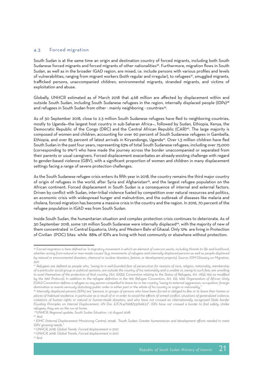#### 4.3 Forced migration

South Sudan is at the same time an origin and destination country of forced migrants, including both South Sudanese forced migrants and forced migrants of other nationalities<sup>36</sup>. Furthermore, migration flows in South Sudan, as well as in the broader IGAD region, are mixed, i.e. include persons with various profiles and levels of vulnerabilities, ranging from migrant workers (both regular and irregular), to refugees<sup>37</sup>, smuggled migrants, trafficked persons, unaccompanied children, environmental migrants, stranded migrants, and victims of exploitation and abuse.

Globally, UNHCR estimated as of March 2018 that 4.68 million are affected by displacement within and outside South Sudan, including South Sudanese refugees in the region, internally displaced people (IDPs)38 and refugees in South Sudan from other - mainly neighboring - countries<sup>39</sup>.

As of 30 September 2018, close to 2.3 million South Sudanese refugees have fled to neighboring countries, mostly to Uganda—the largest host country in sub-Saharan Africa—, followed by Sudan, Ethiopia, Kenya, the Democratic Republic of the Congo (DRC) and the Central African Republic (CAR)<sup>40</sup>. The large majority is composed of women and children, accounting for over 90 percent of South Sudanese refugees in Gambella, Ethiopia, and over 85 percent of latest arrivals in Kiryandongo, Uganda<sup>41</sup>. Over 1.3 million children have fled South Sudan in the past four years, representing 63% of total South Sudanese refugees, including over 75,000 (corresponding to 9%42) who have made the journey across the border unaccompanied or separated from their parents or usual caregivers. Forced displacement exacerbates an already-existing challenge with regard to gender-based violence (GBV), with a significant proportion of women and children in many displacement settings facing a range of severe protection challenges.

As the South Sudanese refugee crisis enters its fifth year in 2018, the country remains the third major country of origin of refugees in the world, after Syria and Afghanistan43, and the largest refugee population on the African continent. Forced displacement in South Sudan is a consequence of internal and external factors. Driven by conflict with Sudan, inter-tribal violence fueled by competition over natural resources and politics, an economic crisis with widespread hunger and malnutrition, and the outbreak of diseases like malaria and cholera, forced migration has become a massive crisis in the country and the region. In 2016, 70 percent of the refugee population in IGAD was from South Sudan.

Inside South Sudan, the humanitarian situation and complex protection crisis continues to deteriorate. As of 30 September 2018, some 1.91 million South Sudanese were internally displaced44, with the majority of new of them concentrated in Central Equatoria, Unity, and Western Bahr el Ghazal. Only 12% are living in Protection of Civilian (POC) Sites while 88% of IDPs are living with host community or elsewhere without protection.

*<sup>36</sup> Forced migration is here defined as "a migratory movement in which an element of coercion exists, including threats to life and livelihood,*  whether arising from natural or man-made causes" (e.g. movements of refugees and internally displaced persons as well as people displaced *by natural or environmental disasters, chemical or nuclear disasters, famine, or development projects). Source: IOM Glossary on Migration, 2011*

*<sup>37</sup> Refugees are defined as people who, "owing to a well-founded fear of persecution for reasons of race, religion, nationality, membership of a particular social group or political opinions, are outside the country of his nationality and is unable or, owing to such fear, are unwilling to avail themselves of the protection of that country. (Art. 1(A)(2), Convention relating to the Status of Refugees, Art. 1A(2), 1951 as modified by the 1967 Protocol). In addition to the refugee definition in the 1951 Refugee Convention, Art. 1(2), 1969 Organization of African Unity (OAU) Convention defines a refugee as any person compelled to leave his or her country "owing to external aggression, occupation, foreign domination or events seriously disturbing public order in either part or the whole of his country or origin or nationality."* 

*<sup>38</sup> Internally displaced persons (IDPs) are "persons or groups of persons who have been forced or obliged to flee or to leave their homes or places of habitual residence, in particular as a result of or in order to avoid the effects of armed conflict, situations of generalized violence, violations of human rights or natural or human-made disasters, and who have not crossed an internationally recognized State border (Guiding Principles on Internal Displacement, UN Doc E/CN.4/1998/53/Add.2.)". IDPs have not crossed a border to find safety. Unlike refugees, they are on the run at home.*

*<sup>39</sup>UNHCR, Regional update, South Sudan Situation, 1-31 August 2018.* 

*<sup>40</sup> Ibid.*

*<sup>41</sup> IDMC (Internal Displacement Monitoring Centre). 2014b. "South Sudan: Greater humanitarian and development efforts needed to meet IDPs' growing needs."* 

*<sup>42</sup> UNHCR, 2018, Global Trends. Forced displacement in 2017.*

*<sup>43</sup> UNHCR, 2018, Global Trends. Forced displacement in 2017.*

*<sup>44</sup> Ibid.*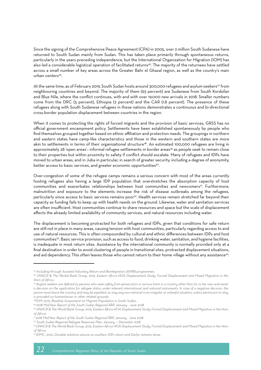Since the signing of the Comprehensive Peace Agreement (CPA) in 2005, over 2 million South Sudanese have returned to South Sudan mainly from Sudan. This has taken place primarily through spontaneous returns, particularly in the years preceding independence, but the International Organization for Migration (IOM) has also led a considerable logistical operation of facilitated returns<sup>45</sup>. The majority of the returnees have settled across a small number of key areas across the Greater Bahr el Ghazal region, as well as the country's main urban centers<sup>46</sup>.

At the same time, as of February 2019, South Sudan hosts around 300,000 refugees and asylum seekers<sup>47</sup> from neighbouring countries and beyond. The majority of them (93 percent) are Sudanese from South Kordofan and Blue Nile, where the conflict continues, with and with over 19,000 new arrivals in 2018. Smaller numbers come from the DRC (5 percent), Ethiopia (2 percent) and the CAR (1.8 percent). The presence of these refugees along with South Sudanese refugees in these nations demonstrates a continuous and bi-directional cross-border population displacement between countries in the region.

When it comes to protecting the rights of forced migrants and the provision of basic services, GRSS has no official government encampment policy. Settlements have been established spontaneously by people who find themselves grouped together based on ethnic affiliation and protection needs. The groupings in northern and eastern states have camp-like characteristics and those in the western and southern states are more akin to settlements in terms of their organizational structure<sup>48</sup>. An estimated 100,000 refugees are living in approximately 28 'open areas'- informal refugee settlements in border areas<sup>49</sup> as people seek to remain close to their properties but within proximity to safety if conflict should escalate. Many of refugees and IDPs have moved to urban areas, and in Juba in particular, in search of greater security, including a degree of anonymity, better access to basic services, and greater economic opportunities<sup>50</sup>.

Over-congestion of some of the refugee camps remains a serious concern with most of the areas currently hosting refugees also having a large IDP population that overstretches the absorption capacity of host communities and exacerbates relationships between host communities and newcomers<sup>51</sup>. Furthermore, malnutrition and exposure to the elements increase the risk of disease outbreaks among the refugees, particularly since access to basic services remains poor<sup>52</sup>. Health services remain stretched far beyond their capacity as funding fails to keep up with health needs on the ground. Likewise, water and sanitation services are often insufficient. Host communities continue to share resources and space but the scale of displacement affects the already limited availability of community services, and natural resources including water.

The displacement is becoming protracted for both refugees and IDPs, given that conditions for safe return are still not in place in many areas, causing tension with host communities, particularly regarding access to and use of natural resources. This is often compounded by cultural and ethnic differences between IDPs and host communities53. Basic service provision, such as access to food, drinking water, sanitation, and hygiene facilities, is inadequate in most return sites. Assistance by the international community is normally provided only at a final destination in order to avoid clustering of people in transitional sites, protracted displacement situations, and aid dependency. This often leaves those who cannot return to their home village without any assistance<sup>54</sup>.

*<sup>45</sup> Including through Assisted Voluntary Return and Reintegration (AVRR) programmes.*

*<sup>46</sup> UNHCR & The Workd Bank Group, 2015, Eastern Africa HOA Displacement Study: Forced Displacement and Mixed Migration in the Horn of Africa.* 

*<sup>47</sup> Asylum seekers are defined as persons who seek safety from persecution or serious harm in a country other than his or her own and await a decision on the application for refugee status under relevant international and national instruments. In case of a negative decision, the person must leave the country and may be expelled, as may any non-national in an irregular or unlawful situation, unless permission to stay is provided on humanitarian or other related grounds.*

*<sup>48</sup>IOM, 2015, Baseline Assessment on Migrant Population in South Sudan.*

*<sup>49 2018</sup> Mid-Year Report of the South Sudan Regional RRP, January - June 2018*

*<sup>50</sup> UNHCR & The World Bank Group, 2015, Eastern Africa HOA Displacement Study: Forced Displacement and Mixed Migration in the Horn of Africa.*

*<sup>51 2018</sup> Mid-Year Report of the South Sudan Regional RRP, January - June 2018*

*<sup>52</sup> South Sudan Regional Refugee Response Plan, January — December 2018*

*<sup>53</sup> UNHCR & The World Bank Group, 2015, Eastern Africa HOA Displacement Study: Forced Displacement and Mixed Migration in the Horn of Africa.*

*<sup>54</sup> IDMC, 2010, Durable solutions elusive as southern IDPs return and Darfur remains tense.*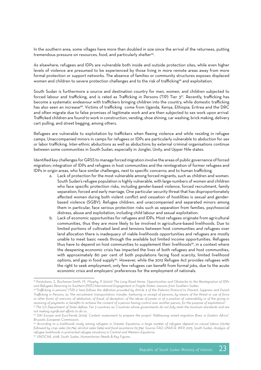In the southern area, some villages have more than doubled in size since the arrival of the returnees, putting tremendous pressure on resources, food, and particularly shelter<sup>55</sup>.

As elsewhere, refugees and IDPs are vulnerable both inside and outside protection sites, while even higher levels of violence are presumed to be experienced by those living in more remote areas away from more formal protection or support networks. The absence of families or community structures exposes displaced women and children to severe protection challenges and to the risk of trafficking<sup>56</sup> and exploitation.

South Sudan is furthermore a source and destination country for men, women, and children subjected to forced labour and trafficking, and is rated as Trafficking in Persons (TIP) Tier 357. Recently, trafficking has become a systematic endeavour with traffickers bringing children into the country, while domestic trafficking has also seen an increase<sup>58</sup>. Victims of trafficking come from Uganda, Kenya, Ethiopia, Eritrea and the DRC and often migrate due to false promises of legitimate work and are then subjected to sex work upon arrival. Trafficked children are found to work in construction, vending, shoe shining, car washing, brick making, delivery cart pulling, and street begging, among others.

Refugees are vulnerable to exploitation by traffickers when fleeing violence and while residing in refugee camps. Unaccompanied minors in camps for refugees or IDPs are particularly vulnerable to abduction for sex or labor trafficking. Inter-ethnic abductions as well as abductions by external criminal organisations continue between some communities in South Sudan, especially in Jonglei, Unity, and Upper Nile states.

Identified key challenges for GRSS to manage forced migration involve the areas of public governance of forced migration; integration of IDPs and refugees in host communities and the reintegration of former refugees and IDPs in origin areas, who face similar challenges, next to specific concerns; and to human trafficking.

- a. Lack of protection for the most vulnerable among forced migrants, such as children and women. South Sudan's refugee population is highly vulnerable, with large numbers of women and children who face specific protection risks, including gender-based violence, forced recruitment, family separation, forced and early marriage. One particular security threat that has disproportionately affected women during both violent conflict and cessation of hostilities is sexual and genderbased violence (SGBV). Refugee children, and unaccompanied and separated minors among them in particular, face serious protection risks such as separation from families, psychosocial distress, abuse and exploitation, including child labour and sexual exploitation.
- b. Lack of economic opportunities for refugees and IDPs. Most refugees originate from agricultural communities, thus they are more likely to be involved in agriculture-based livelihoods. Due to limited portions of cultivated land and tensions between host communities and refugees over land allocation there is inadequacy of viable livelihoods opportunities and refugees are mostly unable to meet basic needs through the available but limited income opportunities. Refugees thus have to depend on host communities to supplement their livelihoods<sup>59</sup>, in a context where the deepening economic crisis has impacted the lives of both refugees and host communities, with approximately 80 per cent of both populations facing food scarcity, limited livelihood options, and gap in food supply<sup>60</sup>. However, while the 2012 Refugee Act provides refugees with the right to seek employment, only few refugees can benefit from formal jobs, due to the acute economic crisis and employers' preferences for the employment of nationals.

*<sup>55</sup> Pantuliano, S., Buchanan-Smith, M., Murphy, P. (2007) 'The Long Road Home. Opportunities and Obstacles to the Reintegration of IDPs and Refugees Returning to Southern (PDF) International Engagement in Fragile States: Lessons from Southern Sudan.*

*<sup>56&</sup>quot;Trafficking in persons" (TiP) is here follows the definition provided by Article 3 of the Palermo Protocol to Prevent, Suppress and Punish Trafficking in Persons, as "the recruitment, transportation, transfer, harboring or receipt of persons, by means of the threat or use of force or other forms of coercion, of abduction, of fraud, of deception, of the abuse of power or of a position of vulnerability or of the giving or receiving of payments or benefits to achieve the consent of a person having control over another person, for the purpose of exploitation".*

*<sup>57</sup> The U.S Department of State defines Tier 3 countries as: Countries whose governments do not fully meet the minimum standards and are not making significant efforts to do so.*

*<sup>58</sup> DAI Europe and EuroTrends (2015). Context assessment to prepare the project "Addressing mixed migration flows in Eastern Africa". Brussels: European Commission.*

*<sup>59</sup> According to a livelihoods study among refugees in Greater Equatoria, a large number of refugees depend on casual labour (23.1%) followed by crop sales (22.7%), alcohol sales (14%) and food assistance (12.3%). Source: FAO, UNHCR, WFP, 2015, South Sudan, Analysis of refugee livelihoods in protracted refugee situations in Central and Western Equatoria.*

*<sup>60</sup> UNOCHA, 2018, South Sudan, Humanitarian Needs & Key Figures.*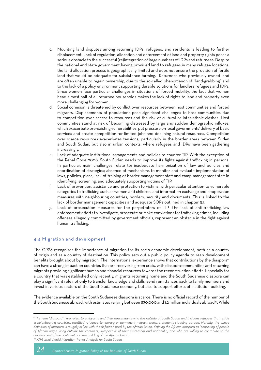- c. Mounting land disputes among returning IDPs, refugees, and residents is leading to further displacement. Lack of regulation, allocation and enforcement of land and property rights poses a serious obstacle to the successful (re)integration of large numbers of IDPs and returnees. Despite the national and state government having provided land to refugees in many refugee locations, the land allocation process is geographically limited and does not ensure the provision of fertile land that would be adequate for subsistence farming. Returnees who previously owned land are often unable to regain ownership, due to the so-called phenomenon of "land-grabbing" and to the lack of a policy environment supporting durable solutions for landless refugees and IDPs. Since women face particular challenges in situations of forced mobility, the fact that women head almost half of all returnee households makes the lack of rights to land and property even more challenging for women.
- d. Social cohesion is threatened by conflict over resources between host communities and forced migrants. Displacements of populations pose significant challenges to host communities due to competition over access to resources and the risk of cultural or inter-ethnic clashes. Host communities stand at risk of becoming distressed by large and sudden demographic influxes, which exacerbate pre-existing vulnerabilities, put pressure on local governments' delivery of basic services and create competition for limited jobs and declining natural resources. Competition over scarce resources exacerbates tensions, particularly in the border areas between Sudan and South Sudan, but also in urban contexts, where refugees and IDPs have been gathering increasingly.
- e. Lack of adequate institutional arrangements and policies to counter TiP. With the exception of the Penal Code 2008, South Sudan needs to improve its fights against trafficking in persons. In particular, main challenges relate to: inadequate harmonization of law and policies and coordination of strategies; absence of mechanisms to monitor and evaluate implementation of laws, policies, plans; lack of training of border management staff and camp management staff in identifying, screening, and adequately supporting victims of TIP.
- f. Lack of prevention, assistance and protection to victims, with particular attention to vulnerable categories to trafficking such as women and children, and information exchange and cooperation measures with neighbouring countries; borders, security and documents. This is linked to the lack of border management capacities and adequate SOPs outlined in chapter 3.1.
- g. Lack of prosecution measures for the perpetrators of TIP. The lack of anti-trafficking law enforcement efforts to investigate, prosecute or make convictions for trafficking crimes, including offenses allegedly committed by government officials, represent an obstacle in the fight against human trafficking.

#### 4.4 Migration and development

The GRSS recognizes the importance of migration for its socio-economic development, both as a country of origin and as a country of destination. This policy sets out a public policy agenda to reap development benefits brought about by migration. The international experience shows that contributions by the diaspora<sup>61</sup> can have a strong impact on countries that are recovering from crisis, with diasporacommunities and returning migrants providing significant human and financial resources towards the reconstruction efforts. Especially for a country that was established only recently, migrants returning home and the South Sudanese diaspora can play a significant role not only to transfer knowledge and skills, send remittances back to family members and invest in various sectors of the South Sudanese economy, but also to support efforts of institution building.

The evidence available on the South Sudanese diaspora is scarce. There is no official record of the number of the South Sudanese abroad, with estimates varying between 830,000 and 1.2 million individuals abroad<sup>62</sup>. While

*<sup>61</sup>The term "diaspora" here refers to emigrants and their descendants who live outside of South Sudan and includes refugees that reside in neighbouring countries, resettled refugees, temporary or permanent migrant workers, students studying abroad. Notably, the above definition of diaspora is roughly in line with the definition used by the African Union, defining the African diaspora as "consisting of people of African origin living outside the continent, irrespective of their citizenship and nationality and who are willing to contribute to the development of the continent and the building of the African Union. 62 IOM, 2018, Rapid Migration Trends Analysis for South Sudan.*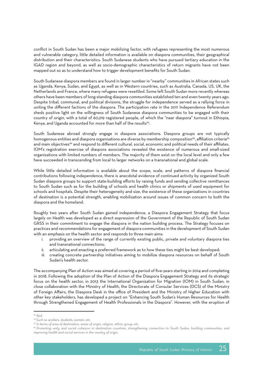conflict in South Sudan has been a major mobilizing factor, with refugees representing the most numerous and vulnerable category, little detailed information is available on diaspora communities, their geographical distribution and their characteristics. South Sudanese students who have pursued tertiary education in the IGAD region and beyond, as well as socio-demographic characteristics of return migrants have not been mapped out so as to understand how to trigger development benefits for South Sudan.

South Sudanese diaspora members are found in larger number in "nearby" communities in African states such as Uganda, Kenya, Sudan, and Egypt, as well as in Western countries, such as Australia, Canada, US, UK, the Netherlands and France, where many refugees were resettled. Some left South Sudan more recently whereas others have been members of long-standing diaspora communities established ten and even twenty years ago. Despite tribal, communal, and political divisions, the struggle for independence served as a rallying force in uniting the different factions of the diaspora. The participation rate in the 2011 Independence Referendum sheds positive light on the willingness of South Sudanese diaspora communities to be engaged with their country of origin, with a total of 60,219 registered people, of which the "near diaspora" turnout in Ethiopia, Kenya, and Uganda accounted for more than half of the results<sup>63</sup>.

South Sudanese abroad strongly engage in diaspora associations. Diaspora groups are not typically homogenous entities and diaspora organisations are diverse by membership composition<sup>64</sup>, affiliation criteria<sup>65</sup> and main objectives<sup>66</sup> and respond to different cultural, social, economic and political needs of their affiliates. IOM's registration exercise of diaspora associations revealed the existence of numerous and small-sized organizations with limited numbers of members. The majority of them exist on the local level and only a few have succeeded in transcending from local to larger networks on a transnational and global scale.

While little detailed information is available about the scope, scale, and patterns of diaspora financial contributions following independence, there is anecdotal evidence of continued activity by organized South Sudan diaspora groups to support state-building efforts by raising funds and sending collective remittances to South Sudan such as for the building of schools and health clinics or shipments of used equipment for schools and hospitals. Despite their heterogeneity and size, the existence of these organizations in countries of destination is a potential strength, enabling mobilization around issues of common concern to both the diaspora and the homeland.

Roughly two years after South Sudan gained independence, a Diaspora Engagement Strategy that focus largely on Health was developed as a direct expression of the Government of the Republic of South Sudan GRSS in their commitment to engage the diaspora in the nation building process. The Strategy focuses on practices and recommendations for engagement of diaspora communities in the development of South Sudan with an emphasis on the health sector and responds to three main aims:

- providing an overview of the range of currently existing public, private and voluntary diaspora ties and transnational connections;
- ii. articulating and enacting a preferred framework as to how these ties might be best developed;
- iii. creating concrete partnership initiatives aiming to mobilize diaspora resources on behalf of South Sudan's health sector.

The accompanying Plan of Action was aimed at covering a period of five-years starting in 2014 and completing in 2018. Following the adoption of the Plan of Action of the Diaspora Engagement Strategy and its strategic focus on the health sector, in 2013 the International Organization for Migration (IOM) in South Sudan, in close collaboration with the Ministry of Health, the Directorate of Consular Services (DCS) of the Ministry of Foreign Affairs, the Diaspora Desk in the office of President and the Ministry of Higher Education with other key stakeholders, has developed a project on "Enhancing South Sudan's Human Resources for Health through Strengthened Engagement of Health Professionals in the Diaspora". However, with the eruption of

*<sup>63</sup> Ibid.*

*<sup>64</sup> Such as workers, students, women, etc.*

*<sup>65</sup> In terms of area of destination, areas of origin, religion, ethnic group, etc.*

*<sup>66</sup> Promoting unity and social cohesion in destination countries, strengthening connection to South Sudan, building communities, and improving health and social services in the country of origin.*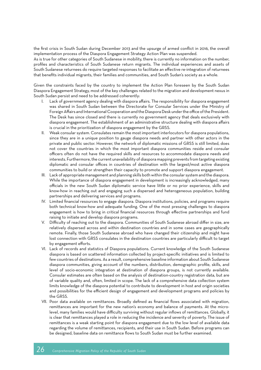the first crisis in South Sudan during December 2013 and the upsurge of armed conflict in 2016, the overall implementation process of the Diaspora Engagement Strategy Action Plan was suspended.

As is true for other categories of South Sudanese in mobility, there is currently no information on the number, profiles and characteristics of South Sudanese return migrants. The individual experiences and assets of South Sudanese returnees do require targeted responses to facilitate an effective re-integration of returnees that benefits individual migrants, their families and communities, and South Sudan's society as a whole.

Given the constraints faced by the country to implement the Action Plan foreseen by the South Sudan Diaspora Engagement Strategy, most of the key challenges related to the migration and development nexus in South Sudan persist and need to be addressed coherently:

- Lack of government agency dealing with diaspora affairs. The responsibility for diaspora engagement was shared in South Sudan between the Directorate for Consular Services under the Ministry of Foreign Affairs and International Cooperation and the Diaspora Desk under the office of the President. The Desk has since closed and there is currently no government agency that deals exclusively with diaspora engagement. The establishment of an administrative structure dealing with diaspora affairs is crucial in the prioritization of diaspora engagement by the GRSS.
- Weak consular system. Consulates remain the most important interlocutors for diaspora populations, since they are in a unique position to gauge diaspora needs and partner with other actors in the private and public sector. However, the network of diplomatic missions of GRSS is still limited, does not cover the countries in which the most important diaspora communities reside and consular officers often do not have the required skills and resources to accommodate diaspora needs and interests. Furthermore, the current unavailability of diaspora mapping prevents from targeting existing diplomatic and consular offices in countries of destination with the largest/most active diaspora communities to build or strengthen their capacity to promote and support diaspora engagement.
- III. Lack of appropriate management and planning skills both within the consular system and the diaspora. While the importance of diaspora engagement in development is increasingly acknowledged, many officials in the new South Sudan diplomatic service have little or no prior experience, skills and know-how in reaching out and engaging such a dispersed and heterogeneous population, building partnerships and delivering services and programs.
- IV. Limited financial resources to engage diaspora. Diaspora institutions, policies, and programs require both technical know-how and adequate funding. One of the most pressing challenges to diaspora engagement is how to bring in critical financial resources through effective partnerships and fund raising to initiate and develop diaspora programs.
- V. Difficulty of reaching out to the diaspora. Communities of South Sudanese abroad differ in size, are relatively dispersed across and within destination countries and in some cases are geographically remote. Finally, those South Sudanese abroad who have changed their citizenship and might have lost connection with GRSS consulates in the destination countries are particularly difficult to target by engagement efforts.
- VI. Lack of records and statistics of Diaspora populations. Current knowledge of the South Sudanese diaspora is based on scattered information collected by project-specific initiatives and is limited to few countries of destinations. As a result, comprehensive baseline information about South Sudanese diaspora communities, giving account of the numbers, distribution, demographic profile, skills, and level of socio-economic integration at destination of diaspora groups, is not currently available. Consular estimates are often based on the analysis of destination-country registration data, but are of variable quality and, often, limited in scope. The lack of a comprehensive data collection system limits knowledge of the diaspora potential to contribute to development in host and origin societies and possibilities for the efficient design of engagement and development programs and policies by the GRSS.
- VII. Poor data available on remittances. Broadly defined as financial flows associated with migration, remittances are important for the new nation's economy and balance of payments. At the microlevel, many families would have difficulty surviving without regular inflows of remittances. Globally, it is clear that remittances played a role in reducing the incidence and severity of poverty. The issue of remittances is a weak starting point for diaspora engagement due to the low level of available data regarding the volume of remittances, recipients, and their use in South Sudan. Before programs can be designed, baseline data on remittance flows to South Sudan must be further examined.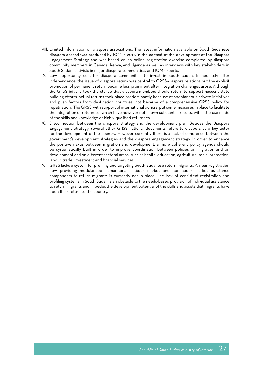- VIII. Limited information on diaspora associations. The latest information available on South Sudanese diaspora abroad was produced by IOM in 2013, in the context of the development of the Diaspora Engagement Strategy and was based on an online registration exercise completed by diaspora community members in Canada, Kenya, and Uganda as well as interviews with key stakeholders in South Sudan, activists in major diaspora communities, and IOM experts.
- IX. Low opportunity cost for diaspora communities to invest in South Sudan. Immediately after independence, the issue of diaspora return was central to GRSS-diaspora relations but the explicit promotion of permanent return became less prominent after integration challenges arose. Although the GRSS initially took the stance that diaspora members should return to support nascent state building efforts, actual returns took place predominantly because of spontaneous private initiatives and push factors from destination countries, not because of a comprehensive GRSS policy for repatriation. The GRSS, with support of international donors, put some measures in place to facilitate the integration of returnees, which have however not shown substantial results, with little use made of the skills and knowledge of highly qualified returnees.
- X. Disconnection between the diaspora strategy and the development plan. Besides the Diaspora Engagement Strategy, several other GRSS national documents refers to diaspora as a key actor for the development of the country. However currently there is a lack of coherence between the government's development strategies and the diaspora engagement strategy. In order to enhance the positive nexus between migration and development, a more coherent policy agenda should be systematically built in order to improve coordination between policies on migration and on development and on different sectoral areas, such as health, education, agriculture, social protection, labour, trade, investment and financial services.
- XI. GRSS lacks a system for profiling and targeting South Sudanese return migrants. A clear registration flow providing modularised humanitarian, labour market and non-labour market assistance components to return migrants is currently not in place. The lack of consistent registration and profiling systems in South Sudan is an obstacle to the needs-based provision of individual assistance to return migrants and impedes the development potential of the skills and assets that migrants have upon their return to the country.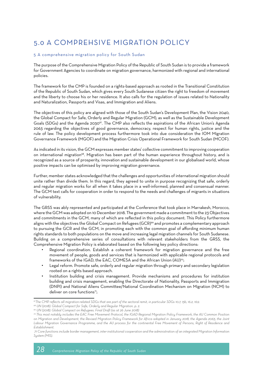### 5.0 A COMPREHSIVE MIGRATION POLICY

#### 5 A comprehensive migration policy for South Sudan

The purpose of the Comprehensive Migration Policy of the Republic of South Sudan is to provide a framework for Government Agencies to coordinate on migration governance, harmonized with regional and international policies.

The framework for the CMP is founded on a rights-based approach as rooted in the Transitional Constitution of the Republic of South Sudan, which gives every South Sudanese citizen the right to freedom of movement and the liberty to choose his or her residence. It also calls for the regulation of issues related to Nationality and Naturalization, Passports and Visas, and Immigration and Aliens.

The objectives of this policy are aligned with those of the South Sudan's Development Plan, the Vision 2040, the Global Compact for Safe, Orderly and Regular Migration (GCM), as well as the Sustainable Development Goals (SDGs) and the Agenda 2030<sup>67</sup>. The CMP also reflects the aspirations of the African Union's Agenda 2063 regarding the objectives of good governance, democracy, respect for human rights, justice and the rule of law. The policy development process furthermore took into due consideration the IOM Migration Governance Framework (MGOF) and the Migration Crisis Operational Framework for South Sudan (MCOF).

As indicated in its vision, the GCM expresses member states' collective commitment to improving cooperation on international migration<sup>68</sup>. Migration has been part of the human experience throughout history, and is recognized as a source of prosperity, innovation and sustainable development in our globalised world, whose positive impacts can be optimised by improving migration governance.

Further, member states acknowledged that the challenges and opportunities of international migration should unite rather than divide them. In this regard, they agreed to unite in purpose recognizing that safe, orderly and regular migration works for all when it takes place in a well-informed, planned and consensual manner. The GCM text calls for cooperation in order to respond to the needs and challenges of migrants in situations of vulnerability.

The GRSS was ably represented and participated at the Conference that took place in Marrakesh, Morocco, where the GCM was adopted on 10 December 2018. The government made a commitment to the 23 Objectives and commitments in the GCM, many of which are reflected in this policy document. This Policy furthermore aligns with the objectives the Global Compact on Refugees (GCR)<sup>69</sup> and promotes a complementary approach to pursuing the GCR and the GCM, in promoting each with the common goal of affording minimum human rights standards to both populations on the move and increasing legal migration channels for South Sudanese. Building on a comprehensive series of consultations with relevant stakeholders from the GRSS, the Comprehensive Migration Policy is elaborated based on the following key policy directions:

- Regional coordination. Establish a coherent framework for migration governance and the free movement of people, goods and services that is harmonized with applicable regional protocols and frameworks of the IGAD, the EAC, COMESA and the African Union (AU)<sup>70</sup>:
- Legal reform. Promote safe, orderly and regular migration through primary and secondary legislation rooted on a rights based approach.
- Institution building and crisis management. Provide mechanisms and procedures for institution building and crisis management, enabling the Directorate of Nationality, Passports and Immigration (DNPI) and National Aliens Committee/National Coordination Mechanism on Migration (NCM) to deliver on core functions<sup>71</sup>:

*<sup>67</sup>The CMP reflects all migration-related SDGs that are part of the sectoral remit, in particular SDGs 10.7, 13b, 16.2, 16.9.*

*<sup>68</sup> UN (2018). Global Compact for Safe, Orderly and Regular Migration. p. 2.*

*<sup>69</sup> UN (2018). Global Compact on Refugees. Final Draft (as at 26 June 2018)*

*<sup>70</sup> This most notably includes the EAC Free Movement Protocol, the IGAD Regional Migration Policy Framework, the AU Common Position on Migration and Development, the Revised Migration Policy Framework for Africa adopted in January 2018, the Agenda 2063, the Joint*  Labour Migration Governance Programme, and the AU process for the continental Free Movement of Persons, Right of Residence and *Establishment.* 

 *<sup>71</sup> Core functions include border management, inter-institutional cooperation and the administration of an integrated Migration Information System (MIS).*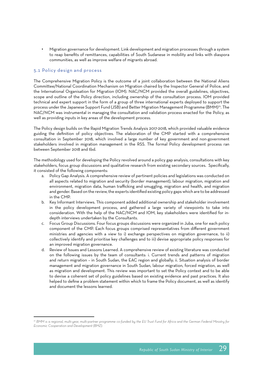• Migration governance for development. Link development and migration processes through a system to reap benefits of remittances, capabilities of South Sudanese in mobility and links with diaspora communities, as well as improve welfare of migrants abroad.

#### 5.1 Policy design and process

The Comprehensive Migration Policy is the outcome of a joint collaboration between the National Aliens Committee/National Coordination Mechanism on Migration chaired by the Inspector General of Police, and the International Organisation for Migration (IOM). NAC/NCM provided the overall guidelines, objectives, scope and outline of the Policy direction, including ownership of the consultation process. IOM provided technical and expert support in the form of a group of three international experts deployed to support the process under the Japanese Support Fund (JSB) and Better Migration Management Programme (BMM)72. The NAC/NCM was instrumental in managing the consultation and validation process enacted for the Policy, as well as providing inputs in key areas of the development process.

The Policy design builds on the Rapid Migration Trends Analysis 2017-2018, which provided valuable evidence guiding the definition of policy objectives. The elaboration of the CMP started with a comprehensive consultation in September 2018, which involved a large number of key government and non-government stakeholders involved in migration management in the RSS. The formal Policy development process ran between September 2018 and tbd.

The methodology used for developing the Policy revolved around a policy gap analysis, consultations with key stakeholders, focus group discussions and qualitative research from existing secondary sources. Specifically, it consisted of the following components:

- a. Policy Gap Analysis. A comprehensive review of pertinent policies and legislations was conducted on all aspects related to migration and security (border management), labour migration, migration and environment, migration data, human trafficking and smuggling, migration and health, and migration and gender. Based on the review, the experts identified existing policy gaps which are to be addressed in the CMP.
- b. Key Informant Interviews. This component added additional ownership and stakeholder involvement in the policy development process, and gathered a large variety of viewpoints to take into consideration. With the help of the NAC/NCM and IOM, key stakeholders were identified for indepth interviews undertaken by the Consultants.
- c. Focus Group Discussions. Four focus groups discussions were organized in Juba, one for each policy component of the CMP. Each focus groups comprised representatives from different government ministries and agencies with a view to i) exchange perspectives on migration governance, to ii) collectively identify and prioritise key challenges and to iii) devise appropriate policy responses for an improved migration governance.
- d. Review of Issues and Lessons Learned. A comprehensive review of existing literature was conducted on the following issues by the team of consultants: i. Current trends and patterns of migration and return migration – in South Sudan, the EAC region and globally; ii. Situation analysis of border management and migration governance in South Sudan, labour migration, forced migration, as well as migration and development. This review was important to set the Policy context and to be able to devise a coherent set of policy guidelines based on existing evidence and past practices. It also helped to define a problem statement within which to frame the Policy document, as well as identify and document the lessons learned.

*<sup>72</sup> BMM is a regional, multi-year, multi-partner programme co-funded by the EU Trust Fund for Africa and the German Federal Ministry for Economic Cooperation and Development (BMZ).*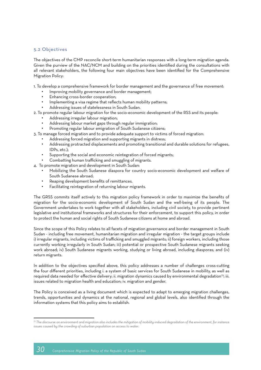#### 5.2 Objectives

The objectives of the CMP reconcile short-term humanitarian responses with a long-term migration agenda. Given the purview of the NAC/NCM and building on the priorities identified during the consultations with all relevant stakeholders, the following four main objectives have been identified for the Comprehensive Migration Policy:

1. To develop a comprehensive framework for border management and the governance of free movement:

- Improving mobility governance and border management;
- Enhancing cross-border cooperation;
- Implementing a visa regime that reflects human mobility patterns;
- Addressing issues of statelessness in South Sudan.
- 2. To promote regular labour migration for the socio-economic development of the RSS and its people:
	- Addressing irregular labour migration;
	- Addressing labour market gaps through regular immigration:
	- Promoting regular labour emigration of South Sudanese citizens;
- 3. To manage forced migration and to provide adequate support to victims of forced migration:
	- Addressing forced migration and supporting migrants in distress;
	- Addressing protracted displacements and promoting transitional and durable solutions for refugees, IDPs, etc.);
	- Supporting the social and economic reintegration of forced migrants;
	- Combatting human trafficking and smuggling of migrants.
- 4. To promote migration and development in South Sudan:
	- Mobilizing the South Sudanese diaspora for country socio-economic development and welfare of South Sudanese abroad;
	- Reaping development benefits of remittances.
	- Facilitating reintegration of returning labour migrants.

The GRSS commits itself actively to this migration policy framework in order to maximize the benefits of migration for the socio-economic development of South Sudan and the well-being of its people. The Government undertakes to work together with all stakeholders, including civil society, to provide pertinent legislative and institutional frameworks and structures for their enforcement, to support this policy, in order to protect the human and social rights of South Sudanese citizens at home and abroad.

Since the scope of this Policy relates to all facets of migration governance and border management in South Sudan - including free movement, humanitarian migration and irregular migration - the target groups include i) irregular migrants, including victims of trafficking and smuggled migrants; ii) foreign workers, including those currently working irregularly in South Sudan; iii) potential or prospective South Sudanese migrants seeking work abroad; iv) South Sudanese migrants working, studying or living abroad, including diasporas; and (iv) return migrants.

In addition to the objectives specified above, this policy addresses a number of challenges cross-cutting the four different priorities, including i. a system of basic services for South Sudanese in mobility, as well as required data needed for effective delivery; ii. migration dynamics caused by environmental degradation<sup>73</sup>; iii. issues related to migration health and education; iv. migration and gender.

The Policy is conceived as a living document which is expected to adapt to emerging migration challenges, trends, opportunities and dynamics at the national, regional and global levels, also identified through the information systems that this policy aims to establish.

*<sup>73</sup> The discourse on environment and migration also includes the mitigation of mobility-induced degradation of the environment, for instance issues caused by the crowding of suburban population on access to water.*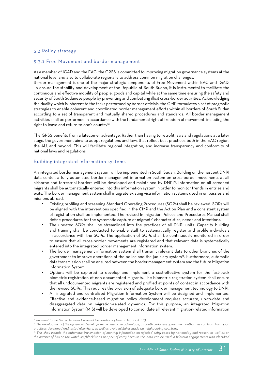#### 5.3 Policy strategy

#### 5.3.1 Free Movement and border management

As a member of IGAD and the EAC, the GRSS is committed to improving migration governance systems at the national level and also to collaborate regionally to address common migration challenges.

Border management is one of the major strategic components of Free Movement within EAC and IGAD. To ensure the stability and development of the Republic of South Sudan, it is instrumental to facilitate the continuous and effective mobility of people, goods and capital while at the same time ensuring the safety and security of South Sudanese people by preventing and combatting illicit cross-border activities. Acknowledging the duality which is inherent to the tasks performed by border officials, the CMP formulates a set of pragmatic strategies to enable coherent and coordinated border management efforts within all borders of South Sudan according to a set of transparent and mutually shared procedures and standards. All border management activities shall be performed in accordance with the fundamental right of freedom of movement, including the right to leave and return to one's country<sup>74</sup>.

The GRSS benefits from a latecomer advantage. Rather than having to retrofit laws and regulations at a later stage, the government aims to adopt regulations and laws that reflect best practices both in the EAC region, the AU, and beyond. This will facilitate regional integration, and increase transparency and conformity of national laws and regulations.

#### Building integrated information systems

An integrated border management system will be implemented in South Sudan. Building on the nascent DNPI data center, a fully automated border management information system on cross-border movements at all airborne and terrestrial borders will be developed and maintained by DNPI<sup>75</sup>. Information on all screened migrants shall be automatically entered into this information system in order to monitor trends in entries and exits. The border management system shall integrate existing visa information systems used in embassies and missions abroad.

- Existing profiling and screening Standard Operating Procedures (SOPs) shall be reviewed. SOPs will be aligned with the interventions specified in the CMP and the Action Plan and a consistent system of registration shall be implemented. The revised Immigration Polices and Procedures Manual shall define procedures for the systematic capture of migrants' characteristics, needs and intentions.
- The updated SOPs shall be streamlined into the practices of all DNPI units. Capacity building and training shall be conducted to enable staff to systematically register and profile individuals in accordance with the SOPs. The application of SOPs shall be continuously monitored in order to ensure that all cross-border movements are registered and that relevant data is systematically entered into the integrated border management information system.
- The border management information system shall transmit relevant data to other branches of the government to improve operations of the police and the judiciary system<sup>76</sup>. Furthermore, automatic data transmission shall be ensured between the border management system and the future Migration Information System.
- Options will be explored to develop and implement a cost-effective system for the fast-track biometric registration of non-documented migrants. The biometric registration system shall ensure that all undocumented migrants are registered and profiled at points of contact in accordance with the revised SOPs. This requires the provision of adequate border management technology to DNPI.
- An integrated and centralised Migration Information System will be designed and implemented. Effective and evidence-based migration policy development requires accurate, up-to-date and disaggregated data on migration-related dynamics. For this purpose, an integrated Migration Information System (MIS) will be developed to consolidate all relevant migration-related information

*<sup>74</sup> Pursuant to the United Nations Universal Declaration of Human Rights, Art. 13.*

*<sup>75</sup> The development of the system will benefit from the newcomer advantage, as South Sudanese government authorities can learn from good practices developed and tested elsewhere, as well as avoid mistakes made by neighbouring countries.*

*<sup>76</sup> This shall include the automatic transmission of monthly information on rejected entry cases by nationality and reason, as well as on the number of hits on the watch list/blacklist as per port of entry because this data can be used in bilateral engagements with identified*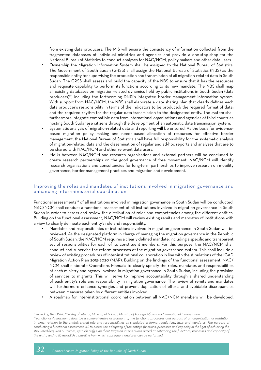from existing data producers. The MIS will ensure the consistency of information collected from the fragmented databases of individual ministries and agencies and provide a one-stop-shop for the National Bureau of Statistics to conduct analyses for NAC/NCM, policy makers and other data users. • Ownership the Migration Information System shall be assigned to the National Bureau of Statistics. The Government of South Sudan (GRSS) shall assign the National Bureau of Statistics (NBS) as the responsible entity for supervising the production and transmission of all migration-related data in South Sudan. The GRSS shall assess and build the capacity of the NBS to ensure that it has the resources and requisite capability to perform its functions according to its new mandate. The NBS shall map all existing databases on migration-related dynamics held by public institutions in South Sudan (data producers)77, including the forthcoming DNPI's integrated border management information system. With support from NAC/NCM, the NBS shall elaborate a data sharing plan that clearly defines each data producer's responsibility in terms of the indicators to be produced; the required format of data; and the required rhythm for the regular data transmission to the designated entity. The system shall furthermore integrate compatible data from international organisations and agencies of third countries hosting South Sudanese citizens through the development of an automatic data transmission system.

- Systematic analysis of migration-related data and reporting will be ensured. As the basis for evidencebased migration policy making and needs-based allocation of resources for effective border management, the National Bureau of Statistics shall have full responsibility for the systematic analysis of migration-related data and the dissemination of regular and ad-hoc reports and analyses that are to be shared with NAC/NCM and other relevant data users.
- MoUs between NAC/NCM and research organisations and external partners will be concluded to create research partnerships on the good governance of free movement. NAC/NCM will identify research organisations and consultancies for long-term partnerships to improve research on mobility governance, border management practices and migration and development.

#### Improving the roles and mandates of institutions involved in migration governance and enhancing inter-ministerial coordination

Functional assessments<sup>78</sup> of all institutions involved in migration governance in South Sudan will be conducted. NAC/NCM shall conduct a functional assessment of all institutions involved in migration governance in South Sudan in order to assess and review the distribution of roles and competencies among the different entities. Building on the functional assessment, NAC/NCM will review existing remits and mandates of institutions with a view to clearly delineate each entity's role and responsibility.

- Mandates and responsibilities of institutions involved in migration governance in South Sudan will be reviewed. As the designated platform in charge of managing the migration governance in the Republic of South Sudan, the NAC/NCM requires a clearly defined mandate, including a specific and transparent set of responsibilities for each of its constituent members. For this purpose, the NAC/NCM shall conduct and supervise the reform processes of the migration governance system. This shall include a review of existing procedures of inter-institutional collaboration in line with the stipulations of the IGAD Migration Action Plan 2015-2020 (MAP). Building on the findings of the functional assessment, NAC/ NCM shall elaborate Operations Manuals to clearly specify the roles, mandates and responsibilities of each ministry and agency involved in migration governance in South Sudan, including the provision of services to migrants. This will serve to improve accountability through a shared understanding of each entity's role and responsibility in migration governance. The review of remits and mandates will furthermore enhance synergies and prevent duplication of efforts and avoidable discrepancies between measures taken by different entities involved.
- A roadmap for inter-institutional coordination between all NAC/NCM members will be developed.

*<sup>77</sup> Including the DNPI, Ministry of Interior, Ministry of Labour, Ministry of Foreign Affairs and International Cooperation*

*<sup>78</sup> Functional Assessments describe a comprehensive assessment of the functions, processes and outputs of an organization or institution*  in direct relation to the entity's stated role and responsibilities as stipulated in formal regulations, laws and mandates. The purpose of *conducting a functional assessment is i) to assess the adequacy of the entity's functions, processes and capacity in the light of achieving the stipulated/required outcomes, ii) to identify expedient targeted interventions aimed at enhancing the functions, processes and capacity of the entity and to iii) establish a baseline from which subsequent analyses can be performed.*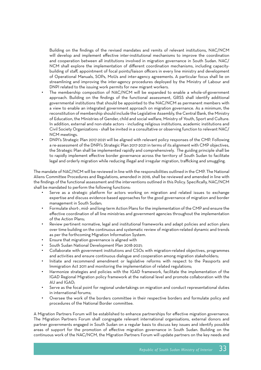Building on the findings of the revised mandates and remits of relevant institutions, NAC/NCM will develop and implement effective inter-institutional mechanisms to improve the coordination and cooperation between all institutions involved in migration governance in South Sudan. NAC/ NCM shall explore the implementation of different coordination mechanisms, including capacitybuilding of staff, appointment of focal points/liaison officers in every line ministry and development of Operational Manuals, SOPs, MoUs and inter-agency agreements. A particular focus shall lie on streamlining and improving the inter-agency procedures deployed by the Ministry of Labour and DNPI related to the issuing work permits for new migrant workers.

- The membership composition of NAC/NCM will be expanded to enable a whole-of-government approach. Building on the findings of the functional assessment, GRSS shall identify additional governmental institutions that should be appointed to the NAC/NCM as permanent members with a view to enable an integrated government approach on migration governance. As a minimum, the reconstitution of membership should include the Legislative Assembly, the Central Bank, the Ministry of Education, the Ministries of Gender, child and social welfare, Ministry of Youth, Sport and Culture. In addition, external and non-state actors - including religious institutions, academic institutions and Civil Society Organizations - shall be invited in a consultative or observing function to relevant NAC/ NCM meetings.
- DNPI's Strategic Plan 2017-2021 will be aligned with relevant policy responses of the CMP. Following a re-assessment of the DNPI's Strategic Plan 2017-2021 in terms of its alignment with CMP objectives, the Strategic Plan shall be implemented rapidly and comprehensively. The guiding principle shall be to rapidly implement effective border governance across the territory of South Sudan to facilitate legal and orderly migration while reducing illegal and irregular migration, trafficking and smuggling.

The mandate of NAC/NCM will be reviewed in line with the responsibilities outlined in the CMP. The National Aliens Committee Procedures and Regulations, amended in 2016, shall be reviewed and amended in line with the findings of the functional assessment and the interventions outlined in this Policy. Specifically, NAC/NCM shall be mandated to perform the following functions:

- Serve as a strategic platform for actors working on migration and related issues to exchange expertise and discuss evidence-based approaches for the good governance of migration and border management in South Sudan;
- Formulate short-, mid- and long-term Action Plans for the implementation of the CMP and ensure the effective coordination of all line ministries and government agencies throughout the implementation of the Action Plans;
- Review pertinent normative, legal and institutional frameworks and adapt policies and action plans over time building on the continuous and systematic review of migration-related dynamic and trends as per the forthcoming Migration Information System.
- Ensure that migration governance is aligned with
- South Sudan National Development Plan 2018-2021;
- Collaborate with government institutions and CSOs with migration-related objectives, programmes and activities and ensure continuous dialogue and cooperation among migration stakeholders;
- Initiate and recommend amendment or legislative reforms with respect to the Passports and Immigration Act 2011 and monitoring the implementation of related regulations;
- Harmonize strategies and policies with the IGAD framework, facilitate the implementation of the IGAD Regional Migration policy framework at the national level and promote collaboration with the AU and IGAD;
- Serve as the focal point for regional undertakings on migration and conduct representational duties in international forums;
- Oversee the work of the borders committee in their respective borders and formulate policy and procedures of the National Border committee.

A Migration Partners Forum will be established to enhance partnerships for effective migration governance. The Migration Partners Forum shall congregate relevant international organisations, external donors and partner governments engaged in South Sudan on a regular basis to discuss key issues and identify possible areas of support for the promotion of effective migration governance in South Sudan. Building on the continuous work of the NAC/NCM, the Migration Partners Forum will update partners on the key needs and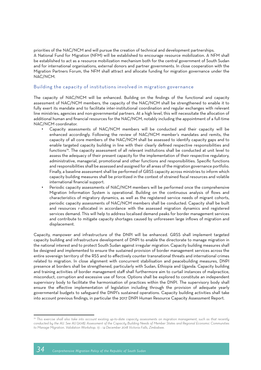priorities of the NAC/NCM and will pursue the creation of technical and development partnerships. A National Fund for Migration (NFM) will be established to encourage resource mobilization. A NFM shall be established to act as a resource mobilization mechanism both for the central government of South Sudan and for international organisations, external donors and partner governments. In close cooperation with the Migration Partners Forum, the NFM shall attract and allocate funding for migration governance under the NAC/NCM.

#### Building the capacity of institutions involved in migration governance

The capacity of NAC/NCM will be enhanced. Building on the findings of the functional and capacity assessment of NAC/NCM members, the capacity of the NAC/NCM shall be strengthened to enable it to fully exert its mandate and to facilitate inter-institutional coordination and regular exchanges with relevant line ministries, agencies and non-governmental partners. At a high level, this will necessitate the allocation of additional human and financial resources for the NAC/NCM, notably including the appointment of a full-time NAC/NCM coordinator.

- Capacity assessments of NAC/NCM members will be conducted and their capacity will be enhanced accordingly. Following the review of NAC/NCM member's mandates and remits, the capacity of all core members of the NAC/NCM shall be assessed to identify capacity gaps and to enable targeted capacity building in line with their clearly defined respective responsibilities and functions<sup>79</sup>. The capacity assessment of all relevant institutions shall be conducted at unit level to assess the adequacy of their present capacity for the implementation of their respective regulatory, administrative, managerial, promotional and other functions and responsibilities. Specific functions and responsibilities shall be assessed and assigned for all areas of the migration governance portfolio. Finally, a baseline assessment shall be performed of GRSS capacity across ministries to inform which capacity building measures shall be prioritized in the context of strained fiscal resources and volatile international financial support.
- Periodic capacity assessments of NAC/NCM members will be performed once the comprehensive Migration Information System is operational. Building on the continuous analysis of flows and characteristics of migratory dynamics, as well as the registered service needs of migrant cohorts, periodic capacity assessments of NAC/NCM members shall be conducted. Capacity shall be built and resources r-allocated in accordance with the assessed migration dynamics and registered services demand. This will help to address localised demand peaks for border management services and contribute to mitigate capacity shortages caused by unforeseen large inflows of migration and displacement.

Capacity, manpower and infrastructure of the DNPI will be enhanced. GRSS shall implement targeted capacity building and infrastructure development of DNPI to enable the directorate to manage migration in the national interest and to protect South Sudan against irregular migration. Capacity building measures shall be designed and implemented to ensure the sustained provision of border management services across the entire sovereign territory of the RSS and to effectively counter transnational threats and international crimes related to migration. In close alignment with concurrent stabilisation and peacebuilding measures, DNPI presence at borders shall be strengthened, particularly with Sudan, Ethiopia and Uganda. Capacity building and training activities of border management staff shall furthermore aim to curtail instances of malpractice, misconduct, corruption and excessive use of force. Options shall be explored to constitute an independent supervisory body to facilitate the harmonisation of practices within the DNPI. The supervisory body shall ensure the effective implementation of legislation including through the provision of adequate yearly governmental budgets to safeguard the DNPI's sustained operations. Capacity building activities shall take into account previous findings, in particular the 2017 DNPI Human Resource Capacity Assessment Report.

*<sup>79</sup> This exercise shall also take into account existing up-to-date capacity assessments on migration management, such as that recently conducted by the AU. See AU (2018). Assessment of the Capacity Building Needs of Member States and Regional Economic Communities to Manage Migration. Validation Workshop. 13 – 14 December 2018 Victoria Falls, Zimbabwe.*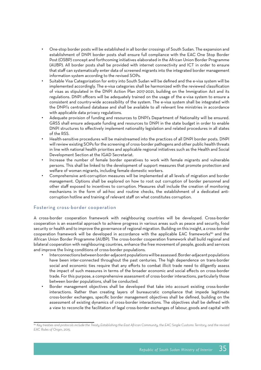- One-stop border posts will be established in all border crossings of South Sudan. The expansion and establishment of DNPI border posts shall ensure full compliance with the EAC One Stop Border Post (OSBP) concept and forthcoming initiatives elaborated in the African Union Border Programme (AUBP). All border posts shall be provided with internet connectivity and ICT in order to ensure that staff can systematically enter data of screened migrants into the integrated border management information system according to the revised SOPs.
- Suitable Visa Categorization for entry into South Sudan will be defined and the e-visa system will be implemented accordingly. The e-visa categories shall be harmonized with the reviewed classification of visas as stipulated in the DNPI Action Plan 2017-2021, building on the Immigration Act and its regulations. DNPI officers will be adequately trained on the usage of the e-visa system to ensure a consistent and country-wide accessibility of the system. The e-visa system shall be integrated with the DNPI's centralised database and shall be available to all relevant line ministries in accordance with applicable data privacy regulations.
- Adequate provision of funding and resources to DNPI's Department of Nationality will be ensured. GRSS shall ensure adequate funding and resources to DNPI in the state budget in order to enable DNPI structures to effectively implement nationality legislation and related procedures in all states of the RSS.
- Health-sensitive procedures will be mainstreamed into the practices of all DNPI border posts. DNPI will review existing SOPs for the screening of cross-border pathogens and other public health threats in line with national health priorities and applicable regional initiatives such as the Health and Social Development Section at the IGAD Secretariat.
- Increase the number of female border operatives to work with female migrants and vulnerable persons. This shall be linked to the development of support measures that promote protection and welfare of woman migrants, including female domestic workers.
- Comprehensive anti-corruption measures will be implemented at all levels of migration and border management. Options shall be explored on how to root out corruption of border personnel and other staff exposed to incentives to corruption. Measures shall include the creation of monitoring mechanisms in the form of ad-hoc and routine checks, the establishment of a dedicated anticorruption hotline and training of relevant staff on what constitutes corruption.

#### Fostering cross-border cooperation

A cross-border cooperation framework with neighbouring countries will be developed. Cross-border cooperation is an essential approach to achieve progress in various areas such as peace and security, food security or health and to improve the governance of regional migration. Building on this insight, a cross-border cooperation framework will be developed in accordance with the applicable EAC frameworks<sup>80</sup> and the African Union Border Programme (AUBP). The cross-border cooperation framework shall build regional and bilateral cooperation with neighbouring countries, enhance the free movement of people, goods and services and improve the living conditions of cross-border populations.

- Interconnections between border-adjacent populations will be assessed. Border-adjacent populations have been inter-connected throughout the past centuries. The high dependence on trans-border social and economic ties require that any efforts to combat illicit trade need to diligently assess the impact of such measures in terms of the broader economic and social effects on cross-border trade. For this purpose, a comprehensive assessment of cross-border interactions, particularly those between border populations, shall be conducted.
- Border management objectives shall be developed that take into account existing cross-border interactions. Rather than creating layers of bureaucratic compliance that impede legitimate cross-border exchanges, specific border management objectives shall be defined, building on the assessment of existing dynamics of cross-border interactions. The objectives shall be defined with a view to reconcile the facilitation of legal cross-border exchanges of labour, goods and capital with

*<sup>80</sup> Key treaties and protocols include the Treaty Establishing the East African Community, the EAC Single Customs Territory, and the revised EAC Rules of Origin, 2015.*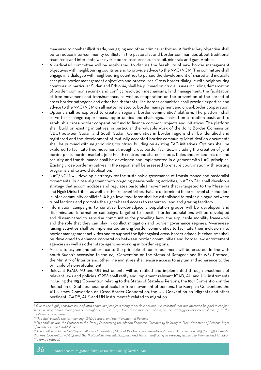measures to combat illicit trade, smuggling and other criminal activities. A further key objective shall be to reduce inter-community conflicts in the pastoralist and border communities about traditional resources; and inter-state war over modern resources such as oil, minerals and gum Arabica.

- A dedicated committee will be established to discuss the feasibility of new border management objectives with neighbouring countries and to provide advice to the NAC/NCM. The committee shall engage in a dialogue with neighbouring countries to pursue the development of shared and mutually accepted border management objectives and procedures. Cross-border dialogue with neighbouring countries, in particular Sudan and Ethiopia, shall be pursued on crucial issues including demarcation of border, common security and conflict resolution mechanisms, land management, the facilitation of free movement and transhumance, as well as cooperation on the prevention of the spread of cross-border pathogens and other health threats. The border committee shall provide expertise and advice to the NAC/NCM on all matter related to border management and cross-border cooperation. • Options shall be explored to create a regional border communities' platform. The platform shall serve to exchange experiences, opportunities and challenges, chaired on a rotation basis and to establish a cross-border cooperation fund to finance common projects and initiatives. The platform shall build on existing initiatives, in particular the valuable work of the Joint Border Commission (JBC) between Sudan and South Sudan. Communities in border regions shall be identified and registered and the development of mutually accepted border community identification documents shall be pursued with neighbouring countries, building on existing EAC initiatives. Options shall be explored to facilitate free movement through cross border facilities, including the creation of joint border posts, border markets, joint health centres and shared schools. Rules and procedures on land security and transhumance shall be developed and implemented in alignment with EAC principles. Existing cross-border initiatives in the region shall be assessed to ensure coordination with existing programs and to avoid duplication.
- NAC/NCM will develop a strategy for the sustainable governance of transhumance and pastoralist movements. In close alignment with on-going peace-building activities, NAC/NCM shall develop a strategy that accommodates and regulates pastoralist movements that is targeted to the Misseriya and Ngok Dinka tribes, as well as other relevant tribes that are determined to be relevant stakeholders in inter-community conflicts<sup>81</sup>. A high-level task force shall be established to foster dialogue between tribal factions and promote the rights-based access to resources, land and grazing territory.
- Information campaigns to sensitize border-adjacent population groups will be developed and disseminated. Information campaigns targeted to specific border populations will be developed and disseminated to sensitise communities for prevailing laws, the applicable mobility framework and the role that they can play in conflict mitigation and border governance regimes. Awarenessraising activities shall be implemented among border communities to facilitate their inclusion into border management activities and to support the fight against cross-border crimes. Mechanisms shall be developed to enhance cooperation between border communities and border law enforcement agencies as well as other state agencies working in border regions.
- Access to asylum and adherence to the principle of non-refoulement will be ensured. In line with South Sudan's accession to the 1951 Convention on the Status of Refugees and its 1967 Protocol, the Ministry of Interior and other line ministries shall ensure access to asylum and adherence to the principle of non-refoulement.
- Relevant IGAD, AU and UN instruments will be ratified and implemented through enactment of relevant laws and policies. GRSS shall ratify and implement relevant IGAD, AU and UN instruments including the 1954 Convention relating to the Status of Stateless Persons, the 1961 Convention on the Reduction of Statelessness, protocols for free movement of persons, the Kampala Convention, the AU Niamey Convention on Cross-Border Cooperation, the UN Convention on Migrants and other pertinent IGAD<sup>82</sup>, AU<sup>83</sup> and UN instruments<sup>84</sup> related to migration.

*<sup>81</sup> Due to the highly sensitive issue of intra-community conflicts along tribal delineations, it is essential that due attention be paid to conflict*sensitive programme management throughout this activity - from the assessment phase, to the strategy development phase up to the *implementation phase.*

*<sup>82</sup> This shall include the forthcoming IGAD Protocol on Free Movement of Persons.*

*<sup>83</sup> This shall include the Protocol to the Treaty Establishing the African Economic Community Relating to Free Movement of Persons, Right of Residence and Establishment*

*<sup>84</sup> This shall include the UN Migrant Workers Convention; Migrant Workers (Supplementary Provisions) Convention, 1975 (No. 143); Domestic Workers Convention (C189); and the Protocol to Prevent, Suppress and Punish Trafficking in Persons, Especially Women and Children (Palermo Protocol).*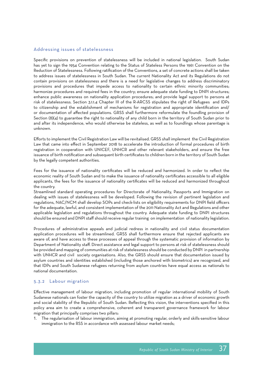#### Addressing issues of statelessness

Specific provisions on prevention of statelessness will be included in national legislation. South Sudan has yet to sign the 1954 Convention relating to the Status of Stateless Persons the 1961 Convention on the Reduction of Statelessness. Following ratification of the Conventions, a set of concrete actions shall be taken to address issues of statelessness in South Sudan. The current Nationality Act and its Regulations do not contain provisions on statelessness and there is a need for legislative changes to address discriminatory provisions and procedures that impede access to nationality to certain ethnic minority communities; harmonize procedures and required fees in the country; ensure adequate state funding to DNPI structures; enhance public awareness on nationality application procedures; and provide legal support to persons at risk of statelessness. Section 3.1.1.4 Chapter III of the R-ARCSS stipulates the right of Refugees and IDPs to citizenship and the establishment of mechanisms for registration and appropriate identification and/ or documentation of affected populations. GRSS shall furthermore reformulate the foundling provision of Section (8)(4) to guarantee the right to nationality of any child born in the territory of South Sudan prior to and after its independence, who would otherwise be stateless, as well as to foundlings whose parentage is unknown.

Efforts to implement the Civil Registration Law will be revitalised. GRSS shall implement the Civil Registration Law that came into effect in September 2018 to accelerate the introduction of formal procedures of birth registration in cooperation with UNICEF, UNHCR and other relevant stakeholders, and ensure the free issuance of birth notification and subsequent birth certificates to children born in the territory of South Sudan by the legally competent authorities.

Fees for the issuance of nationality certificates will be reduced and harmonized. In order to reflect the economic reality of South Sudan and to make the issuance of nationality certificates accessible to all eligible applicants, the fees for the issuance of nationality certificates will be reduced and harmonized throughout the country.

Streamlined standard operating procedures for Directorate of Nationality, Passports and Immigration on dealing with issues of statelessness will be developed. Following the revision of pertinent legislation and regulations, NAC/NCM shall develop SOPs and check-lists on eligibility requirements for DNPI field officers for the adequate, lawful, and consistent implementation of the 2011 Nationality Act and Regulations and other applicable legislation and regulations throughout the country. Adequate state funding to DNPI structures should be ensured and DNPI staff should receive regular training on implementation of nationality legislation.

Procedures of administrative appeals and judicial redress in nationality and civil status documentation application procedures will be streamlined. GRSS shall furthermore ensure that rejected applicants are aware of, and have access to these processes of appeal through the systematic provision of information by Department of Nationality staff. Direct assistance and legal support to persons at risk of statelessness should be provided and mapping of communities at risk of statelessness should be conducted by DNPI in partnership with UNHCR and civil society organisations. Also, the GRSS should ensure that documentation issued by asylum countries and identities established (including those anchored with biometrics) are recognized, and that IDPs and South Sudanese refugees returning from asylum countries have equal access as nationals to national documentation.

#### 5.3.2 Labour migration

Effective management of labour migration, including promotion of regular international mobility of South Sudanese nationals can foster the capacity of the country to utilize migration as a driver of economic growth and social stability of the Republic of South Sudan. Reflecting this vision, the interventions specified in this policy area aim to create a comprehensive, coherent and transparent governance framework for labour migration that principally comprises two pillars:

1. The regularisation of labour immigration, aiming at promoting regular, orderly and skills-sensitive labour immigration to the RSS in accordance with assessed labour market needs;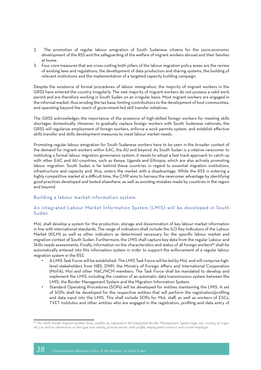- 2. The promotion of regular labour emigration of South Sudanese citizens for the socio-economic development of the RSS and the safeguarding of the welfare of migrant workers abroad and their families at home.
- 3. Four core measures that are cross-cutting both pillars of the labour migration policy areas are the review of existing laws and regulations, the development of data production and sharing systems, the building of relevant institutions and the implementation of a targeted capacity building campaign.

Despite the existence of formal procedures of labour immigration, the majority of migrant workers in the GRSS have entered the country irregularly. The vast majority of migrant workers do not possess a valid work permit and are therefore working in South Sudan on an irregular basis. Most migrant workers are engaged in the informal market, thus eroding the tax base, limiting contributions to the development of host communities, and operating beyond the reach of government-led skill transfer initiatives.

The GRSS acknowledges the importance of the presence of high-skilled foreign workers for meeting skills shortages domestically. However, to gradually replace foreign workers with South Sudanese nationals, the GRSS will regularise employment of foreign workers, enforce a work permits system, and establish effective skills transfer and skills development measures to meet labour market needs.

Promoting regular labour emigration for South Sudanese workers have to be seen in the broader context of the demand for migrant workers within EAC, the AU and beyond. As South Sudan is a relative newcomer to instituting a formal labour migration governance system, it needs to adopt a fast track approach to catch up with other EAC and AU countries, such as Kenya, Uganda and Ethiopia, which are also actively promoting labour migration. South Sudan is far behind these countries in regard to essential migration institutions, infrastructure and capacity and, thus, enters the market with a disadvantage. While the RSS is entering a highly competitive market at a difficult time, the CMP aims to harness the newcomer advantage by identifying good practices developed and tested elsewhere, as well as avoiding mistakes made by countries in the region and beyond.

#### Building a labour market information system

#### An integrated Labour Market Information System (LMIS) will be developed in South Sudan.

MoL shall develop a system for the production, storage and dissemination of key labour market information in line with international standards. The range of indicators shall include the ILO Key Indicators of the Labour Market (KILM) as well as other indicators as determined necessary for the specific labour market and migration context of South Sudan. Furthermore, the LMIS shall capture key data from the regular Labour and Skills needs assessments. Finally, information on the characteristics and status of all foreign workers<sup>85</sup> shall be automatically entered into this information system in order to support the enforcement of a regular labour migration system in the RSS.

- A LMIS Task Force will be established. The LMIS Task Force will be led by MoL and will comprise highlevel stakeholders from NBS, DNPI, the Ministry of Foreign Affairs and International Cooperation (MoFA), MoI and other NAC/NCM members. The Task Force shall be mandated to develop and implement the LMIS, including the creation of an automatic data transmissions system between the LMIS, the Border Management System and the Migration Information System;
- Standard Operating Procedures (SOPs) will be developed for entities maintaining the LMIS. A set of SOPs shall be developed for the respective entities that will perform the registration/profiling and data input into the LMIS. This shall include SOPs for MoL staff, as well as workers of ESCs, TVET institutes and other entities who are engaged in the registration, profiling and data entry of

*<sup>85</sup> This shall include migrant workers' basic profiles as captured in the Integrated Border Management System (age, sex, country of origin, etc.) as well as information on the type and validity of work permit, skills profile, employment contract and current employer.*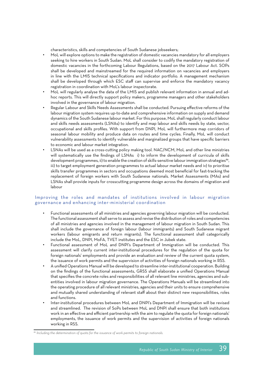characteristics, skills and competencies of South Sudanese jobseekers;

- MoL will explore options to make the registration of domestic vacancies mandatory for all employers seeking to hire workers in South Sudan. MoL shall consider to codify the mandatory registration of domestic vacancies in the forthcoming Labour Regulations, based on the 2017 Labour Act. SOPs shall be developed and mainstreamed for the required information on vacancies and employers in line with the LMIS technical specifications and indicator portfolio. A management mechanism shall be developed through which ESC staff can supervise and enforce the mandatory vacancy registration in coordination with MoL's labour inspectorate.
- MoL will regularly analyse the data of the LMIS and publish relevant information in annual and adhoc reports. This will directly support policy makers, programme managers and other stakeholders involved in the governance of labour migration.
- Regular Labour and Skills Needs Assessments shall be conducted. Pursuing effective reforms of the labour migration system requires up-to-date and comprehensive information on supply and demand dynamics of the South Sudanese labour market. For this purpose, MoL shall regularly conduct labour and skills needs assessments (LSNAs) to identify and map labour and skills needs by state, sector, occupational and skills profiles. With support from DNPI, MoL will furthermore map corridors of seasonal labour mobility and produce data on routes and time cycles. Finally, MoL will conduct vulnerability assessments to identify vulnerable and marginalized groups that have specific barriers to economic and labour market integration.
- LSNAs will be used as a cross-cutting policy making tool. NAC/NCM, MoL and other line ministries will systematically use the findings of LSNAs i) to inform the development of curricula of skills development programmes, ii) to enable the creation of skills-sensitive labour immigration strategies<sup>86</sup>, iii) to target employment generation programmes to actual labour market needs and iv) to prioritise skills transfer programmes in sectors and occupations deemed most beneficial for fast-tracking the replacement of foreign workers with South Sudanese nationals. Market Assessments (MAs) and LSNAs shall provide inputs for crosscutting programme design across the domains of migration and labour

#### Improving the roles and mandates of institutions involved in labour migration governance and enhancing inter-ministerial coordination

- Functional assessments of all ministries and agencies governing labour migration will be conducted. The functional assessment shall serve to assess and revise the distribution of roles and competencies of all ministries and agencies involved in the management of labour migration in South Sudan. This shall include the governance of foreign labour (labour immigrants) and South Sudanese migrant workers (labour emigrants and return migrants). The functional assessment shall categorically include the MoL, DNPI, MoFA, TVET institutes and the ESC in Jubek state.
- Functional assessment of MoL and DNPI's Department of Immigration will be conducted. This assessment will clarify current inter-institutional procedures for the regulation of the quota for foreign nationals' employments and provide an evaluation and review of the current quota system, the issuance of work permits and the supervision of activities of foreign nationals working in RSS.
- A unified Operations Manual will be developed to streamline inter-institutional cooperation. Building on the findings of the functional assessments, GRSS shall elaborate a unified Operations Manual that specifies the concrete roles and responsibilities of all relevant line ministries, agencies and subentities involved in labour migration governance. The Operations Manuals will be streamlined into the operating procedure of all relevant ministries, agencies and their units to ensure comprehensive and mutually shared understanding of relevant staff about their distinct new responsibilities, roles and functions.
- Inter-institutional procedures between MoL and DNPI's Department of Immigration will be revised and streamlined. The revision of SoPs between MoL and DNPI shall ensure that both institutions work in an effective and efficient partnership with the aim to regulate the quota for foreign nationals' employments, the issuance of work permits and the supervision of activities of foreign nationals working in RSS.

*<sup>86</sup> Including the determination of quota for the issuance of work permits to foreign nationals.*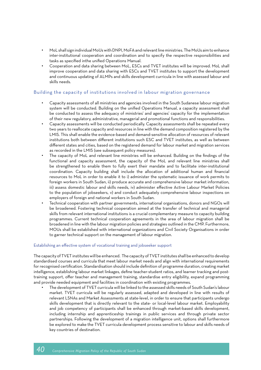- MoL shall sign individual MoUs with DNPI, MoFA and relevant line ministries. The MoUs aim to enhance inter-institutional cooperation and coordination and to specify the respective responsibilities and tasks as specified inthe unified Operations Manual.
- Cooperation and data sharing between MoL, ESCs and TVET institutes will be improved. MoL shall improve cooperation and data sharing with ESCs and TVET institutes to support the development and continuous updating of ALMPs and skills development curricula in line with assessed labour and skills needs.

#### Building the capacity of institutions involved in labour migration governance

- Capacity assessments of all ministries and agencies involved in the South Sudanese labour migration system will be conducted. Building on the unified Operations Manual, a capacity assessment shall be conducted to assess the adequacy of ministries' and agencies' capacity for the implementation of their new regulatory, administrative, managerial and promotional functions and responsibilities.
- Capacity assessments will be conducted periodically. Capacity assessments shall be repeated every two years to reallocate capacity and resources in line with the demand composition registered by the LMIS. This shall enable the evidence-based and demand-sensitive allocation of resources of relevant institutions both between different institutions such ESC and TVET institutes, as well as between different states and cities, based on the registered demand for labour market and migration services as recorded in the LMIS (see subsequent policy measures).
- The capacity of MoL and relevant line ministries will be enhanced. Building on the findings of the functional and capacity assessment, the capacity of the MoL and relevant line ministries shall be strengthened to enable them to fully exert their mandate and to facilitate inter-institutional coordination. Capacity building shall include the allocation of additional human and financial resources to MoL in order to enable it to i) administer the systematic issuance of work permits to foreign workers in South Sudan, ii) produce accurate and comprehensive labour market information, iii) assess domestic labour and skills needs, iv) administer effective Active Labour Market Policies to the population of jobseekers, v) and conduct adequately comprehensive labour inspections on employers of foreign and national workers in South Sudan.
- Technical cooperation with partner governments, international organisations, donors and NGOs will be broadened. Fostering technical cooperation aimed at the transfer of technical and managerial skills from relevant international institutions is a crucial complementary measure to capacity building programmes. Current technical cooperation agreements in the area of labour migration shall be broadened in line with the labour migration policies and strategies outlined in the CMP. Furthermore, MOUs shall be established with international organizations and Civil Society Organisations in order to garner technical support on the management of labour migration.

#### Establishing an effective system of vocational training and jobseeker support

The capacity of TVET institutes will be enhanced. The capacity of TVET institutes shall be enhanced to develop standardised courses and curricula that meet labour market needs and align with international requirements for recognised certification. Standardisation should include definition of programme duration, creating market intelligence, establishing labour market linkages, define teacher-student ratios, and learner tracking and posttraining support, offer teacher and management training, standardise entry eligibility, expand programming and provide needed equipment and facilities in coordination with existing programmes.

• The development of TVET curricula will be linked to the assessed skills needs of South Sudan's labour market. TVET curricula will be regularly assessed, adapted and developed in line with results of relevant LSNAs and Market Assessments at state-level, in order to ensure that participants undergo skills development that is directly relevant to the state- or local-level labour market. Employability and job competency of participants shall be enhanced through market-based skills development, including internship and apprenticeship trainings in public services and through private sector partnerships. Following the development of a migration intelligence unit, options shall furthermore be explored to make the TVET curricula development process sensitive to labour and skills needs of key countries of destination.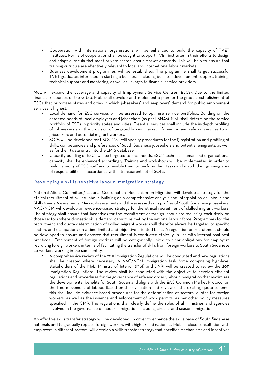- Cooperation with international organisations will be enhanced to build the capacity of TVET institutes. Forms of cooperation shall be sought to support TVET institutes in their efforts to design and adapt curricula that meet private sector labour market demands. This will help to ensure that training curricula are effectively relevant to local and international labour markets.
- Business development programmes will be established. The programme shall target successful TVET graduates interested in starting a business, including business development support, training, technical support and mentoring, as well as linkages to financial service providers.

MoL will expand the coverage and capacity of Employment Service Centres (ESCs). Due to the limited financial resources of the GRSS, MoL shall develop and implement a plan for the gradual establishment of ESCs that prioritises states and cities in which jobseekers' and employers' demand for public employment services is highest.

- Local demand for ESC services will be assessed to optimise service portfolios. Building on the assessed needs of local employers and jobseekers (as per LSNAs), MoL shall determine the service portfolio of ESCs in priority states and cities. Essential services shall include the in-depth profiling of jobseekers and the provision of targeted labour market information and referral services to all jobseekers and potential migrant workers.
- SOPs will be developed for ESCs. MoL will specify procedures for the i) registration and profiling of skills, competencies and preferences of South Sudanese jobseekers and potential emigrants, as well as for the ii) data entry into the LMIS database.
- Capacity building of ESCs will be targeted to local needs. ESCs' technical, human and organisational capacity shall be enhanced accordingly. Training and workshops will be implemented in order to build capacity of ESC staff and to enable them to perform their tasks and match their growing area of responsibilities in accordance with a transparent set of SOPs.

#### Developing a skills-sensitive labour immigration strategy

National Aliens Committee/National Coordination Mechanism on Migration will develop a strategy for the ethical recruitment of skilled labour. Building on a comprehensive analysis and interpolation of Labour and Skills Needs Assessments, Market Assessments and the assessed skills profiles of South Sudanese jobseekers, NAC/NCM will develop an evidence-based strategy for the ethical recruitment of skilled migrant workers. The strategy shall ensure that incentives for the recruitment of foreign labour are focussing exclusively on those sectors where domestic skills demand cannot be met by the national labour force. Programmes for the recruitment and quota determination of skilled migrant workers will therefor always be targeted to specific sectors and occupations on a time-limited and objective-oriented basis. A regulation on recruitment should be developed to ensure and enforce that recruitment is conducted ethically, in line with international best practices. Employment of foreign workers will be categorically linked to clear obligations for employers recruiting foreign workers in terms of facilitating the transfer of skills from foreign workers to South Sudanese co-workers working in the same entity.

• A comprehensive review of the 2011 Immigration Regulations will be conducted and new regulations shall be created where necessary. A NAC/NCM immigration task force comprising high-level stakeholders of the MoL, Ministry of Interior (MoI) and DNPI will be created to review the 2011 Immigration Regulations. The review shall be conducted with the objective to develop efficient regulations and procedures for the governance of safe and orderly labour immigration that maximises the developmental benefits for South Sudan and aligns with the EAC Common Market Protocol on the free movement of labour. Based on the evaluation and review of the existing quota scheme, this shall include evidence-based procedures for the determination of sectoral quotas for foreign workers, as well as the issuance and enforcement of work permits, as per other policy measures specified in the CMP. The regulations shall clearly define the roles of all ministries and agencies involved in the governance of labour immigration, including circular and seasonal migration.

An effective skills transfer strategy will be developed. In order to enhance the skills base of South Sudanese nationals and to gradually replace foreign workers with high-skilled nationals, MoL, in close consultation with employers in different sectors, will develop a skills transfer strategy that specifies mechanisms and incentives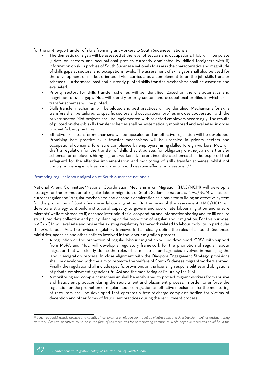for the on-the-job transfer of skills from migrant workers to South Sudanese nationals.

- The domestic skills gap will be assessed at the level of sectors and occupations. MoL will interpolate i) data on sectors and occupational profiles currently dominated by skilled foreigners with ii) information on skills profiles of South Sudanese nationals to assess the characteristics and magnitude of skills gaps at sectoral and occupations levels. The assessment of skills gaps shall also be used for the development of market-oriented TVET curricula as a complement to on-the-job skills transfer schemes. Furthermore, past and currently piloted skills transfer mechanisms shall be assessed and evaluated.
- Priority sectors for skills transfer schemes will be identified. Based on the characteristics and magnitude of skills gaps, MoL will identify priority sectors and occupational profiles in which skills transfer schemes will be piloted.
- Skills transfer mechanism will be piloted and best practices will be identified. Mechanisms for skills transfers shall be tailored to specific sectors and occupational profiles in close cooperation with the private sector. Pilot projects shall be implemented with selected employers accordingly. The results of piloted on-the-job skills transfer schemes shall be systematically monitored and evaluated in order to identify best practices.
- Effective skills transfer mechanisms will be upscaled and an effective regulation will be developed. Promising best practice skills transfer mechanisms will be upscaled in priority sectors and occupational domains. To ensure compliance by employers hiring skilled foreign workers, MoL will draft a regulation for the transfer of skills that stipulates for obligatory on-the-job skills transfer schemes for employers hiring migrant workers. Different incentives schemes shall be explored that safeguard for the effective implementation and monitoring of skills transfer schemes, whilst not unduly burdening employers in order to avoid negative effects on investment<sup>88</sup>.

#### Promoting regular labour migration of South Sudanese nationals

National Aliens Committee/National Coordination Mechanism on Migration (NAC/NCM) will develop a strategy for the promotion of regular labour migration of South Sudanese nationals. NAC/NCM will assess current regular and irregular mechanisms and channels of migration as a basis for building an effective system for the promotion of South Sudanese labour migration. On the basis of the assessment, NAC/NCM will develop a strategy to i) build institutional capacity to govern and coordinate labour migration and ensure migrants' welfare abroad, to ii) enhance inter-ministerial cooperation and information sharing and, to iii) ensure structured data collection and policy planning on the promotion of regular labour migration. For this purpose, NAC/NCM will evaluate and revise the existing regulatory framework related to labour mobility, in particular the 2017 Labour Act. The revised regulatory framework shall clearly define the roles of all South Sudanese ministries, agencies and other entities involved in the labour migration process.

- A regulation on the promotion of regular labour emigration will be developed. GRSS with support from MoFA and MoL, will develop a regulatory framework for the promotion of regular labour migration that will clearly define the roles of all ministries and agencies involved in managing the labour emigration process. In close alignment with the Diaspora Engagement Strategy, provisions shall be developed with the aim to promote the welfare of South Sudanese migrant workers abroad. Finally, the regulation shall include specific provisions on the licensing, responsibilities and obligations of private employment agencies (PrEAs) and the monitoring of PrEAs by the MoL.
- A monitoring and complaint mechanism shall be established to protect migrant workers from abusive and fraudulent practices during the recruitment and placement process. In order to enforce the regulation on the promotion of regular labour emigration, an effective mechanism for the monitoring of recruiters shall be developed that operates a free-of-charge complaint hotline for victims of deception and other forms of fraudulent practices during the recruitment process.

*<sup>88</sup> Schemes could include positive and negative incentives for employers for the set-up of intra-company skills transfer trainings and mentoring*  activities. Positive incentives could be in the form of tax incentives for participating companies, while negative incentives could be in the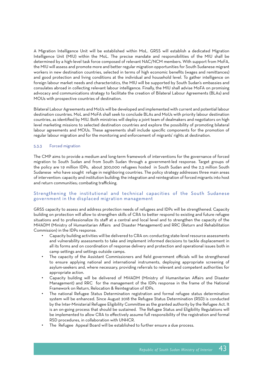A Migration Intelligence Unit will be established within MoL. GRSS will establish a dedicated Migration Intelligence Unit (MIU) within the MoL. The precise mandate and responsibilities of the MIU shall be determined by a high-level task force composed of relevant NAC/NCM members. With support from MoFA, the MIU will assess and promote more and better regular migration opportunities for South Sudanese migrant workers in new destination countries, selected in terms of high economic benefits (wages and remittances) and good protection and living conditions at the individual and household level. To gather intelligence on foreign labour market needs and characteristics, the MIU will be supported by South Sudan's embassies and consulates abroad in collecting relevant labour intelligence. Finally, the MIU shall advise MoFA on promising advocacy and communications strategy to facilitate the creation of Bilateral Labour Agreements (BLAs) and MOUs with prospective countries of destination.

Bilateral Labour Agreements and MoUs will be developed and implemented with current and potential labour destination countries. MoL and MoFA shall seek to conclude BLAs and MoUs with priority labour destination countries, as identified by MIU. Both ministries will deploy a joint team of dealmakers and negotiators on high level marketing missions to selected destination countries and explore the possibility of promoting bilateral labour agreements and MOUs. These agreements shall include specific components for the promotion of regular labour migration and for the monitoring and enforcement of migrants' rights at destination.

#### 5.3.3 Forced migration

The CMP aims to provide a medium and long-term framework of interventions for the governance of forced migration to South Sudan and from South Sudan through a government-led response. Target groups of the policy are 1.9 million IDPs, about 300,000 refugees hosted in South Sudan and the 2.3 million South Sudanese who have sought refuge in neighboring countries. The policy strategy addresses three main areas of intervention: capacity and institution building; the integration and reintegration of forced migrants into host and return communities; combating trafficking.

#### Strengthening the institutional and technical capacities of the South Sudanese government in the displaced migration management

GRSS capacity to assess and address protection needs of refugees and IDPs will be strengthened. Capacity building on protection will allow to strengthen skills of CRA to better respond to existing and future refugee situations and to professionalize its staff at a central and local level and to strengthen the capacity of the MHADM (Ministry of Humanitarian Affairs and Disaster Management) and RRC (Return and Rehabilitation Commission) in the IDPs response.

- Capacity building activities will be delivered to CRA on: conducting state-level resource assessments and vulnerability assessments to take and implement informed decisions to tackle displacement in all its forms and on coordination of response delivery and protection and operational issues both in camp settings and settings outside camps.
- The capacity of the Assistant Commissioners and field government officials will be strengthened to ensure applying national and international instruments, deploying appropriate screening of asylum-seekers and, where necessary, providing referrals to relevant and competent authorities for appropriate action.
- Capacity building will be delivered of MHADM (Ministry of Humanitarian Affairs and Disaster Management) and RRC for the management of the IDPs response in the frame of the National Framework on Return, Relocation & Reintegration of IDPs.
- The national Refugee Status Determination registration and formal refugee status determination system will be enhanced. Since August 2018 the Refugee Status Determination (RSD) is conducted by the Inter-Ministerial Refugee Eligibility Committee as the granted authority by the Refugee Act. It is an on-going process that should be sustained. The Refugee Status and Eligibility Regulations will be implemented to allow CRA to effectively assume full responsibility of the registration and formal RSD procedures, in collaboration with UNHCR.
- The Refugee Appeal Board will be established to further ensure a due process.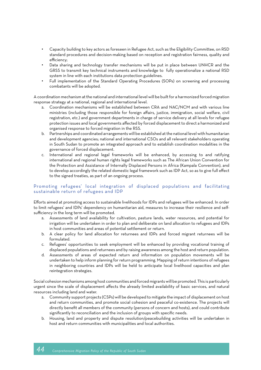- Capacity building to key actors as foreseen in Refugee Act, such as the Eligibility Committee, on RSD standard procedures and decision-making based on reception and registration fairness, quality and efficiency;
- Data sharing and technology transfer mechanisms will be put in place between UNHCR and the GRSS to transmit key technical instruments and knowledge to fully operationalize a national RSD system in line with each institutions data protection guidelines.
- Full implementation of the Standard Operating Procedures (SOPs) on screening and processing combatants will be adopted.

A coordination mechanism at the national and international level will be built for a harmonized forced migration response strategy at a national, regional and international level.

- a. Coordination mechanisms will be established between CRA and NAC/NCM and with various line ministries (including those responsible for foreign affairs, justice, immigration, social welfare, civil registration, etc.) and government departments in charge of service delivery at all levels for refugee protection issues and local governments affected by forced displacement to direct a harmonized and organised response to forced migration in the RSS.
- b. Partnerships and coordinated arrangements will be established at the national level with humanitarian and development agencies; national and international CSOs and all relevant stakeholders operating in South Sudan to promote an integrated approach and to establish coordination modalities in the governance of forced displacement.
- c. International and regional legal frameworks will be enhanced, by accessing to and ratifying international and regional human rights legal frameworks such as The African Union Convention for the Protection and Assistance of Internally Displaced Persons in Africa (Kampala Convention), and to develop accordingly the related domestic legal framework such as IDP Act, so as to give full effect to the signed treaties, as part of an ongoing process.

#### Promoting refugees' local integration of displaced populations and facilitating sustainable return of refugees and IDP

Efforts aimed at promoting access to sustainable livelihoods for IDPs and refugees will be enhanced. In order to limit refugees' and IDPs' dependency on humanitarian aid, measures to increase their resilience and selfsufficiency in the long term will be promoted.

- a. Assessments of land availability for cultivation, pasture lands, water resources, and potential for irrigation will be undertaken in order to plan and deliberate on land allocation to refugees and IDPs in host communities and areas of potential settlement or return.
- b. A clear policy for land allocation for returnees and IDPs and forced migrant returnees will be formulated.
- c. Refugees' opportunities to seek employment will be enhanced by providing vocational training of displaced populations and returnees and by raising awareness among the host and return population.
- d. Assessments of areas of expected return and information on population movements will be undertaken to help inform planning for return programming. Mapping of return intentions of refugees in neighboring countries and IDPs will be held to anticipate local livelihood capacities and plan reintegration strategies.

Social cohesion mechanisms among host communities and forced migrants will be promoted. This is particularly urgent since the scale of displacement affects the already limited availability of basic services, and natural resources including land and water.

- a. Community support projects (CSPs) will be developed to mitigate the impact of displacement on host and return communities, and promote social cohesion and peaceful co-existence. The projects will directly benefit all members of the community (persons of concern and hosts), and could contribute significantly to reconciliation and the inclusion of groups with specific needs.
- b. Housing, land and property and dispute resolution/peacebuilding activities will be undertaken in host and return communities with municipalities and local authorities.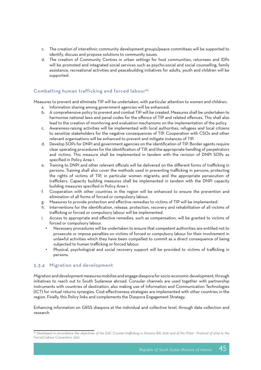- c. The creation of interethnic community development groups/peace committees will be supported to identify, discuss and propose solutions to community issues.
- d. The creation of Community Centres in urban settings for host communities, returnees and IDPs will be promoted and integrated social services such as psycho-social and social counselling, family assistance, recreational activities and peacebuilding initiatives for adults, youth and children will be supported.

#### Combatting human trafficking and forced labour<sup>89</sup>

Measures to prevent and eliminate TIP will be undertaken, with particular attention to women and children.

- a. Information sharing among government agencies will be enhanced;
- b. A comprehensive policy to prevent and combat TIP will be created. Measures shall be undertaken to harmonise national laws and penal codes for the offence of TIP and related offences. This shall also lead to the creation of monitoring and evaluation mechanisms on the implementation of the policy.
- c. Awareness-raising activities will be implemented with local authorities, refugees and local citizens to sensitize stakeholders for the negative consequences of TIP. Cooperation with CSOs and other relevant organisations will be enhanced to prevent and mitigate instances of TIP.
- d. Develop SOPs for DNPI and government agencies on the identification of TIP. Border agents require clear operating procedures for the identification of TIP, and the appropriate handling of perpetrators and victims. This measure shall be implemented in tandem with the revision of DNPI SOPs as specified in Policy Area 1.
- e. Training to DNPI and other relevant officials will be delivered on the different forms of trafficking in persons. Training shall also cover the methods used in preventing trafficking in persons; protecting the rights of victims of TIP, in particular women migrants; and the appropriate persecution of traffickers. Capacity building measures shall be implemented in tandem with the DNPI capacity building measures specified in Policy Area 1.
- f. Cooperation with other countries in the region will be enhanced to ensure the prevention and elimination of all forms of forced or compulsory labour.
- g. Measures to provide protection and effective remedies to victims of TIP will be implemented.
- h. Interventions for the identification, release, protection, recovery and rehabilitation of all victims of trafficking or forced or compulsory labour will be implemented.
- i. Access to appropriate and effective remedies, such as compensation, will be granted to victims of forced or compulsory labour.
	- Necessary procedures will be undertaken to ensure that competent authorities are entitled not to prosecute or impose penalties on victims of forced or compulsory labour for their involvement in unlawful activities which they have been compelled to commit as a direct consequence of being subjected to human trafficking or forced labour.
	- Physical, psychological and social recovery support will be provided to victims of trafficking in persons.

#### 5.3.4 Migration and development

Migration and development measures mobilize and engage diaspora for socio-economic development, through initiatives to reach out to South Sudanese abroad. Consular channels are used together with partnership instruments with countries of destination, also making use of Information and Communication Technologies (ICT) for virtual returns synergies. Cost-effectiveness strategies are implemented with other countries in the region. Finally, this Policy links and complements the Diaspora Engagement Strategy.

Enhancing information on GRSS diaspora at the individual and collective level, through data collection and research

*<sup>89</sup> Developed in accordance the objectives of the EAC Counter-trafficking in Persons Bill, 2016 and of the P029 - Protocol of 2014 to the Forced Labour Convention, 1930.*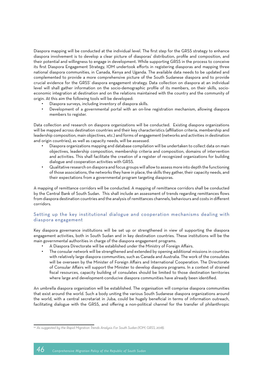Diaspora mapping will be conducted at the individual level. The first step for the GRSS strategy to enhance diaspora involvement is to develop a clear picture of diasporas' distribution, profile and composition, and their potential and willingness to engage in development. While supporting GRSS in the process to conceive its first Diaspora Engagement Strategy, IOM undertook efforts in registering diasporas and mapping three national diaspora communities, in Canada, Kenya and Uganda. The available data needs to be updated and complemented to provide a more comprehensive picture of the South Sudanese diaspora and to provide crucial evidence for the GRSS' diaspora engagement strategy. Data collection on diaspora at an individual level will shall gather information on the socio-demographic profile of its members, on their skills, socioeconomic integration at destination and on the relations maintained with the country and the community of origin. At this aim the following tools will be developed:

- Diaspora surveys, including inventory of diaspora skills.
- Development of a governmental portal with an on-line registration mechanism, allowing diaspora members to register.

Data collection and research on diaspora organizations will be conducted. Existing diaspora organizations will be mapped across destination countries and their key characteristics (affiliation criteria, membership and leadership composition, main objectives, etc.) and forms of engagement (networks and activities in destination and origin countries), as well as capacity needs, will be assessed.

- Diaspora organizations mapping and database compilation will be undertaken to collect data on main objectives, leadership composition, membership criteria and composition, domains of intervention and activities. This shall facilitate the creation of a register of recognized organizations for building dialogue and cooperation activities with GRSS.
- Qualitative research on diaspora and focus groups will allow to assess more into depth the functioning of those associations, the networks they have in place, the skills they gather, their capacity needs, and their expectations from a governmental program targeting diasporas.

A mapping of remittance corridors will be conducted. A mapping of remittance corridors shall be conducted by the Central Bank of South Sudan. This shall include an assessment of trends regarding remittances flows from diaspora destination countries and the analysis of remittances channels, behaviours and costs in different corridors.

#### Setting up the key institutional dialogue and cooperation mechanisms dealing with diaspora engagement

Key diaspora governance institutions will be set up or strengthened in view of supporting the diaspora engagement activities, both in South Sudan and in key destination countries. These institutions will be the main governmental authorities in charge of the diaspora engagement programs.

- A Diaspora Directorate will be established under the Ministry of Foreign Affairs.
- The consular network will be strengthened and extended by opening additional missions in countries with relatively large diaspora communities, such as Canada and Australia. The work of the consulates will be overseen by the Minister of Foreign Affairs and International Cooperation. The Directorate of Consular Affairs will support the Minister to develop diaspora programs. In a context of strained fiscal resources, capacity building of consulates should be limited to those destination territories where large and development-conducive diaspora communities have already been identified.

An umbrella diaspora organization will be established. The organisation will comprise diaspora communities that exist around the world. Such a body uniting the various South Sudanese diaspora organizations around the world, with a central secretariat in Juba, could be hugely beneficial in terms of information outreach, facilitating dialogue with the GRSS, and offering a non-political channel for the transfer of philanthropic

*<sup>90</sup> As suggested by the Rapid Migration Trends Analysis For South Sudan (IOM, GRSS, 2018).*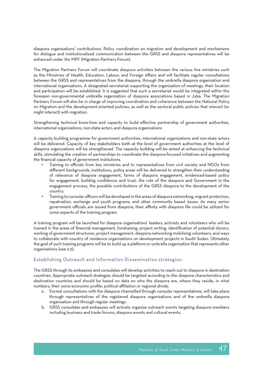diaspora organisations' contributions. Policy coordination on migration and development and mechanisms for dialogue and institutionalized communication between the GRSS and diaspora representatives will be enhanced under the MPF (Migration Partners Forum).

The Migration Partners Forum will coordinate diaspora activities between the various line ministries such as the Ministries of Health, Education, Labour, and Foreign Affairs and will facilitate regular consultations between the GRSS and representatives from the diaspora, through the umbrella diaspora organization and international organisations. A designated secretariat supporting the organization of meetings, their location and participation will be established. It is suggested that such a secretariat would be integrated within the foreseen non-governmental umbrella organization of diaspora associations based in Juba. The Migration Partners Forum will also be in charge of improving coordination and coherence between the National Policy on Migration and the development-oriented policies, as well as the sectoral public policies that interact (or might interact) with migration.

Strengthening technical know-how and capacity to build effective partnership of government authorities, international organizations, non-state actors and diaspora organizations

A capacity building programme for government authorities, international organizations and non-state actors will be delivered. Capacity of key stakeholders both at the level of government authorities at the level of diaspora organizations will be strengthened. The capacity building will be aimed at enhancing the technical skills, stimulating the creation of partnerships to coordinate the diaspora-focused initiatives and augmenting the financial capacity of government institutions.

- Training to officials from key ministries and to representatives from civil society and NGOs from different backgrounds, institutions, policy areas will be delivered to strengthen their understanding of relevance of diaspora engagement, forms of diaspora engagement, evidenced-based policy for engagement, building confidence and trust, the role of the diaspora and Government in the engagement process, the possible contributions of the GRSS diaspora to the development of the country.
- Training to consular officers will be developed in the areas of diaspora networking, migrant protection, repatriation, exchange and youth programs, and other community based issues. As many senior government officials are issued from diaspora, their affinity with diaspora life could be utilized for some aspects of the training program.

A training program will be launched for diaspora organisations' leaders, activists and volunteers who will be trained in the areas of financial management, fundraising, project writing, identification of potential donors, working of government structures, project management, diaspora networking mobilizing volunteers, and ways to collaborate with country of residence organizations on development projects in South Sudan. Ultimately, the goal of such training programs will be to build up a platform or umbrella organization that represents other organizations (see 2.2).

#### Establishing Outreach and Information Dissemination strategies:

The GRSS through its embassies and consulates will develop activities to reach out to diaspora in destination countries. Appropriate outreach strategies should be targeted according to the diaspora characteristics and destination countries and should be based on data on who the diaspora are, where they reside, in what numbers, their socio-economic profile, political affiliation or regional divide.

- a. Formal consultations with the diaspora channelled through consular representatives, will take place through representatives of the registered diaspora organisations and of the umbrella diaspora organisation and through regular meetings.
- b. GRSS consulates and embassies will actively organize outreach events targeting diaspora members including business and trade forums, diaspora events and cultural events.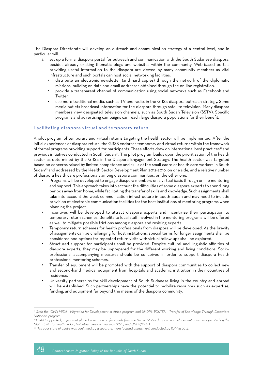The Diaspora Directorate will develop an outreach and communication strategy at a central level, and in particular will:

- a. set up a formal diaspora portal for outreach and communication with the South Sudanese diaspora, besides already existing thematic blogs and websites within the community. Web-based portals providing useful information to the diaspora are viewed by many community members as vital infrastructure and such portals can host social networking facilities.
	- distribute an electronic newsletter (and hard copies) through the network of the diplomatic missions, building on data and email addresses obtained through the on-line registration.
	- provide a transparent channel of communication using social networks such as Facebook and Twitter.
	- use more traditional media, such as TV and radio, in the GRSS diaspora outreach strategy. Some media outlets broadcast information for the diaspora through satellite television. Many diaspora members view designated television channels, such as South Sudan Television (SSTV). Specific programs and advertising campaigns can reach large diaspora populations for their benefit.

#### Facilitating diaspora virtual and temporary return

A pilot program of temporary and virtual returns targeting the health sector will be implemented. After the initial experiences of diaspora return, the GRSS endorses temporary and virtual returns within the framework of formal programs providing support for participants. These efforts draw on international best practices<sup>9</sup> and previous initiatives conducted in South Sudan<sup>92</sup>. The pilot program builds upon the prioritization of the health sector as determined by the GRSS in the Diaspora Engagement Strategy. The health sector was targeted based on concerns raised by limited competence and skills of the small cadre of health care workers in South Sudan<sup>93</sup> and addressed by the Health Sector Development Plan 2012-2016, on one side, and a relative number of diaspora health care professionals among diaspora communities, on the other one.

- Programs will be developed to engage diaspora members on a virtual basis through online mentoring and support. This approach takes into account the difficulties of some diaspora experts to spend long periods away from home, while facilitating the transfer of skills and knowledge. Such assignments shall take into account the weak communication infrastructure in South Sudan and may need to include provision of electronic communication facilities for the host institutions of mentoring programs when planning the project.
- Incentives will be developed to attract diaspora experts and incentivize their participation to temporary return schemes. Benefits to local staff involved in the mentoring programs will be offered as well to mitigate possible frictions among diaspora and residing experts.
- Temporary return schemes for health professionals from diaspora will be developed. As the brevity of assignments can be challenging for host institutions, special terms for longer assignments shall be considered and options for repeated return visits with virtual follow-ups shall be explored.
- Structured support for participants shall be provided. Despite cultural and linguistic affinities of diaspora experts, they may be unprepared for the different working and living conditions. Socioprofessional accompanying measures should be conceived in order to support diaspora health professional mentoring schemes.
- Transfer of equipment will be promoted with the support of diaspora communities to collect new and second-hand medical equipment from hospitals and academic institution in their countries of residence.
- University partnerships for skill development of South Sudanese living in the country and abroad will be established. Such partnerships have the potential to mobilize resources such as expertise, funding, and equipment far beyond the means of the diaspora community.

*<sup>91</sup> Such the IOM's MIDA - Migration for Development in Africa program and UNDP's TOKTEN - Transfer of Knowledge Through Expatriate Nationals program.*

*<sup>92</sup> USAID supported project that placed education professionals from the United States diaspora with placement activities operated by the NGOs Skills for South Sudan, Volunteer Service Overseas (VSO) and UNDP/IGAD.*

*<sup>93</sup> This poor state of affairs was confirmed by a separate, more focused assessment conducted by IOM in 2013.*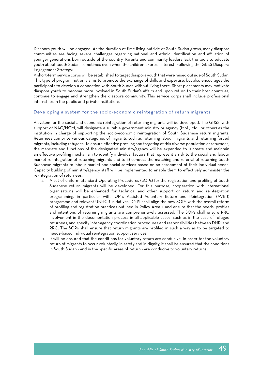Diaspora youth will be engaged. As the duration of time living outside of South Sudan grows, many diaspora communities are facing severe challenges regarding national and ethnic identification and affiliation of younger generations born outside of the country. Parents and community leaders lack the tools to educate youth about South Sudan, sometimes even when the children express interest. Following the GRSS Diaspora Engagement Strategy:

A short-term service corps will be established to target diaspora youth that were raised outside of South Sudan. This type of program not only aims to promote the exchange of skills and expertise, but also encourages the participants to develop a connection with South Sudan without living there. Short placements may motivate diaspora youth to become more involved in South Sudan's affairs and upon return to their host countries, continue to engage and strengthen the diaspora community. This service corps shall include professional internships in the public and private institutions.

#### Developing a system for the socio-economic reintegration of return migrants.

A system for the social and economic reintegration of returning migrants will be developed. The GRSS, with support of NAC/NCM, will designate a suitable government ministry or agency (MoL, MoI, or other) as the institution in charge of supporting the socio-economic reintegration of South Sudanese return migrants. Returnees comprise various categories of migrants such as returning labour migrants and returning forced migrants, including refugees. To ensure effective profiling and targeting of this diverse population of returnees, the mandate and functions of the designated ministry/agency will be expanded to i) create and maintain an effective profiling mechanism to identify individual factors that represent a risk to the social and labour market re-integration of returning migrants and to ii) conduct the matching and referral of returning South Sudanese migrants to labour market and social services based on an assessment of their individual needs. Capacity building of ministry/agency staff will be implemented to enable them to effectively administer the re-integration of returnees.

- a. A set of uniform Standard Operating Procedures (SOPs) for the registration and profiling of South Sudanese return migrants will be developed. For this purpose, cooperation with international organisations will be enhanced for technical and other support on return and reintegration programming, in particular with IOM's Assisted Voluntary Return and Reintegration (AVRR) programme and relevant UNHCR initiatives. DNPI shall align the new SOPs with the overall reform of profiling and registration practices outlined in Policy Area 1, and ensure that the needs, profiles and intentions of returning migrants are comprehensively assessed. The SOPs shall ensure RRC involvement in the documentation process in all applicable cases, such as in the case of refugee returnees, and specify inter-agency coordination procedures and responsibilities between DNPI and RRC. The SOPs shall ensure that return migrants are profiled in such a way as to be targeted to needs-based individual reintegration support services.
- b. It will be ensured that the conditions for voluntary return are conducive. In order for the voluntary return of migrants to occur voluntarily, in safety and in dignity, it shall be ensured that the conditions in South Sudan - and in the specific areas of return - are conducive to voluntary returns.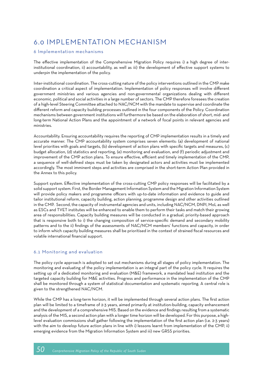### 6.0 IMPLEMENTATION MECHANISM

#### 6 Implementation mechanisms

The effective implementation of the Comprehensive Migration Policy requires i) a high degree of interinstitutional coordination, ii) accountability, as well as iii) the development of effective support systems to underpin the implementation of the policy.

Inter-institutional coordination. The cross-cutting nature of the policy interventions outlined in the CMP make coordination a critical aspect of implementation. Implementation of policy responses will involve different government ministries and various agencies and non-governmental organizations dealing with different economic, political and social activities in a large number of sectors. The CMP therefore foresees the creation of a high-level Steering Committee attached to NAC/NCM with the mandate to supervise and coordinate the different reform and capacity building processes outlined in the four components of the Policy. Coordination mechanisms between government institutions will furthermore be based on the elaboration of short, mid- and long-term National Action Plans and the appointment of a network of focal points in relevant agencies and ministries.

Accountability. Ensuring accountability requires the reporting of CMP implementation results in a timely and accurate manner. The CMP accountability system comprises seven elements: (a) development of national level priorities with goals and targets, (b) development of action plans with specific targets and measures, (c) budget allocation, (d) statistics and reporting, (e) monitoring and evaluation, and (f) periodic adjustment and improvement of the CMP action plans. To ensure effective, efficient and timely implementation of the CMP, a sequence of well-defined steps must be taken by designated actors and activities must be implemented accordingly. The most imminent steps and activities are comprised in the short-term Action Plan provided in the Annex to this policy.

Support system. Effective implementation of the cross-cutting CMP policy responses will be facilitated by a solid support system. First, the Border Management Information System and the Migration Information System will provide policy makers and programme officers with up-to-date information and evidence to guide and tailor institutional reform, capacity building, action planning, programme design and other activities outlined in the CMP. Second, the capacity of instrumental agencies and units, including NAC/NCM, DNPI, MoL as well as ESCs and TVET institutes will be enhanced to enable them to perform their tasks and match their growing area of responsibilities. Capacity building measures will be conducted in a gradual, priority-based approach that is responsive both to i) the changing composition of service-specific demand and secondary mobility patterns and to the ii) findings of the assessments of NAC/NCM members' functions and capacity, in order to inform which capacity building measures shall be prioritised in the context of strained fiscal resources and volatile international financial support.

#### 6.1 Monitoring and evaluation

The policy cycle approach is adopted to set out mechanisms during all stages of policy implementation. The monitoring and evaluating of the policy implementation is an integral part of the policy cycle. It requires the setting up of a dedicated monitoring and evaluation (M&E) framework, a mandated lead institution and the targeted capacity building for M&E activities. Progress and performance in the implementation of the CMP shall be monitored through a system of statistical documentation and systematic reporting. A central role is given to the strengthened NAC/NCM.

While the CMP has a long-term horizon, it will be implemented through several action plans. The first action plan will be limited to a timeframe of 2-3 years, aimed primarily at institution-building, capacity enhancement and the development of a comprehensive MIS. Based on the evidence and findings resulting from a systematic analysis of the MIS, a second action plan with a longer time horizon will be developed. For this purpose, a highlevel evaluation commissions shall gather following the implementation of the first action plan (i.e. 2-3 years) with the aim to develop future action plans in line with i) lessons learnt from implementation of the CMP, ii) emerging evidence from the Migration Information System and iii) new GRSS priorities.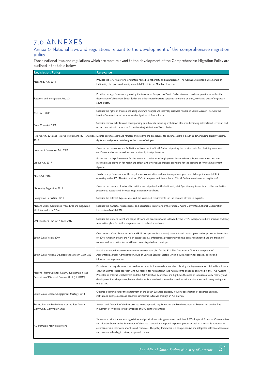### 7.0 ANNEXES

Annex 1- National laws and regulations releant to the development of the comprehensive migration policy

Those national laws and regulations which are most relevant to the development of the Comprehensive Migration Policy are outlined in the table below.

| <b>Legislation/Policy</b>                                                                         | <b>Relevance</b>                                                                                                                                                                                                                                                                                                                                                                                                                                                                                                                                 |
|---------------------------------------------------------------------------------------------------|--------------------------------------------------------------------------------------------------------------------------------------------------------------------------------------------------------------------------------------------------------------------------------------------------------------------------------------------------------------------------------------------------------------------------------------------------------------------------------------------------------------------------------------------------|
| Nationality Act, 2011                                                                             | Provides the legal framework for matters related to nationality and naturalisation. The Act has established a Directorate of<br>Nationality, Passports and Immigration (DNPI) within the Ministry of Interior.                                                                                                                                                                                                                                                                                                                                   |
| Passports and Immigration Act, 2011                                                               | Provides the legal framework governing the issuance of Passports of South Sudan, visas and residence permits, as well as the<br>deportation of aliens from South Sudan and other related matters. Specifies conditions of entry, work and exist of migrants in<br>South Sudan.                                                                                                                                                                                                                                                                   |
| Child Act, 2008                                                                                   | Specifies the rights of children, including underage refugees and internally displaced minors, in South Sudan in line with the<br>Interim Constitution and international obligations of South Sudan                                                                                                                                                                                                                                                                                                                                              |
| Penal Code Act, 2008                                                                              | Specifies criminal activities and corresponding punishments, including prohibition of human trafficking, international terrorism and<br>other transnational crimes that falls within the jurisdiction of South Sudan.                                                                                                                                                                                                                                                                                                                            |
| 2017                                                                                              | Refugee Act, 2012 and Refugee Status Eligibility Regulations Defines asylum seekers and refugees and governs the procedures for asylum seekers in South Sudan, including eligibility criteria,<br>rights and obligations pertaining to the status of refugee.                                                                                                                                                                                                                                                                                    |
| Investment Promotion Act, 2009                                                                    | Governs the promotion and facilitation of investment in South Sudan, stipulating the requirements for obtaining investment<br>certificates and other related permits required by foreign investors.                                                                                                                                                                                                                                                                                                                                              |
| Labour Act, 2017                                                                                  | Establishes the legal framework for the minimum conditions of employment, labour relations, labour institutions, dispute<br>resolution and provision for health and safety at the workplace. Includes provisions for the licensing of Private Employment<br>Agencies.                                                                                                                                                                                                                                                                            |
| NGO Act, 2016                                                                                     | Creates a legal framework for the registration, coordination and monitoring of non-governmental organizations (NGOs)<br>operating in the RSS. The Act requires NGOs to employ a minimum share of South Sudanese nationals among its staff.                                                                                                                                                                                                                                                                                                       |
| Nationality Regulation, 2011                                                                      | Governs the issuance of nationality certificates as stipulated in the Nationality Act. Specifies requirements and other application<br>procedures necessitated for obtaining a nationality certificate.                                                                                                                                                                                                                                                                                                                                          |
| Immigration Regulation, 2011                                                                      | Specifies the different types of visas and the associated requirements for the issuance of visas to migrants.                                                                                                                                                                                                                                                                                                                                                                                                                                    |
| National Aliens Committee Procedures and Regulation,<br>2013, (amended in 2016)                   | Specifies the mandate, responsibilities and operational framework of the National Aliens Committee/National Coordination<br>Mechanism (NAC/NCM).                                                                                                                                                                                                                                                                                                                                                                                                 |
| DNPI Strategic Plan 2017-2021, 2017                                                               | Specifies the strategic intent and scope of work and processes to be followed by the DNPI. Incorporates short, medium and long<br>term action plans for staff, management and its related stakeholders.                                                                                                                                                                                                                                                                                                                                          |
| South Sudan Vision 2040                                                                           | Constitutes a Vision Statement of the GRSS that specifies broad social, economic and political goals and objectives to be reached<br>by 2040. Amongst others, the Vision states that law enforcement procedures will have been strengthened and the training of<br>national and local police forces will have been integrated and developed.                                                                                                                                                                                                     |
| South Sudan National Development Strategy (2019-2021)                                             | Provides a comprehensive socio-economic development plan for the RSS. The Governance Cluster is comprised of<br>Accountability, Public Administration, Rule of Law and Security Sectors which include support for capacity boiling and<br>infrastructure improvement.                                                                                                                                                                                                                                                                            |
| National Framework for Return, Reintegration and<br>Relocation of Displaced Persons, 2017 (MHADM) | Establishes the key elements that need to be taken in due consideration when planning the implementation of durable solutions,<br>ensuring a rights- based approach with full respect for humanitarian and human rights principles enshrined in the 1998 Guiding<br>Principles on Internal Displacement and the 2009 Kampala Convention and highlights the need of inclusion of early recovery and<br>development into the process, besides the immediate need to improve the overall security environment and strengthening the<br>rule of law. |
| South Sudan Diaspora Engagement Strategy, 2014                                                    | Outlines a framework for the engagement of the South Sudanese diaspora, including specification of concrete activities,<br>institutional arrangements and concrete partnership initiatives through an Action Plan.                                                                                                                                                                                                                                                                                                                               |
| Protocol on the Establishment of the East African<br>Community Common Market                      | Annex I and Annex II of the Protocol respectively provide regulations on the Free Movement of Persons and on the Free<br>Movement of Workers in the territories of EAC partner countries.                                                                                                                                                                                                                                                                                                                                                        |
| AU Migration Policy Framework                                                                     | Serves to provide the necessary guidelines and principals to assist governments and their RECs (Regional Economic Communities)<br>and Member States in the formulation of their own national and regional migration policies as well as, their implementation in<br>accordance with their own priorities and resources. The policy framework is a comprehensive and integrated reference document<br>and hence non-binding in nature, scope and content.                                                                                         |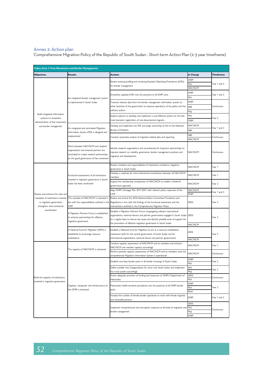#### Annex 2: Action plan

Comprehensive Migration Policy of the Republic of South Sudan - Short-term Action Plan (2-3 year timeframe)

| Policy Area 1: Free Movement and Border Management                                           |                                                                                                                     |                                                                                                                                                                                                                  |             |                  |  |  |  |
|----------------------------------------------------------------------------------------------|---------------------------------------------------------------------------------------------------------------------|------------------------------------------------------------------------------------------------------------------------------------------------------------------------------------------------------------------|-------------|------------------|--|--|--|
| <b>Objectives</b>                                                                            | <b>Results</b>                                                                                                      | <b>Actions</b>                                                                                                                                                                                                   | In Charge   | <b>Timeframe</b> |  |  |  |
|                                                                                              |                                                                                                                     | Review existing profiling and screening Standard Operating Procedures (SOPs)                                                                                                                                     | <b>DNPI</b> |                  |  |  |  |
|                                                                                              |                                                                                                                     |                                                                                                                                                                                                                  | Mol         | Year 1 and 2     |  |  |  |
|                                                                                              |                                                                                                                     | for border management                                                                                                                                                                                            | NAC/NCM     |                  |  |  |  |
|                                                                                              |                                                                                                                     |                                                                                                                                                                                                                  | <b>DNPI</b> |                  |  |  |  |
|                                                                                              | An integrated border management system                                                                              | Streamline updated SOPs into the practices of all DNPI units                                                                                                                                                     | Mol         | Year 1 and 2     |  |  |  |
|                                                                                              | is implemented in South Sudan                                                                                       | Transmit relevant data from the border management information system to                                                                                                                                          | DNPI        |                  |  |  |  |
|                                                                                              |                                                                                                                     | other branches of the government to improve operations of the police and the                                                                                                                                     | <b>NBS</b>  | Continuous       |  |  |  |
|                                                                                              |                                                                                                                     | judiciary system                                                                                                                                                                                                 | Moj         |                  |  |  |  |
| Build integrated information                                                                 |                                                                                                                     | Explore options to develop and implement a cost-effective system for the fast-                                                                                                                                   | Mol         |                  |  |  |  |
| systems to streamline                                                                        |                                                                                                                     | track biometric registration of non-documented migrants                                                                                                                                                          | <b>DNPI</b> | Year 2           |  |  |  |
| administration of free movement                                                              |                                                                                                                     |                                                                                                                                                                                                                  |             |                  |  |  |  |
| and border management                                                                        | An integrated and centralised Migration                                                                             | Develop and implement the MIS and assign ownership of the to the National                                                                                                                                        | NAC/NCM     | Year 1 and 2     |  |  |  |
|                                                                                              | Information System (MIS) is designed and                                                                            | Bureau of Statistics                                                                                                                                                                                             | <b>NBS</b>  |                  |  |  |  |
|                                                                                              | mplemented                                                                                                          | Conduct systematic analysis of migration-related data and reporting                                                                                                                                              | NBS         | Continuous       |  |  |  |
|                                                                                              |                                                                                                                     |                                                                                                                                                                                                                  | NAC/NCM     |                  |  |  |  |
|                                                                                              | MoUs between NAC/NCM and research<br>organisations and external partners are                                        | Identify research organisations and consultancies for long-term partnerships to                                                                                                                                  | NAC/NCM     | Continuous       |  |  |  |
|                                                                                              | concluded to create research partnerships<br>on the good governance of free movement                                | improve research on mobility governance, border management practices and<br>migration and development                                                                                                            |             |                  |  |  |  |
|                                                                                              |                                                                                                                     | Review mandates and responsibilities of institutions involved in migration<br>governance in South Sudan                                                                                                          | NAC/NCM     | Year 1           |  |  |  |
|                                                                                              | Functional assessments of all institutions<br>involved in migration governance in South<br>Sudan has been conducted | Develop a roadmap for inter-institutional coordination between all NAC/NCM<br>members                                                                                                                            | NAC/NCM     | Year 1           |  |  |  |
|                                                                                              |                                                                                                                     | Expand the membership composition of NAC/NCM to enable a whole-of-<br>government approach                                                                                                                        | NAC/NCM     | Year 2           |  |  |  |
|                                                                                              |                                                                                                                     | Align DNPI's Strategic Plan 2017-2021 with relevant policy responses of the                                                                                                                                      | NAC/NCM     | Year 1 and 2     |  |  |  |
| Review and enhance the roles and                                                             |                                                                                                                     | CMP                                                                                                                                                                                                              | <b>DNPI</b> |                  |  |  |  |
| mandates of institutions involved<br>in migration governance<br>strengthen inter-ministerial | The mandate of NAC/NCM is reviewed in<br>line with the responsibilities outlined in the<br>CMP                      | Review and amend the 2016 National Aliens Committee Procedures and<br>Regulations in line with the findings of the functional assessment and the<br>interventions outlined in the Comprehensive Migration Policy | GRSS        | Year 2           |  |  |  |
| coordination                                                                                 |                                                                                                                     |                                                                                                                                                                                                                  |             |                  |  |  |  |
|                                                                                              | A Migration Partners Forum is established                                                                           | Establish a Migration Partners Forum congregating relevant international                                                                                                                                         |             |                  |  |  |  |
|                                                                                              | to enhance partnerships for effective                                                                               | organisations, external donors and partner governments engaged in South Sudan GRSS                                                                                                                               |             | Year 2           |  |  |  |
|                                                                                              | migration governance<br>A National Fund for Migration (NFM) is<br>established to encourage resource<br>mobilization | on a regular basis to discuss key issues and identify possible areas of support for<br>the promotion of effective migration governance in South Sudan                                                            |             |                  |  |  |  |
|                                                                                              |                                                                                                                     |                                                                                                                                                                                                                  | NAC/NCM     |                  |  |  |  |
|                                                                                              |                                                                                                                     | Establish a National Fund for Migration to act as a resource mobilization<br>mechanism both for the central government of South Sudan and for                                                                    | GRSS        | Year 2           |  |  |  |
|                                                                                              |                                                                                                                     | international organisations, external donors and partner governments                                                                                                                                             | NAC/NCM     |                  |  |  |  |
|                                                                                              | The capacity of NAC/NCM is enhanced                                                                                 | Conduct capacity assessments of NAC/NCM and its members and enhance                                                                                                                                              | NAC/NCM     | Year 1           |  |  |  |
|                                                                                              |                                                                                                                     | NAC/NCM and member capacity accordingly                                                                                                                                                                          |             |                  |  |  |  |
|                                                                                              |                                                                                                                     | Perform periodic capacity assessments of NAC/NCM and its members once the<br>comprehensive Migration Information System is operational                                                                           | NAC/NCM     | Continuous       |  |  |  |
|                                                                                              |                                                                                                                     |                                                                                                                                                                                                                  | <b>DNPI</b> |                  |  |  |  |
|                                                                                              |                                                                                                                     | Establish one-stop border posts in all border crossings of South Sudan                                                                                                                                           | Mol         | rear 2           |  |  |  |
|                                                                                              |                                                                                                                     | Define suitable Visa Categorization for entry into South Sudan and implement                                                                                                                                     | Mol         | Year 2           |  |  |  |
|                                                                                              |                                                                                                                     | the e-visa system accordingly                                                                                                                                                                                    | Mol         |                  |  |  |  |
| Build the capacity of institutions                                                           |                                                                                                                     | Ensure adequate provision of funding and resources to DNPI's Department of                                                                                                                                       | GRSS        | Continuous       |  |  |  |
| involved in migration governance                                                             | Capacity, manpower and infrastructure of<br>the DNPI is enhanced                                                    | Nationality<br>Mainstream health-sensitive procedures into the practices of all DNPI border<br>posts                                                                                                             | Mol         | Year 2           |  |  |  |
|                                                                                              |                                                                                                                     |                                                                                                                                                                                                                  | DNPI        |                  |  |  |  |
|                                                                                              |                                                                                                                     |                                                                                                                                                                                                                  | Mol<br>MoH  |                  |  |  |  |
|                                                                                              |                                                                                                                     | Increase the number of female border operatives to work with female migrants                                                                                                                                     |             |                  |  |  |  |
|                                                                                              |                                                                                                                     | and vulnerable persons                                                                                                                                                                                           | DNPI        | Year 1 and 2     |  |  |  |
|                                                                                              |                                                                                                                     | Implement comprehensive anti-corruption measures at all levels of migration and MoI<br>border management                                                                                                         | GRSS        | Continuous       |  |  |  |
|                                                                                              |                                                                                                                     |                                                                                                                                                                                                                  |             |                  |  |  |  |
|                                                                                              |                                                                                                                     |                                                                                                                                                                                                                  | MoJ         |                  |  |  |  |
|                                                                                              |                                                                                                                     |                                                                                                                                                                                                                  | DNPI        |                  |  |  |  |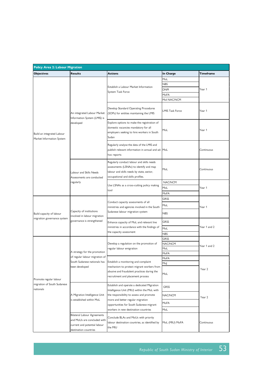| <b>Policy Area 2: Labour Migration</b>                  |                                                                                                                     |                                                                                                                                                                        |                        |              |  |  |
|---------------------------------------------------------|---------------------------------------------------------------------------------------------------------------------|------------------------------------------------------------------------------------------------------------------------------------------------------------------------|------------------------|--------------|--|--|
| <b>Objectives</b>                                       | <b>Results</b>                                                                                                      | <b>Actions</b>                                                                                                                                                         | In Charge              | Timeframe    |  |  |
|                                                         |                                                                                                                     |                                                                                                                                                                        | MoL                    |              |  |  |
|                                                         |                                                                                                                     |                                                                                                                                                                        | NBS                    |              |  |  |
|                                                         |                                                                                                                     | Establish a Labour Market Information                                                                                                                                  | <b>DNPI</b>            | Year 1       |  |  |
|                                                         |                                                                                                                     | System Task Force                                                                                                                                                      | MoFA                   |              |  |  |
|                                                         |                                                                                                                     |                                                                                                                                                                        | Mol NAC/NCM            |              |  |  |
|                                                         | An integrated Labour Market<br>Information System (LMIS) is<br>developed                                            | Develop Standard Operating Procedures<br>(SOPs) for entities maintaining the LMIS                                                                                      | <b>LMIS Task Force</b> | Year 1       |  |  |
| Build an integrated Labour<br>Market Information System |                                                                                                                     | Explore options to make the registration of<br>domestic vacancies mandatory for all<br>employers seeking to hire workers in South<br>Sudan                             | MoL                    | Year 1       |  |  |
|                                                         |                                                                                                                     | Regularly analyse the data of the LMIS and<br>publish relevant information in annual and ad-   MoL<br>hoc reports                                                      |                        | Continuous   |  |  |
|                                                         | Labour and Skills Needs<br>Assessments are conducted<br>regularly                                                   | Regularly conduct labour and skills needs<br>assessments (LSNAs) to identify and map<br>labour and skills needs by state, sector,<br>occupational and skills profiles. | MoL                    | Continuous   |  |  |
|                                                         |                                                                                                                     | Use LSNAs as a cross-cutting policy making<br>tool                                                                                                                     | NAC/NCM                |              |  |  |
|                                                         |                                                                                                                     |                                                                                                                                                                        | MoL                    | Year 1       |  |  |
|                                                         |                                                                                                                     |                                                                                                                                                                        | MoFA                   |              |  |  |
|                                                         |                                                                                                                     | Conduct capacity assessments of all<br>ministries and agencies involved in the South<br>Sudanese labour migration system                                               | GRSS                   |              |  |  |
|                                                         |                                                                                                                     |                                                                                                                                                                        | MoL                    |              |  |  |
| Build capacity of labour                                | Capacity of institutions<br>involved in labour migration<br>governance is strengthened                              |                                                                                                                                                                        | <b>NBS</b>             | Year 1       |  |  |
| migration governance system                             |                                                                                                                     | Enhance capacity of MoL and relevant line<br>ministries in accordance with the findings of<br>the capacity assessment                                                  | GRSS                   |              |  |  |
|                                                         |                                                                                                                     |                                                                                                                                                                        | MoL                    | Year 1 and 2 |  |  |
|                                                         |                                                                                                                     |                                                                                                                                                                        | <b>NBS</b>             |              |  |  |
|                                                         |                                                                                                                     |                                                                                                                                                                        | GRSS                   |              |  |  |
|                                                         |                                                                                                                     | Develop a regulation on the promotion of                                                                                                                               | NAC/NCM                |              |  |  |
|                                                         | A strategy for the promotion                                                                                        | regular labour emigration                                                                                                                                              | MoL                    | Year 1 and 2 |  |  |
|                                                         |                                                                                                                     |                                                                                                                                                                        | MoFA                   |              |  |  |
|                                                         | of regular labour migration of                                                                                      |                                                                                                                                                                        | MoFA                   |              |  |  |
|                                                         | South Sudanese nationals has                                                                                        | Establish a monitoring and complaint                                                                                                                                   | Moj                    |              |  |  |
| Promote regular labour                                  | been developed                                                                                                      | mechanism to protect migrant workers from<br>abusive and fraudulent practices during the<br>recruitment and placement process                                          | MoL                    | Year 2       |  |  |
| migration of South Sudanese<br>nationals                | A Migration Intelligence Unit<br>is established within MoL                                                          | Establish and operate a dedicated Migration<br>Intelligence Unit (MIU) within the MoL with                                                                             | GRSS                   |              |  |  |
|                                                         |                                                                                                                     | the responsibility to assess and promote<br>more and better regular migration<br>opportunities for South Sudanese migrant<br>workers in new destination countries      | NAC/NCM                | Year 2       |  |  |
|                                                         |                                                                                                                     |                                                                                                                                                                        | MoFA                   |              |  |  |
|                                                         |                                                                                                                     |                                                                                                                                                                        | MoL                    |              |  |  |
|                                                         | Bilateral Labour Agreements<br>and MoUs are concluded with<br>current and potential labour<br>destination countries | Conclude BLAs and MoUs with priority<br>labour destination countries, as identified by<br>the MIU                                                                      | MoL (MIU) MoFA         | Continuous   |  |  |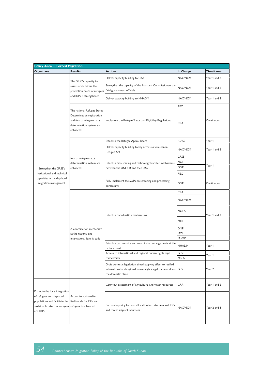| <b>Policy Area 3: Forced Migration</b>                                                                                                                              |                                                                                                                                |                                                                                                                                                   |                                   |                  |
|---------------------------------------------------------------------------------------------------------------------------------------------------------------------|--------------------------------------------------------------------------------------------------------------------------------|---------------------------------------------------------------------------------------------------------------------------------------------------|-----------------------------------|------------------|
| <b>Objectives</b>                                                                                                                                                   | <b>Results</b>                                                                                                                 | Actions                                                                                                                                           | In Charge                         | <b>Timeframe</b> |
|                                                                                                                                                                     | The GRSS's capacity to<br>assess and address the<br>protection needs of refugees                                               | Deliver capacity building to CRA                                                                                                                  | NAC/NCM                           | Year 1 and 2     |
|                                                                                                                                                                     |                                                                                                                                | Strengthen the capacity of the Assistant Commissioners and<br>field government officials                                                          | NAC/NCM                           | Year 1 and 2     |
|                                                                                                                                                                     | and IDPs is strengthened                                                                                                       | Deliver capacity building to MHADM                                                                                                                | NAC/NCM                           | Year 1 and 2     |
|                                                                                                                                                                     | The national Refugee Status<br>Determination registration<br>and formal refugee status<br>determination system are<br>enhanced | Implement the Refugee Status and Eligibility Regulations                                                                                          | <b>REC</b><br><b>CRA</b>          | Continuous       |
|                                                                                                                                                                     |                                                                                                                                | Establish the Refugee Appeal Board                                                                                                                | GRSS                              | Year 1           |
|                                                                                                                                                                     |                                                                                                                                | Deliver capacity building to key actors as foreseen in<br>Refugee Act                                                                             | NAC/NCM                           | Year 1 and 2     |
|                                                                                                                                                                     | formal refugee status<br>determination system are<br>enhanced                                                                  | Establish data sharing and technology transfer mechanisms                                                                                         | <b>GRSS</b><br>MOI<br><b>DNPI</b> | Year 1           |
| Strengthen the GRSS's<br>institutional and technical                                                                                                                |                                                                                                                                | between the UNHCR and the GRSS                                                                                                                    | <b>REC</b>                        |                  |
| capacities in the displaced<br>migration management                                                                                                                 |                                                                                                                                | Fully implement the SOPs on screening and processing<br>combatants                                                                                | <b>DNPI</b>                       | Continuous       |
|                                                                                                                                                                     |                                                                                                                                |                                                                                                                                                   | <b>CRA</b>                        |                  |
|                                                                                                                                                                     | A coordination mechanism<br>at the national and<br>international level is built                                                | Establish coordination mechanisms                                                                                                                 | NAC/NCM                           | Year 1 and 2     |
|                                                                                                                                                                     |                                                                                                                                |                                                                                                                                                   | <b>MOFA</b><br>MOI                |                  |
|                                                                                                                                                                     |                                                                                                                                |                                                                                                                                                   | <b>DNPI</b><br>MOL                |                  |
|                                                                                                                                                                     |                                                                                                                                |                                                                                                                                                   | MoFEP                             |                  |
|                                                                                                                                                                     |                                                                                                                                | Establish partnerships and coordinated arrangements at the<br>national level                                                                      | <b>MHADM</b>                      | Year 1           |
|                                                                                                                                                                     |                                                                                                                                | Access to international and regional human rights legal<br>frameworks                                                                             | GRSS<br>MoFA                      | Year 1           |
|                                                                                                                                                                     |                                                                                                                                | Draft domestic legislation aimed at giving effect to ratified<br>international and regional human rights legal framework on<br>the domestic plane | <b>GRSS</b>                       | Year 2           |
|                                                                                                                                                                     | Access to sustainable<br>refugees is enhanced                                                                                  | Carry out assessment of agricultural and water resources                                                                                          | <b>CRA</b>                        | Year 1 and 2     |
| Promote the local integration<br>of refugees and displaced<br>populations and facilitate the livelihoods for IDPs and<br>sustainable return of refugees<br>and IDPs |                                                                                                                                | Formulate policy for land allocation for returnees and IDPs<br>and forced migrant returnees                                                       | NAC/NCM                           | Year 2 and 3     |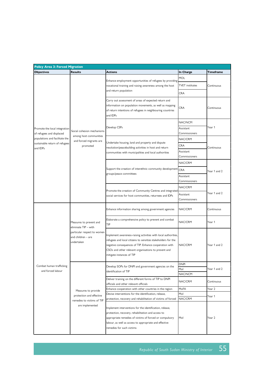| <b>Policy Area 3: Forced Migration</b>        |                                                                 |                                                                                                                                                                                                                                                                                |                               |                  |  |  |
|-----------------------------------------------|-----------------------------------------------------------------|--------------------------------------------------------------------------------------------------------------------------------------------------------------------------------------------------------------------------------------------------------------------------------|-------------------------------|------------------|--|--|
| <b>Objectives</b>                             | <b>Results</b>                                                  | <b>Actions</b>                                                                                                                                                                                                                                                                 | In Charge                     | <b>Timeframe</b> |  |  |
|                                               |                                                                 | Enhance employment opportunities of refugees by providing                                                                                                                                                                                                                      | MOL                           |                  |  |  |
|                                               |                                                                 | vocational training and raising awareness among the host                                                                                                                                                                                                                       | <b>TVET</b> institutes        | Continuous       |  |  |
|                                               |                                                                 | and return population                                                                                                                                                                                                                                                          | <b>CRA</b>                    |                  |  |  |
|                                               |                                                                 | Carry out assessment of areas of expected return and<br>information on population movements, as well as mapping<br>of return intentions of refugees in neighbouring countries<br>and IDPs                                                                                      | <b>CRA</b>                    | Continuous       |  |  |
|                                               |                                                                 |                                                                                                                                                                                                                                                                                | NAC/NCM                       |                  |  |  |
| Promote the local integration                 |                                                                 | Develop CSPs                                                                                                                                                                                                                                                                   | Assistant                     | Year 1           |  |  |
| of refugees and displaced                     | Social cohesion mechanisms                                      |                                                                                                                                                                                                                                                                                | Commissioners                 |                  |  |  |
| populations and facilitate the                | among host communities<br>and forced migrants are               | Undertake housing, land and property and dispute                                                                                                                                                                                                                               | NAC/CRM                       |                  |  |  |
| sustainable return of refugees<br>and IDPs    | promoted                                                        | resolution/peacebuilding activities in host and return                                                                                                                                                                                                                         | <b>CRA</b>                    | Continuous       |  |  |
|                                               |                                                                 | communities with municipalities and local authorities                                                                                                                                                                                                                          | Assistant                     |                  |  |  |
|                                               |                                                                 |                                                                                                                                                                                                                                                                                | Commissioners                 |                  |  |  |
|                                               |                                                                 |                                                                                                                                                                                                                                                                                | NAC/CRM                       |                  |  |  |
|                                               |                                                                 | Support the creation of interethnic community development CRA                                                                                                                                                                                                                  |                               | Year 1 and 2     |  |  |
|                                               |                                                                 | groups/peace committees                                                                                                                                                                                                                                                        | Assistant                     |                  |  |  |
|                                               |                                                                 |                                                                                                                                                                                                                                                                                | Commissioners                 |                  |  |  |
|                                               |                                                                 | Promote the creation of Community Centres and integrated<br>social services for host communities, returnees and IDPs                                                                                                                                                           | NAC/CRM                       | Year 1 and 2     |  |  |
|                                               |                                                                 |                                                                                                                                                                                                                                                                                | Assistant                     |                  |  |  |
|                                               |                                                                 |                                                                                                                                                                                                                                                                                | Commissioners                 |                  |  |  |
|                                               | Measures to prevent and<br>eliminate TIP - with                 | Enhance information sharing among government agencies                                                                                                                                                                                                                          | NAC/CRM                       | Continuous       |  |  |
|                                               |                                                                 | Elaborate a comprehensive policy to prevent and combat<br>TIP                                                                                                                                                                                                                  | NAC/CRM                       | Year 1           |  |  |
|                                               | particular respect to women<br>and children - are<br>undertaken | Implement awareness-raising activities with local authorities,<br>refugees and local citizens to sensitize stakeholders for the<br>negative consequences of TIP. Enhance cooperation with<br>CSOs and other relevant organisations to prevent and<br>mitigate instances of TIP | NAC/CRM                       | Year 1 and 2     |  |  |
| Combat human trafficking<br>and forced labour |                                                                 | Develop SOPs for DNPI and government agencies on the<br>identification of TIP                                                                                                                                                                                                  | <b>DNPI</b><br>Mol<br>NAC/NCM | Year 1 and 2     |  |  |
|                                               |                                                                 | Deliver training on the different forms of TIP to DNPI<br>officials and other relevant officials                                                                                                                                                                               | NAC/CRM                       | Continuous       |  |  |
|                                               |                                                                 | Enhance cooperation with other countries in the region                                                                                                                                                                                                                         | MoFA                          | Year 2           |  |  |
|                                               | Measures to provide                                             | Devise interventions for the identification, release,                                                                                                                                                                                                                          | Mol                           |                  |  |  |
|                                               | protection and effective                                        | protection, recovery and rehabilitation of victims of forced                                                                                                                                                                                                                   | NAC/CRM                       | Year 1           |  |  |
|                                               | remedies to victims of TIP<br>are implemented                   | Implement interventions for the identification, release,<br>protection, recovery, rehabilitation and access to<br>appropriate remedies of victims of forced or compulsory<br>labour, as well as access to appropriate and effective<br>remedies for such victims               | Mol                           | Year 2           |  |  |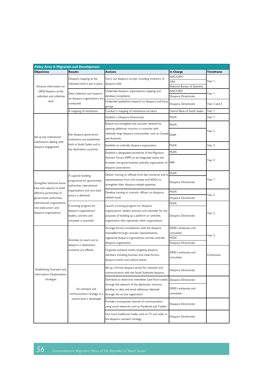|                              | <b>Policy Area 4: Migration and Development</b>                                  |                                                                                                      |                               |              |
|------------------------------|----------------------------------------------------------------------------------|------------------------------------------------------------------------------------------------------|-------------------------------|--------------|
| <b>Objectives</b>            | <b>Results</b>                                                                   | <b>Actions</b>                                                                                       | In Charge                     | Timeframe    |
|                              | Diaspora mapping at the<br>individual level is put in place                      | Carry out diaspora surveys, including inventory of                                                   | NAC/CRM                       |              |
|                              |                                                                                  |                                                                                                      | <b>CRA</b>                    | Year 1       |
| Enhance information on       |                                                                                  | diaspora skills                                                                                      | National Bureau of Statistics |              |
| GRSS diaspora at the         |                                                                                  | Undertake diaspora organisations mapping and                                                         | NAC/CRM                       |              |
| individual and collective    | Data collection and research                                                     | database compilation                                                                                 | Diaspora Directorate          | Year 1       |
| level                        | on diaspora organisations are                                                    | Undertake qualitative research on diaspora and focus                                                 |                               |              |
|                              | conducted                                                                        | groups                                                                                               | Diaspora Directorate          | Year 2 and 3 |
|                              | A mapping of remittance                                                          | Conduct a mapping of remittance corridors                                                            | Central Bank of South Sudan   | Year 1       |
|                              |                                                                                  | Establish a Diaspora Directorate                                                                     | MoFA                          | Year 1       |
|                              |                                                                                  | Extend and strengthen the consular network by                                                        |                               |              |
|                              |                                                                                  | opening additional missions in countries with                                                        | MoFA                          |              |
|                              |                                                                                  | relatively large diaspora communities, such as Canada                                                |                               | Year 2       |
| Set up key institutional     | Key diaspora governance                                                          | and Australia                                                                                        | <b>DNPI</b>                   |              |
| mechanisms dealing with      | institutions are established<br>both in South Sudan and in                       |                                                                                                      |                               |              |
| diaspora engagement          |                                                                                  | Establish an umbrella diaspora organisation                                                          | MoFA                          | Year 2       |
|                              | key destination countries                                                        | Establish a designated secretariat of the Migration                                                  | MoFA                          |              |
|                              |                                                                                  | Partners Forum (MPF) to be integrated within the                                                     |                               |              |
|                              |                                                                                  | foreseen non-governmental umbrella organisation of MPF                                               |                               | Year 3       |
|                              |                                                                                  | diaspora associations                                                                                |                               |              |
|                              |                                                                                  |                                                                                                      | MoFA                          |              |
|                              | A capacity building                                                              | Deliver training to officials from key ministries and to                                             |                               |              |
| Strengthen technical know-   | programme for government                                                         | representatives from civil society and NGOs to                                                       | Diaspora Directorate          | Year 1       |
| how and capacity to build    | authorities, international<br>organisations and non-state<br>actors is delivered | strengthen their diaspora-related expertise                                                          |                               |              |
| effective partnership of     |                                                                                  | Develop training to consular officers on diaspora-<br>related issues                                 | MoFA                          | Year 2       |
| government authorities,      |                                                                                  |                                                                                                      | Diaspora Directorate          |              |
| international organisations, |                                                                                  |                                                                                                      | MoFA                          |              |
| non-state actors and         | A training program for                                                           | Launch a training program for diaspora                                                               |                               |              |
| diaspora organisations       | diaspora organisations'<br>leaders, activists and<br>volunteer is launched       | organisations' leaders, activists and volunteer for the                                              |                               | Year 2       |
|                              |                                                                                  | purposes of building up a platform or umbrella                                                       | Diaspora Directorate          |              |
|                              |                                                                                  | organisation that represents other organisations                                                     |                               |              |
|                              |                                                                                  | Arrange formal consultations with the diaspora                                                       | GRSS's embassies and          | Year 3       |
|                              | Activities to reach out to<br>diaspora in destination                            | channelled through consular representatives,<br>registered diaspora organisations and the umbrella   | consulates                    |              |
|                              |                                                                                  |                                                                                                      | MoFA                          |              |
|                              |                                                                                  | diaspora organisation                                                                                | Diaspora Directorate          |              |
|                              | countries are offered                                                            | Organize outreach events targeting diaspora                                                          |                               |              |
|                              |                                                                                  | members including business and trade forums,                                                         | GRSS's embassies and          | Continuous   |
|                              |                                                                                  | diaspora events and cultural events                                                                  | consulates                    |              |
|                              |                                                                                  |                                                                                                      |                               |              |
| Establishing Outreach and    |                                                                                  | Set up a formal diaspora portal for outreach and                                                     | Diaspora Directorate          |              |
| Information Dissemination    |                                                                                  | communication with the South Sudanese diaspora                                                       |                               |              |
| strategies                   |                                                                                  | Distribute an electronic newsletter (and hard copies)                                                | Diaspora Directorate          |              |
|                              | An outreach and<br>communication strategy at a                                   | through the network of the diplomatic missions,                                                      |                               |              |
|                              |                                                                                  | building on data and email addresses obtained                                                        | GRSS's embassies and          |              |
|                              |                                                                                  | through the on-line registration                                                                     | consulates                    |              |
|                              | central level is developed                                                       |                                                                                                      |                               |              |
|                              |                                                                                  | Provide a transparent channel of communication<br>using social networks such as Facebook and Twitter | Diaspora Directorate          |              |
|                              |                                                                                  |                                                                                                      |                               |              |
|                              |                                                                                  | Use more traditional media, such as TV and radio, in                                                 | Diaspora Directorate          |              |
|                              |                                                                                  | the diaspora outreach strategy                                                                       |                               |              |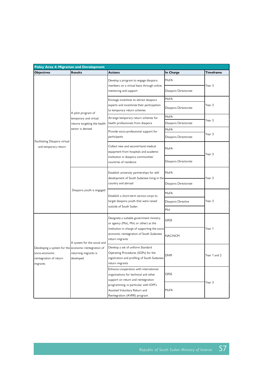| <b>Policy Area 4: Migration and Development</b>       |                                                                                             |                                                                                                                                                                                                    |                      |                  |  |  |
|-------------------------------------------------------|---------------------------------------------------------------------------------------------|----------------------------------------------------------------------------------------------------------------------------------------------------------------------------------------------------|----------------------|------------------|--|--|
| <b>Objectives</b>                                     | <b>Results</b>                                                                              | <b>Actions</b>                                                                                                                                                                                     | In Charge            | Timeframe        |  |  |
|                                                       | A pilot program of                                                                          | Develop a program to engage diaspora<br>members on a virtual basis through online<br>mentoring and support                                                                                         | MoFA                 | Year 3           |  |  |
|                                                       |                                                                                             |                                                                                                                                                                                                    | Diaspora Directorate |                  |  |  |
|                                                       |                                                                                             | Envisage incentives to attract diaspora                                                                                                                                                            | MoFA                 |                  |  |  |
|                                                       |                                                                                             | experts and incentivize their participation<br>to temporary return schemes                                                                                                                         | Diaspora Directorate | Year 3           |  |  |
|                                                       | temporary and virtual                                                                       | Arrange temporary return schemes for                                                                                                                                                               | MoFA                 |                  |  |  |
|                                                       | returns targeting the health                                                                | health professionals from diaspora                                                                                                                                                                 | Diaspora Directorate | Year 3           |  |  |
|                                                       | sector is devised                                                                           | Provide socio-professional support for                                                                                                                                                             | MoFA                 |                  |  |  |
| Facilitating Diaspora virtual                         |                                                                                             | participants                                                                                                                                                                                       | Diaspora Directorate | Year 3           |  |  |
| and temporary return                                  |                                                                                             | Collect new and second-hand medical<br>equipment from hospitals and academic                                                                                                                       | MoFA                 | Year 3           |  |  |
|                                                       |                                                                                             | institution in diaspora communities'<br>countries of residence                                                                                                                                     | Diaspora Directorate |                  |  |  |
|                                                       | Diaspora youth is engaged                                                                   | Establish university partnerships for skill<br>development of South Sudanese living in the<br>country and abroad                                                                                   | MoFA                 | Year 3           |  |  |
|                                                       |                                                                                             |                                                                                                                                                                                                    | Diaspora Directorate |                  |  |  |
|                                                       |                                                                                             | Establish a short-term service corps to<br>target diaspora youth that were raised<br>outside of South Sudan                                                                                        | MoFA                 | Year 3<br>Year 1 |  |  |
|                                                       |                                                                                             |                                                                                                                                                                                                    | Diaspora Directive   |                  |  |  |
|                                                       |                                                                                             |                                                                                                                                                                                                    | Mol                  |                  |  |  |
|                                                       |                                                                                             | Designate a suitable government ministry<br>or agency (MoL, Mol, or other) as the<br>institution in charge of supporting the socio-<br>economic reintegration of South Sudanese<br>return migrants | <b>GRSS</b>          |                  |  |  |
|                                                       | A system for the social and                                                                 |                                                                                                                                                                                                    | NAC/NCM              |                  |  |  |
| socio-economic<br>reintegration of return<br>migrants | Developing a system for the economic reintegration of<br>returning migrants is<br>developed | Develop a set of uniform Standard<br>Operating Procedures (SOPs) for the<br>registration and profiling of South Sudanese<br>return migrants                                                        | <b>DNPI</b>          | Year 1 and 2     |  |  |
|                                                       |                                                                                             | Enhance cooperation with international<br>organisations for technical and other<br>support on return and reintegration                                                                             | GRSS                 |                  |  |  |
|                                                       |                                                                                             | programming, in particular with IOM's<br>MoFA<br>Assisted Voluntary Return and<br>Reintegration (AVRR) program                                                                                     |                      | Year 3           |  |  |